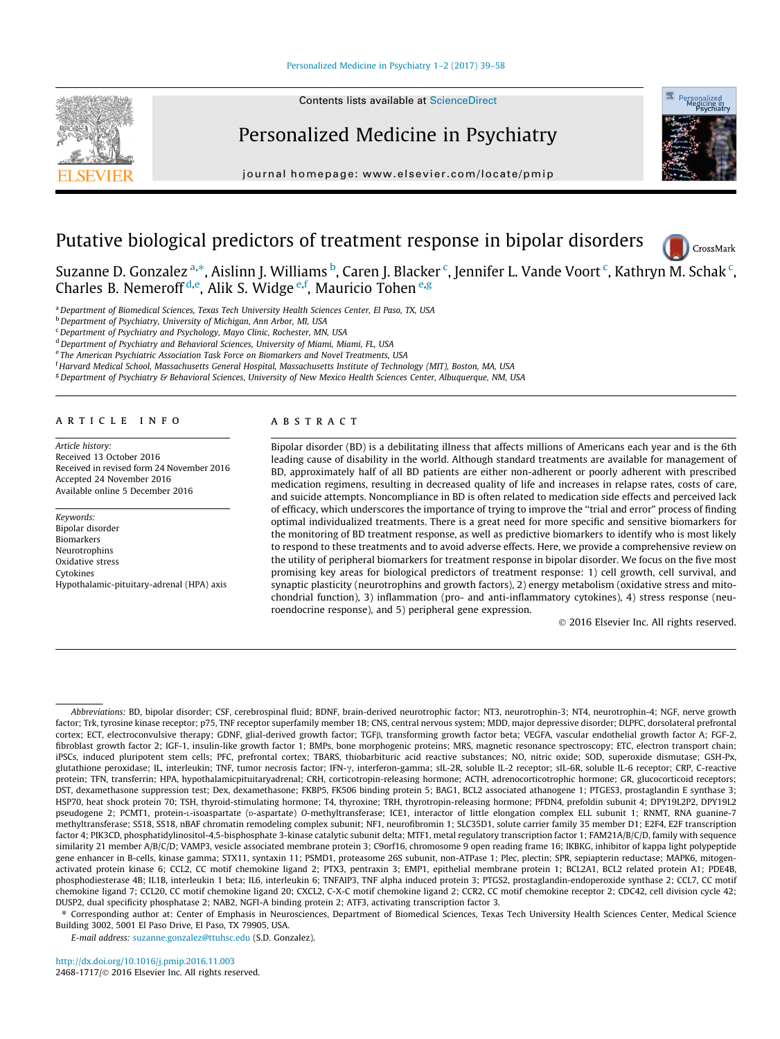

# Personalized Medicine in Psychiatry

journal homepage: [www.elsevier.com/locate/pmip](http://www.elsevier.com/locate/pmip)



# Putative biological predictors of treatment response in bipolar disorders

CrossMark

Suzanne D. Gonzalez <sup>a,</sup>\*, Aislinn J. Williams <sup>b</sup>, Caren J. Blacker <sup>c</sup>, Jennifer L. Vande Voort <sup>c</sup>, Kathryn M. Schak <sup>c</sup>, Charles B. Nemeroff<sup>d,e</sup>, Alik S. Widge <sup>e,f</sup>, Mauricio Tohen <sup>e,g</sup>

a Department of Biomedical Sciences, Texas Tech University Health Sciences Center, El Paso, TX, USA

b Department of Psychiatry, University of Michigan, Ann Arbor, MI, USA

<sup>c</sup> Department of Psychiatry and Psychology, Mayo Clinic, Rochester, MN, USA

<sup>d</sup> Department of Psychiatry and Behavioral Sciences, University of Miami, Miami, FL, USA

<sup>e</sup> The American Psychiatric Association Task Force on Biomarkers and Novel Treatments, USA

<sup>f</sup> Harvard Medical School, Massachusetts General Hospital, Massachusetts Institute of Technology (MIT), Boston, MA, USA

<sup>g</sup> Department of Psychiatry & Behavioral Sciences, University of New Mexico Health Sciences Center, Albuquerque, NM, USA

## article info

Article history: Received 13 October 2016 Received in revised form 24 November 2016 Accepted 24 November 2016 Available online 5 December 2016

Keywords: Bipolar disorder Biomarkers Neurotrophins Oxidative stress Cytokines Hypothalamic-pituitary-adrenal (HPA) axis

#### **ABSTRACT**

Bipolar disorder (BD) is a debilitating illness that affects millions of Americans each year and is the 6th leading cause of disability in the world. Although standard treatments are available for management of BD, approximately half of all BD patients are either non-adherent or poorly adherent with prescribed medication regimens, resulting in decreased quality of life and increases in relapse rates, costs of care, and suicide attempts. Noncompliance in BD is often related to medication side effects and perceived lack of efficacy, which underscores the importance of trying to improve the ''trial and error" process of finding optimal individualized treatments. There is a great need for more specific and sensitive biomarkers for the monitoring of BD treatment response, as well as predictive biomarkers to identify who is most likely to respond to these treatments and to avoid adverse effects. Here, we provide a comprehensive review on the utility of peripheral biomarkers for treatment response in bipolar disorder. We focus on the five most promising key areas for biological predictors of treatment response: 1) cell growth, cell survival, and synaptic plasticity (neurotrophins and growth factors), 2) energy metabolism (oxidative stress and mitochondrial function), 3) inflammation (pro- and anti-inflammatory cytokines), 4) stress response (neuroendocrine response), and 5) peripheral gene expression.

2016 Elsevier Inc. All rights reserved.

E-mail address: [suzanne.gonzalez@ttuhsc.edu](mailto:suzanne.gonzalez@ttuhsc.edu) (S.D. Gonzalez).

Abbreviations: BD, bipolar disorder; CSF, cerebrospinal fluid; BDNF, brain-derived neurotrophic factor; NT3, neurotrophin-3; NT4, neurotrophin-4; NGF, nerve growth factor; Trk, tyrosine kinase receptor; p75, TNF receptor superfamily member 1B; CNS, central nervous system; MDD, major depressive disorder; DLPFC, dorsolateral prefrontal cortex; ECT, electroconvulsive therapy; GDNF, glial-derived growth factor; TGFb, transforming growth factor beta; VEGFA, vascular endothelial growth factor A; FGF-2, fibroblast growth factor 2; IGF-1, insulin-like growth factor 1; BMPs, bone morphogenic proteins; MRS, magnetic resonance spectroscopy; ETC, electron transport chain; iPSCs, induced pluripotent stem cells; PFC, prefrontal cortex; TBARS, thiobarbituric acid reactive substances; NO, nitric oxide; SOD, superoxide dismutase; GSH-Px, glutathione peroxidase; IL, interleukin; TNF, tumor necrosis factor; IFN-y, interferon-gamma; sIL-2R, soluble IL-2 receptor; sIL-6R, soluble IL-6 receptor; CRP, C-reactive protein; TFN, transferrin; HPA, hypothalamicpituitaryadrenal; CRH, corticotropin-releasing hormone; ACTH, adrenocorticotrophic hormone; GR, glucocorticoid receptors; DST, dexamethasone suppression test; Dex, dexamethasone; FKBP5, FK506 binding protein 5; BAG1, BCL2 associated athanogene 1; PTGES3, prostaglandin E synthase 3; HSP70, heat shock protein 70; TSH, thyroid-stimulating hormone; T4, thyroxine; TRH, thyrotropin-releasing hormone; PFDN4, prefoldin subunit 4; DPY19L2P2, DPY19L2 pseudogene 2; PCMT1, protein-L-isoaspartate (p-aspartate) O-methyltransferase; ICE1, interactor of little elongation complex ELL subunit 1; RNMT, RNA guanine-7 methyltransferase; SS18, SS18, nBAF chromatin remodeling complex subunit; NF1, neurofibromin 1; SLC35D1, solute carrier family 35 member D1; E2F4, E2F transcription factor 4; PIK3CD, phosphatidylinositol-4,5-bisphosphate 3-kinase catalytic subunit delta; MTF1, metal regulatory transcription factor 1; FAM21A/B/C/D, family with sequence similarity 21 member A/B/C/D; VAMP3, vesicle associated membrane protein 3; C9orf16, chromosome 9 open reading frame 16; IKBKG, inhibitor of kappa light polypeptide gene enhancer in B-cells, kinase gamma; STX11, syntaxin 11; PSMD1, proteasome 26S subunit, non-ATPase 1; Plec, plectin; SPR, sepiapterin reductase; MAPK6, mitogenactivated protein kinase 6; CCL2, CC motif chemokine ligand 2; PTX3, pentraxin 3; EMP1, epithelial membrane protein 1; BCL2A1, BCL2 related protein A1; PDE4B, phosphodiesterase 4B; IL1B, interleukin 1 beta; IL6, interleukin 6; TNFAIP3, TNF alpha induced protein 3; PTGS2, prostaglandin-endoperoxide synthase 2; CCL7, CC motif chemokine ligand 7; CCL20, CC motif chemokine ligand 20; CXCL2, C-X-C motif chemokine ligand 2; CCR2, CC motif chemokine receptor 2; CDC42, cell division cycle 42; DUSP2, dual specificity phosphatase 2; NAB2, NGFI-A binding protein 2; ATF3, activating transcription factor 3.

<sup>⇑</sup> Corresponding author at: Center of Emphasis in Neurosciences, Department of Biomedical Sciences, Texas Tech University Health Sciences Center, Medical Science Building 3002, 5001 El Paso Drive, El Paso, TX 79905, USA.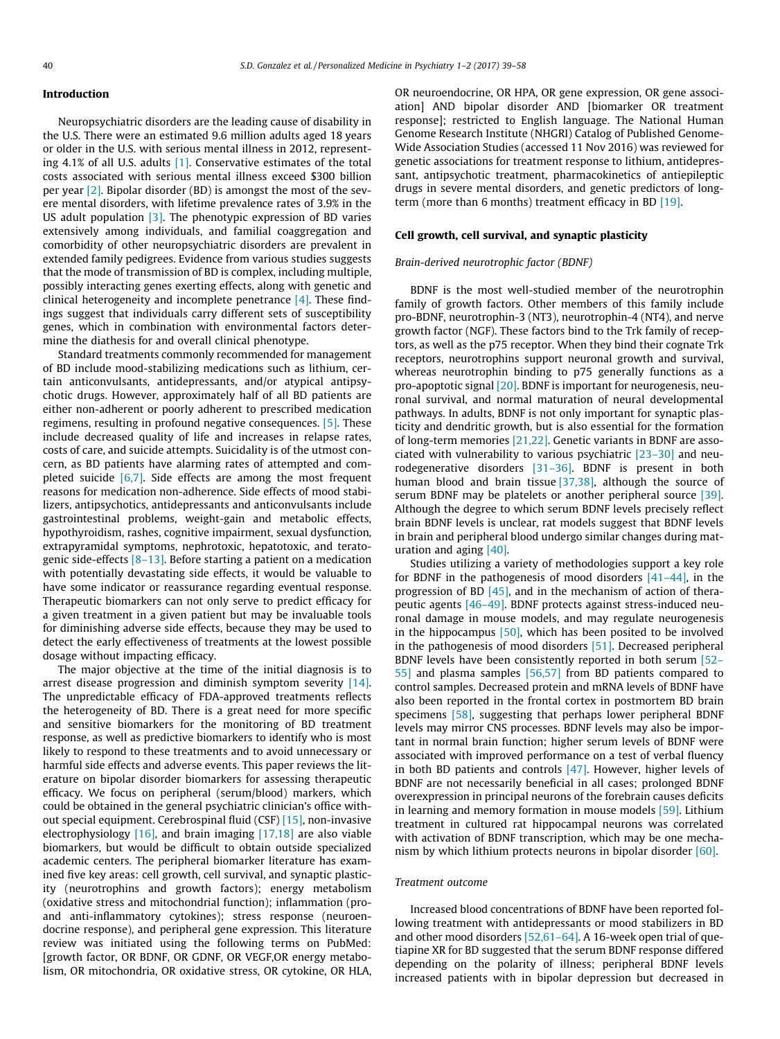# Introduction

Neuropsychiatric disorders are the leading cause of disability in the U.S. There were an estimated 9.6 million adults aged 18 years or older in the U.S. with serious mental illness in 2012, representing 4.1% of all U.S. adults [\[1\]](#page-13-0). Conservative estimates of the total costs associated with serious mental illness exceed \$300 billion per year [\[2\]](#page-13-0). Bipolar disorder (BD) is amongst the most of the severe mental disorders, with lifetime prevalence rates of 3.9% in the US adult population [\[3\]](#page-13-0). The phenotypic expression of BD varies extensively among individuals, and familial coaggregation and comorbidity of other neuropsychiatric disorders are prevalent in extended family pedigrees. Evidence from various studies suggests that the mode of transmission of BD is complex, including multiple, possibly interacting genes exerting effects, along with genetic and clinical heterogeneity and incomplete penetrance [\[4\].](#page-13-0) These findings suggest that individuals carry different sets of susceptibility genes, which in combination with environmental factors determine the diathesis for and overall clinical phenotype.

Standard treatments commonly recommended for management of BD include mood-stabilizing medications such as lithium, certain anticonvulsants, antidepressants, and/or atypical antipsychotic drugs. However, approximately half of all BD patients are either non-adherent or poorly adherent to prescribed medication regimens, resulting in profound negative consequences. [\[5\]](#page-13-0). These include decreased quality of life and increases in relapse rates, costs of care, and suicide attempts. Suicidality is of the utmost concern, as BD patients have alarming rates of attempted and completed suicide  $[6,7]$ . Side effects are among the most frequent reasons for medication non-adherence. Side effects of mood stabilizers, antipsychotics, antidepressants and anticonvulsants include gastrointestinal problems, weight-gain and metabolic effects, hypothyroidism, rashes, cognitive impairment, sexual dysfunction, extrapyramidal symptoms, nephrotoxic, hepatotoxic, and teratogenic side-effects  $[8-13]$ . Before starting a patient on a medication with potentially devastating side effects, it would be valuable to have some indicator or reassurance regarding eventual response. Therapeutic biomarkers can not only serve to predict efficacy for a given treatment in a given patient but may be invaluable tools for diminishing adverse side effects, because they may be used to detect the early effectiveness of treatments at the lowest possible dosage without impacting efficacy.

The major objective at the time of the initial diagnosis is to arrest disease progression and diminish symptom severity [\[14\].](#page-13-0) The unpredictable efficacy of FDA-approved treatments reflects the heterogeneity of BD. There is a great need for more specific and sensitive biomarkers for the monitoring of BD treatment response, as well as predictive biomarkers to identify who is most likely to respond to these treatments and to avoid unnecessary or harmful side effects and adverse events. This paper reviews the literature on bipolar disorder biomarkers for assessing therapeutic efficacy. We focus on peripheral (serum/blood) markers, which could be obtained in the general psychiatric clinician's office without special equipment. Cerebrospinal fluid (CSF) [\[15\]](#page-13-0), non-invasive electrophysiology [\[16\]](#page-13-0), and brain imaging [\[17,18\]](#page-13-0) are also viable biomarkers, but would be difficult to obtain outside specialized academic centers. The peripheral biomarker literature has examined five key areas: cell growth, cell survival, and synaptic plasticity (neurotrophins and growth factors); energy metabolism (oxidative stress and mitochondrial function); inflammation (proand anti-inflammatory cytokines); stress response (neuroendocrine response), and peripheral gene expression. This literature review was initiated using the following terms on PubMed: [growth factor, OR BDNF, OR GDNF, OR VEGF,OR energy metabolism, OR mitochondria, OR oxidative stress, OR cytokine, OR HLA, OR neuroendocrine, OR HPA, OR gene expression, OR gene association] AND bipolar disorder AND [biomarker OR treatment response]; restricted to English language. The National Human Genome Research Institute (NHGRI) Catalog of Published Genome-Wide Association Studies (accessed 11 Nov 2016) was reviewed for genetic associations for treatment response to lithium, antidepressant, antipsychotic treatment, pharmacokinetics of antiepileptic drugs in severe mental disorders, and genetic predictors of longterm (more than 6 months) treatment efficacy in BD [\[19\].](#page-13-0)

### Cell growth, cell survival, and synaptic plasticity

# Brain-derived neurotrophic factor (BDNF)

BDNF is the most well-studied member of the neurotrophin family of growth factors. Other members of this family include pro-BDNF, neurotrophin-3 (NT3), neurotrophin-4 (NT4), and nerve growth factor (NGF). These factors bind to the Trk family of receptors, as well as the p75 receptor. When they bind their cognate Trk receptors, neurotrophins support neuronal growth and survival, whereas neurotrophin binding to p75 generally functions as a pro-apoptotic signal [\[20\].](#page-13-0) BDNF is important for neurogenesis, neuronal survival, and normal maturation of neural developmental pathways. In adults, BDNF is not only important for synaptic plasticity and dendritic growth, but is also essential for the formation of long-term memories [\[21,22\]](#page-13-0). Genetic variants in BDNF are associated with vulnerability to various psychiatric [\[23–30\]](#page-13-0) and neurodegenerative disorders [\[31–36\].](#page-14-0) BDNF is present in both human blood and brain tissue [\[37,38\],](#page-14-0) although the source of serum BDNF may be platelets or another peripheral source [\[39\].](#page-14-0) Although the degree to which serum BDNF levels precisely reflect brain BDNF levels is unclear, rat models suggest that BDNF levels in brain and peripheral blood undergo similar changes during maturation and aging [\[40\]](#page-14-0).

Studies utilizing a variety of methodologies support a key role for BDNF in the pathogenesis of mood disorders  $[41-44]$ , in the progression of BD [\[45\]](#page-14-0), and in the mechanism of action of therapeutic agents [\[46–49\]](#page-14-0). BDNF protects against stress-induced neuronal damage in mouse models, and may regulate neurogenesis in the hippocampus  $[50]$ , which has been posited to be involved in the pathogenesis of mood disorders [\[51\]](#page-14-0). Decreased peripheral BDNF levels have been consistently reported in both serum [\[52–](#page-14-0) [55\]](#page-14-0) and plasma samples [\[56,57\]](#page-14-0) from BD patients compared to control samples. Decreased protein and mRNA levels of BDNF have also been reported in the frontal cortex in postmortem BD brain specimens [\[58\],](#page-14-0) suggesting that perhaps lower peripheral BDNF levels may mirror CNS processes. BDNF levels may also be important in normal brain function; higher serum levels of BDNF were associated with improved performance on a test of verbal fluency in both BD patients and controls [\[47\]](#page-14-0). However, higher levels of BDNF are not necessarily beneficial in all cases; prolonged BDNF overexpression in principal neurons of the forebrain causes deficits in learning and memory formation in mouse models [\[59\].](#page-14-0) Lithium treatment in cultured rat hippocampal neurons was correlated with activation of BDNF transcription, which may be one mechanism by which lithium protects neurons in bipolar disorder [\[60\].](#page-14-0)

#### Treatment outcome

Increased blood concentrations of BDNF have been reported following treatment with antidepressants or mood stabilizers in BD and other mood disorders [\[52,61–64\].](#page-14-0) A 16-week open trial of quetiapine XR for BD suggested that the serum BDNF response differed depending on the polarity of illness; peripheral BDNF levels increased patients with in bipolar depression but decreased in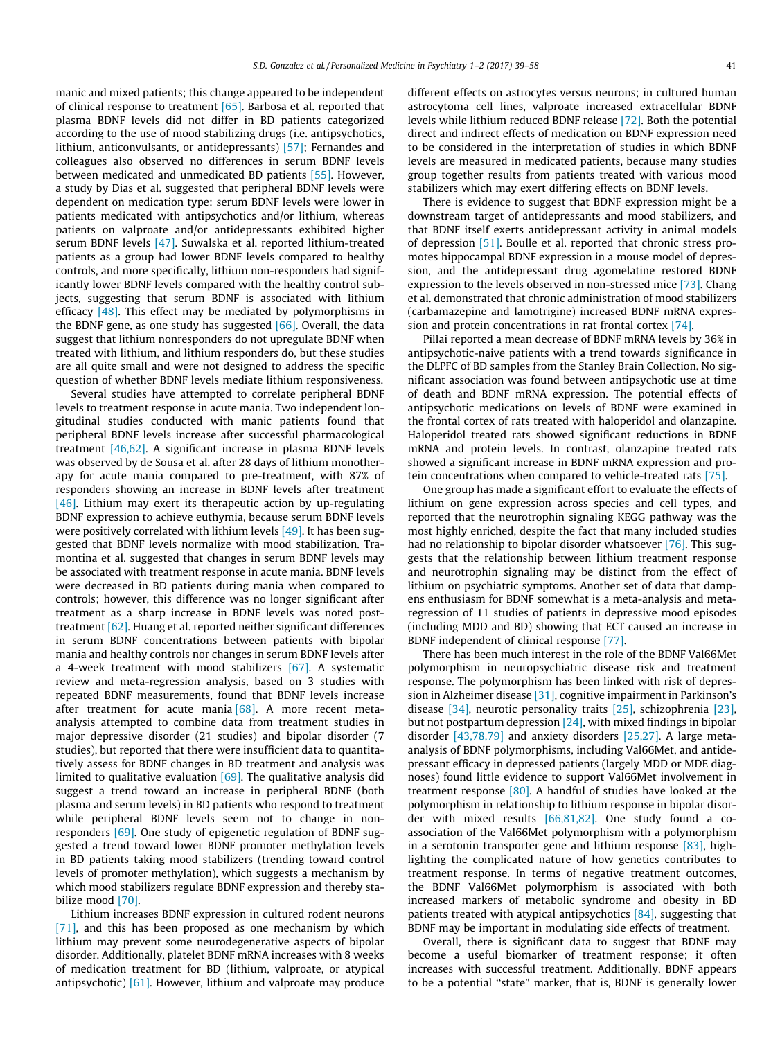manic and mixed patients; this change appeared to be independent of clinical response to treatment [\[65\].](#page-14-0) Barbosa et al. reported that plasma BDNF levels did not differ in BD patients categorized according to the use of mood stabilizing drugs (i.e. antipsychotics, lithium, anticonvulsants, or antidepressants) [\[57\];](#page-14-0) Fernandes and colleagues also observed no differences in serum BDNF levels between medicated and unmedicated BD patients [\[55\].](#page-14-0) However, a study by Dias et al. suggested that peripheral BDNF levels were dependent on medication type: serum BDNF levels were lower in patients medicated with antipsychotics and/or lithium, whereas patients on valproate and/or antidepressants exhibited higher serum BDNF levels [\[47\].](#page-14-0) Suwalska et al. reported lithium-treated patients as a group had lower BDNF levels compared to healthy controls, and more specifically, lithium non-responders had significantly lower BDNF levels compared with the healthy control subjects, suggesting that serum BDNF is associated with lithium efficacy [\[48\]](#page-14-0). This effect may be mediated by polymorphisms in the BDNF gene, as one study has suggested  $[66]$ . Overall, the data suggest that lithium nonresponders do not upregulate BDNF when treated with lithium, and lithium responders do, but these studies are all quite small and were not designed to address the specific question of whether BDNF levels mediate lithium responsiveness.

Several studies have attempted to correlate peripheral BDNF levels to treatment response in acute mania. Two independent longitudinal studies conducted with manic patients found that peripheral BDNF levels increase after successful pharmacological treatment [\[46,62\]](#page-14-0). A significant increase in plasma BDNF levels was observed by de Sousa et al. after 28 days of lithium monotherapy for acute mania compared to pre-treatment, with 87% of responders showing an increase in BDNF levels after treatment [\[46\].](#page-14-0) Lithium may exert its therapeutic action by up-regulating BDNF expression to achieve euthymia, because serum BDNF levels were positively correlated with lithium levels [\[49\].](#page-14-0) It has been suggested that BDNF levels normalize with mood stabilization. Tramontina et al. suggested that changes in serum BDNF levels may be associated with treatment response in acute mania. BDNF levels were decreased in BD patients during mania when compared to controls; however, this difference was no longer significant after treatment as a sharp increase in BDNF levels was noted posttreatment [\[62\].](#page-14-0) Huang et al. reported neither significant differences in serum BDNF concentrations between patients with bipolar mania and healthy controls nor changes in serum BDNF levels after a 4-week treatment with mood stabilizers [\[67\].](#page-14-0) A systematic review and meta-regression analysis, based on 3 studies with repeated BDNF measurements, found that BDNF levels increase after treatment for acute mania  $[68]$ . A more recent metaanalysis attempted to combine data from treatment studies in major depressive disorder (21 studies) and bipolar disorder (7 studies), but reported that there were insufficient data to quantitatively assess for BDNF changes in BD treatment and analysis was limited to qualitative evaluation  $[69]$ . The qualitative analysis did suggest a trend toward an increase in peripheral BDNF (both plasma and serum levels) in BD patients who respond to treatment while peripheral BDNF levels seem not to change in nonresponders [\[69\].](#page-14-0) One study of epigenetic regulation of BDNF suggested a trend toward lower BDNF promoter methylation levels in BD patients taking mood stabilizers (trending toward control levels of promoter methylation), which suggests a mechanism by which mood stabilizers regulate BDNF expression and thereby stabilize mood [\[70\]](#page-14-0).

Lithium increases BDNF expression in cultured rodent neurons [\[71\],](#page-14-0) and this has been proposed as one mechanism by which lithium may prevent some neurodegenerative aspects of bipolar disorder. Additionally, platelet BDNF mRNA increases with 8 weeks of medication treatment for BD (lithium, valproate, or atypical antipsychotic)  $[61]$ . However, lithium and valproate may produce different effects on astrocytes versus neurons; in cultured human astrocytoma cell lines, valproate increased extracellular BDNF levels while lithium reduced BDNF release [\[72\].](#page-14-0) Both the potential direct and indirect effects of medication on BDNF expression need to be considered in the interpretation of studies in which BDNF levels are measured in medicated patients, because many studies group together results from patients treated with various mood stabilizers which may exert differing effects on BDNF levels.

There is evidence to suggest that BDNF expression might be a downstream target of antidepressants and mood stabilizers, and that BDNF itself exerts antidepressant activity in animal models of depression [\[51\].](#page-14-0) Boulle et al. reported that chronic stress promotes hippocampal BDNF expression in a mouse model of depression, and the antidepressant drug agomelatine restored BDNF expression to the levels observed in non-stressed mice [\[73\].](#page-14-0) Chang et al. demonstrated that chronic administration of mood stabilizers (carbamazepine and lamotrigine) increased BDNF mRNA expression and protein concentrations in rat frontal cortex [\[74\]](#page-14-0).

Pillai reported a mean decrease of BDNF mRNA levels by 36% in antipsychotic-naive patients with a trend towards significance in the DLPFC of BD samples from the Stanley Brain Collection. No significant association was found between antipsychotic use at time of death and BDNF mRNA expression. The potential effects of antipsychotic medications on levels of BDNF were examined in the frontal cortex of rats treated with haloperidol and olanzapine. Haloperidol treated rats showed significant reductions in BDNF mRNA and protein levels. In contrast, olanzapine treated rats showed a significant increase in BDNF mRNA expression and protein concentrations when compared to vehicle-treated rats [\[75\].](#page-14-0)

One group has made a significant effort to evaluate the effects of lithium on gene expression across species and cell types, and reported that the neurotrophin signaling KEGG pathway was the most highly enriched, despite the fact that many included studies had no relationship to bipolar disorder whatsoever [\[76\]](#page-14-0). This suggests that the relationship between lithium treatment response and neurotrophin signaling may be distinct from the effect of lithium on psychiatric symptoms. Another set of data that dampens enthusiasm for BDNF somewhat is a meta-analysis and metaregression of 11 studies of patients in depressive mood episodes (including MDD and BD) showing that ECT caused an increase in BDNF independent of clinical response [\[77\].](#page-15-0)

There has been much interest in the role of the BDNF Val66Met polymorphism in neuropsychiatric disease risk and treatment response. The polymorphism has been linked with risk of depression in Alzheimer disease [\[31\],](#page-14-0) cognitive impairment in Parkinson's disease [\[34\]](#page-14-0), neurotic personality traits [\[25\]](#page-13-0), schizophrenia [\[23\],](#page-13-0) but not postpartum depression [\[24\]](#page-13-0), with mixed findings in bipolar disorder [\[43,78,79\]](#page-14-0) and anxiety disorders [\[25,27\]](#page-13-0). A large metaanalysis of BDNF polymorphisms, including Val66Met, and antidepressant efficacy in depressed patients (largely MDD or MDE diagnoses) found little evidence to support Val66Met involvement in treatment response  $[80]$ . A handful of studies have looked at the polymorphism in relationship to lithium response in bipolar disorder with mixed results [\[66,81,82\]](#page-14-0). One study found a coassociation of the Val66Met polymorphism with a polymorphism in a serotonin transporter gene and lithium response [\[83\]](#page-15-0), highlighting the complicated nature of how genetics contributes to treatment response. In terms of negative treatment outcomes, the BDNF Val66Met polymorphism is associated with both increased markers of metabolic syndrome and obesity in BD patients treated with atypical antipsychotics [\[84\],](#page-15-0) suggesting that BDNF may be important in modulating side effects of treatment.

Overall, there is significant data to suggest that BDNF may become a useful biomarker of treatment response; it often increases with successful treatment. Additionally, BDNF appears to be a potential ''state" marker, that is, BDNF is generally lower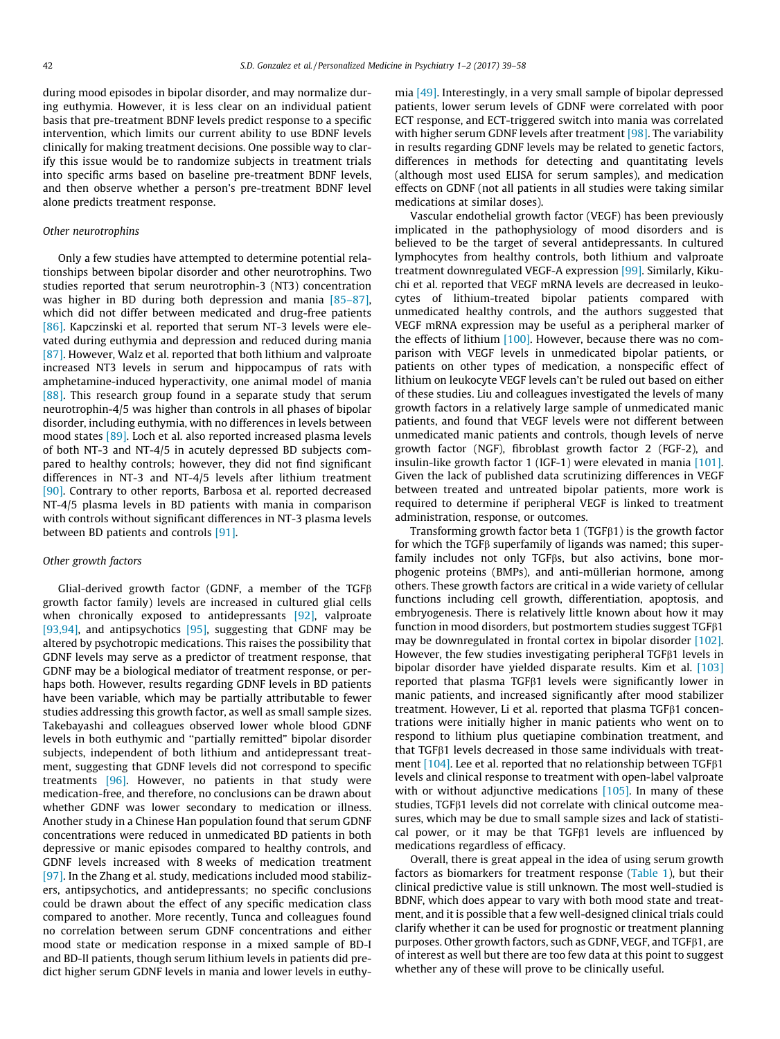during mood episodes in bipolar disorder, and may normalize during euthymia. However, it is less clear on an individual patient basis that pre-treatment BDNF levels predict response to a specific intervention, which limits our current ability to use BDNF levels clinically for making treatment decisions. One possible way to clarify this issue would be to randomize subjects in treatment trials into specific arms based on baseline pre-treatment BDNF levels, and then observe whether a person's pre-treatment BDNF level alone predicts treatment response.

#### Other neurotrophins

Only a few studies have attempted to determine potential relationships between bipolar disorder and other neurotrophins. Two studies reported that serum neurotrophin-3 (NT3) concentration was higher in BD during both depression and mania [\[85–87\],](#page-15-0) which did not differ between medicated and drug-free patients [\[86\]](#page-15-0). Kapczinski et al. reported that serum NT-3 levels were elevated during euthymia and depression and reduced during mania [\[87\]](#page-15-0). However, Walz et al. reported that both lithium and valproate increased NT3 levels in serum and hippocampus of rats with amphetamine-induced hyperactivity, one animal model of mania [\[88\]](#page-15-0). This research group found in a separate study that serum neurotrophin-4/5 was higher than controls in all phases of bipolar disorder, including euthymia, with no differences in levels between mood states [\[89\].](#page-15-0) Loch et al. also reported increased plasma levels of both NT-3 and NT-4/5 in acutely depressed BD subjects compared to healthy controls; however, they did not find significant differences in NT-3 and NT-4/5 levels after lithium treatment [\[90\]](#page-15-0). Contrary to other reports, Barbosa et al. reported decreased NT-4/5 plasma levels in BD patients with mania in comparison with controls without significant differences in NT-3 plasma levels between BD patients and controls [\[91\].](#page-15-0)

### Other growth factors

Glial-derived growth factor (GDNF, a member of the TGF $\beta$ growth factor family) levels are increased in cultured glial cells when chronically exposed to antidepressants [\[92\]](#page-15-0), valproate [\[93,94\],](#page-15-0) and antipsychotics [\[95\],](#page-15-0) suggesting that GDNF may be altered by psychotropic medications. This raises the possibility that GDNF levels may serve as a predictor of treatment response, that GDNF may be a biological mediator of treatment response, or perhaps both. However, results regarding GDNF levels in BD patients have been variable, which may be partially attributable to fewer studies addressing this growth factor, as well as small sample sizes. Takebayashi and colleagues observed lower whole blood GDNF levels in both euthymic and ''partially remitted" bipolar disorder subjects, independent of both lithium and antidepressant treatment, suggesting that GDNF levels did not correspond to specific treatments [\[96\]](#page-15-0). However, no patients in that study were medication-free, and therefore, no conclusions can be drawn about whether GDNF was lower secondary to medication or illness. Another study in a Chinese Han population found that serum GDNF concentrations were reduced in unmedicated BD patients in both depressive or manic episodes compared to healthy controls, and GDNF levels increased with 8 weeks of medication treatment [\[97\]](#page-15-0). In the Zhang et al. study, medications included mood stabilizers, antipsychotics, and antidepressants; no specific conclusions could be drawn about the effect of any specific medication class compared to another. More recently, Tunca and colleagues found no correlation between serum GDNF concentrations and either mood state or medication response in a mixed sample of BD-I and BD-II patients, though serum lithium levels in patients did predict higher serum GDNF levels in mania and lower levels in euthymia [\[49\].](#page-14-0) Interestingly, in a very small sample of bipolar depressed patients, lower serum levels of GDNF were correlated with poor ECT response, and ECT-triggered switch into mania was correlated with higher serum GDNF levels after treatment [\[98\].](#page-15-0) The variability in results regarding GDNF levels may be related to genetic factors, differences in methods for detecting and quantitating levels (although most used ELISA for serum samples), and medication effects on GDNF (not all patients in all studies were taking similar medications at similar doses).

Vascular endothelial growth factor (VEGF) has been previously implicated in the pathophysiology of mood disorders and is believed to be the target of several antidepressants. In cultured lymphocytes from healthy controls, both lithium and valproate treatment downregulated VEGF-A expression [\[99\]](#page-15-0). Similarly, Kikuchi et al. reported that VEGF mRNA levels are decreased in leukocytes of lithium-treated bipolar patients compared with unmedicated healthy controls, and the authors suggested that VEGF mRNA expression may be useful as a peripheral marker of the effects of lithium [\[100\].](#page-15-0) However, because there was no comparison with VEGF levels in unmedicated bipolar patients, or patients on other types of medication, a nonspecific effect of lithium on leukocyte VEGF levels can't be ruled out based on either of these studies. Liu and colleagues investigated the levels of many growth factors in a relatively large sample of unmedicated manic patients, and found that VEGF levels were not different between unmedicated manic patients and controls, though levels of nerve growth factor (NGF), fibroblast growth factor 2 (FGF-2), and insulin-like growth factor 1 (IGF-1) were elevated in mania [\[101\].](#page-15-0) Given the lack of published data scrutinizing differences in VEGF between treated and untreated bipolar patients, more work is required to determine if peripheral VEGF is linked to treatment administration, response, or outcomes.

Transforming growth factor beta  $1$  (TGF $\beta$ 1) is the growth factor for which the  $TGF\beta$  superfamily of ligands was named; this superfamily includes not only TGF $\beta$ s, but also activins, bone morphogenic proteins (BMPs), and anti-müllerian hormone, among others. These growth factors are critical in a wide variety of cellular functions including cell growth, differentiation, apoptosis, and embryogenesis. There is relatively little known about how it may function in mood disorders, but postmortem studies suggest TGFb1 may be downregulated in frontal cortex in bipolar disorder [\[102\].](#page-15-0) However, the few studies investigating peripheral TGF $\beta$ 1 levels in bipolar disorder have yielded disparate results. Kim et al. [\[103\]](#page-15-0) reported that plasma TGF<sub>B1</sub> levels were significantly lower in manic patients, and increased significantly after mood stabilizer treatment. However, Li et al. reported that plasma  $TGF\beta1$  concentrations were initially higher in manic patients who went on to respond to lithium plus quetiapine combination treatment, and that TGFβ1 levels decreased in those same individuals with treatment  $[104]$ . Lee et al. reported that no relationship between TGF $\beta$ 1 levels and clinical response to treatment with open-label valproate with or without adjunctive medications  $[105]$ . In many of these studies, TGF<sub>B1</sub> levels did not correlate with clinical outcome measures, which may be due to small sample sizes and lack of statistical power, or it may be that  $TGF\beta1$  levels are influenced by medications regardless of efficacy.

Overall, there is great appeal in the idea of using serum growth factors as biomarkers for treatment response [\(Table 1\)](#page-4-0), but their clinical predictive value is still unknown. The most well-studied is BDNF, which does appear to vary with both mood state and treatment, and it is possible that a few well-designed clinical trials could clarify whether it can be used for prognostic or treatment planning purposes. Other growth factors, such as GDNF, VEGF, and TGFB1, are of interest as well but there are too few data at this point to suggest whether any of these will prove to be clinically useful.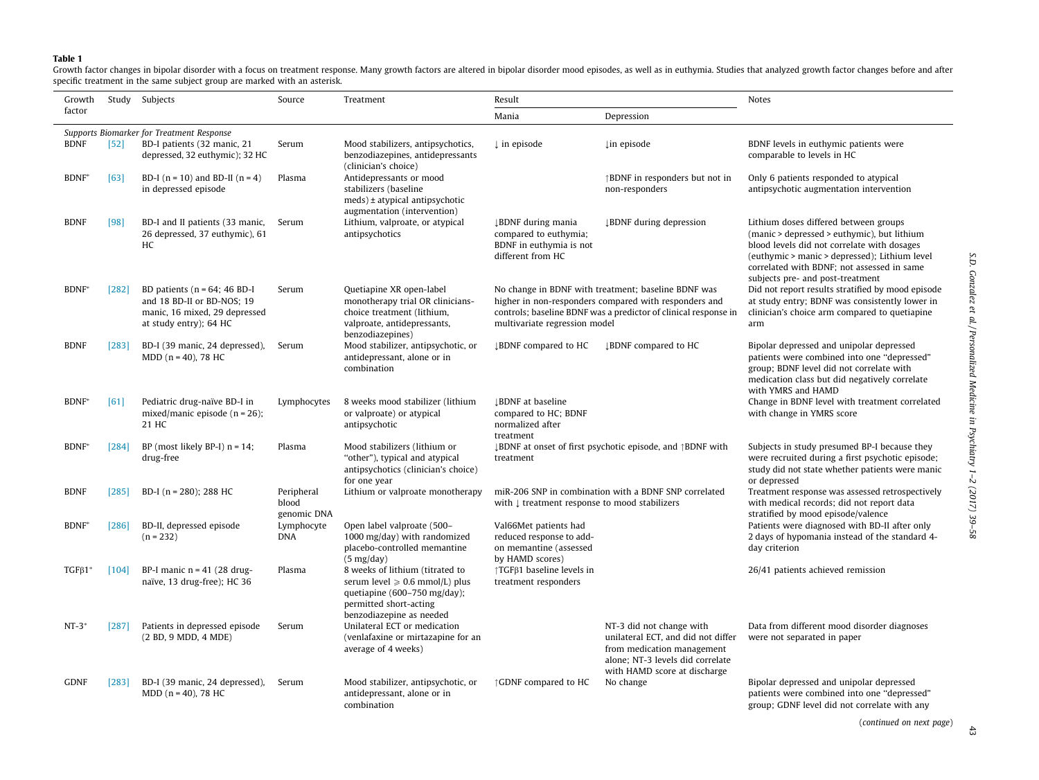#### <span id="page-4-0"></span>Table 1

Growth factor changes in bipolar disorder with a focus on treatment response. Many growth factors are altered in bipolar disorder mood episodes, as well as in euthymia. Studies that analyzed growth factor changes before an specific treatment in the same subject group are marked with an asterisk.

| Growth       |         | Study Subjects                                                                                                            | Source                             | Treatment                                                                                                                                                         | Result                                                                                             |                                                                                                                                                                                 | Notes                                                                                                                                                                                                                                                                  |  |  |
|--------------|---------|---------------------------------------------------------------------------------------------------------------------------|------------------------------------|-------------------------------------------------------------------------------------------------------------------------------------------------------------------|----------------------------------------------------------------------------------------------------|---------------------------------------------------------------------------------------------------------------------------------------------------------------------------------|------------------------------------------------------------------------------------------------------------------------------------------------------------------------------------------------------------------------------------------------------------------------|--|--|
| factor       |         |                                                                                                                           |                                    |                                                                                                                                                                   | Mania                                                                                              | Depression                                                                                                                                                                      |                                                                                                                                                                                                                                                                        |  |  |
|              |         | Supports Biomarker for Treatment Response                                                                                 |                                    |                                                                                                                                                                   |                                                                                                    |                                                                                                                                                                                 |                                                                                                                                                                                                                                                                        |  |  |
| <b>BDNF</b>  | $[52]$  | BD-I patients (32 manic, 21<br>depressed, 32 euthymic); 32 HC                                                             | Serum                              | Mood stabilizers, antipsychotics,<br>benzodiazepines, antidepressants<br>(clinician's choice)                                                                     | $\downarrow$ in episode                                                                            | $\downarrow$ in episode                                                                                                                                                         | BDNF levels in euthymic patients were<br>comparable to levels in HC                                                                                                                                                                                                    |  |  |
| <b>BDNF*</b> | [63]    | BD-I ( $n = 10$ ) and BD-II ( $n = 4$ )<br>in depressed episode                                                           | Plasma                             | Antidepressants or mood<br>stabilizers (baseline<br>$meds$ ) ± atypical antipsychotic<br>augmentation (intervention)                                              |                                                                                                    | ↑BDNF in responders but not in<br>non-responders                                                                                                                                | Only 6 patients responded to atypical<br>antipsychotic augmentation intervention                                                                                                                                                                                       |  |  |
| <b>BDNF</b>  | $[98]$  | BD-I and II patients (33 manic,<br>26 depressed, 37 euthymic), 61<br>HC                                                   | Serum                              | Lithium, valproate, or atypical<br>antipsychotics                                                                                                                 | <b>JBDNF</b> during mania<br>compared to euthymia;<br>BDNF in euthymia is not<br>different from HC | <b>JBDNF</b> during depression                                                                                                                                                  | Lithium doses differed between groups<br>(manic > depressed > euthymic), but lithium<br>blood levels did not correlate with dosages<br>(euthymic > manic > depressed); Lithium level<br>correlated with BDNF; not assessed in same<br>subjects pre- and post-treatment |  |  |
| <b>BDNF*</b> | [282]   | BD patients ( $n = 64$ ; 46 BD-I<br>and 18 BD-II or BD-NOS; 19<br>manic, 16 mixed, 29 depressed<br>at study entry); 64 HC | Serum                              | Quetiapine XR open-label<br>monotherapy trial OR clinicians-<br>choice treatment (lithium,<br>valproate, antidepressants,<br>benzodiazepines)                     | multivariate regression model                                                                      | No change in BDNF with treatment; baseline BDNF was<br>higher in non-responders compared with responders and<br>controls; baseline BDNF was a predictor of clinical response in | Did not report results stratified by mood episode<br>at study entry; BDNF was consistently lower in<br>clinician's choice arm compared to quetiapine<br>arm                                                                                                            |  |  |
| <b>BDNF</b>  | [283]   | BD-I (39 manic, 24 depressed),<br>MDD ( $n = 40$ ), 78 HC                                                                 | Serum                              | Mood stabilizer, antipsychotic, or<br>antidepressant, alone or in<br>combination                                                                                  | <b>JBDNF</b> compared to HC                                                                        | <b>JBDNF</b> compared to HC                                                                                                                                                     | Bipolar depressed and unipolar depressed<br>patients were combined into one "depressed"<br>group; BDNF level did not correlate with<br>medication class but did negatively correlate<br>with YMRS and HAMD                                                             |  |  |
| <b>BDNF*</b> | [61]    | Pediatric drug-naïve BD-I in<br>mixed/manic episode $(n = 26)$ ;<br>21 HC                                                 | Lymphocytes                        | 8 weeks mood stabilizer (lithium<br>or valproate) or atypical<br>antipsychotic                                                                                    | <b>IBDNF</b> at baseline<br>compared to HC; BDNF<br>normalized after<br>treatment                  |                                                                                                                                                                                 | Change in BDNF level with treatment correlated<br>with change in YMRS score                                                                                                                                                                                            |  |  |
| <b>BDNF*</b> | $[284]$ | BP (most likely BP-I) $n = 14$ ;<br>drug-free                                                                             | Plasma                             | Mood stabilizers (lithium or<br>"other"), typical and atypical<br>antipsychotics (clinician's choice)<br>for one year                                             | treatment                                                                                          | ↓BDNF at onset of first psychotic episode, and ↑BDNF with                                                                                                                       | Subjects in study presumed BP-I because they<br>were recruited during a first psychotic episode;<br>study did not state whether patients were manic<br>or depressed                                                                                                    |  |  |
| <b>BDNF</b>  | [285]   | BD-I ( $n = 280$ ); 288 HC                                                                                                | Peripheral<br>blood<br>genomic DNA | Lithium or valproate monotherapy                                                                                                                                  | with $\downarrow$ treatment response to mood stabilizers                                           | miR-206 SNP in combination with a BDNF SNP correlated                                                                                                                           | Treatment response was assessed retrospectively<br>with medical records; did not report data<br>stratified by mood episode/valence                                                                                                                                     |  |  |
| BDNF*        | [286]   | BD-II, depressed episode<br>$(n = 232)$                                                                                   | Lymphocyte<br><b>DNA</b>           | Open label valproate (500-<br>1000 mg/day) with randomized<br>placebo-controlled memantine<br>$(5 \text{ mg/day})$                                                | Val66Met patients had<br>reduced response to add-<br>on memantine (assessed<br>by HAMD scores)     |                                                                                                                                                                                 | Patients were diagnosed with BD-II after only<br>2 days of hypomania instead of the standard 4-<br>day criterion                                                                                                                                                       |  |  |
| $TGF\beta1*$ | [104]   | BP-I manic $n = 41$ (28 drug-<br>naïve, 13 drug-free); HC 36                                                              | Plasma                             | 8 weeks of lithium (titrated to<br>serum level $\geqslant 0.6$ mmol/L) plus<br>quetiapine (600-750 mg/day);<br>permitted short-acting<br>benzodiazepine as needed | $\uparrow$ TGF $\upbeta$ 1 baseline levels in<br>treatment responders                              |                                                                                                                                                                                 | 26/41 patients achieved remission                                                                                                                                                                                                                                      |  |  |
| $NT-3*$      | [287]   | Patients in depressed episode<br>(2 BD, 9 MDD, 4 MDE)                                                                     | Serum                              | Unilateral ECT or medication<br>(venlafaxine or mirtazapine for an<br>average of 4 weeks)                                                                         |                                                                                                    | NT-3 did not change with<br>unilateral ECT, and did not differ<br>from medication management<br>alone; NT-3 levels did correlate<br>with HAMD score at discharge                | Data from different mood disorder diagnoses<br>were not separated in paper                                                                                                                                                                                             |  |  |
| <b>GDNF</b>  | [283]   | BD-I (39 manic, 24 depressed),<br>MDD ( $n = 40$ ), 78 HC                                                                 | Serum                              | Mood stabilizer, antipsychotic, or<br>antidepressant, alone or in<br>combination                                                                                  | ↑GDNF compared to HC                                                                               | No change                                                                                                                                                                       | Bipolar depressed and unipolar depressed<br>patients were combined into one "depressed"<br>group; GDNF level did not correlate with any                                                                                                                                |  |  |

 $\ddot{3}$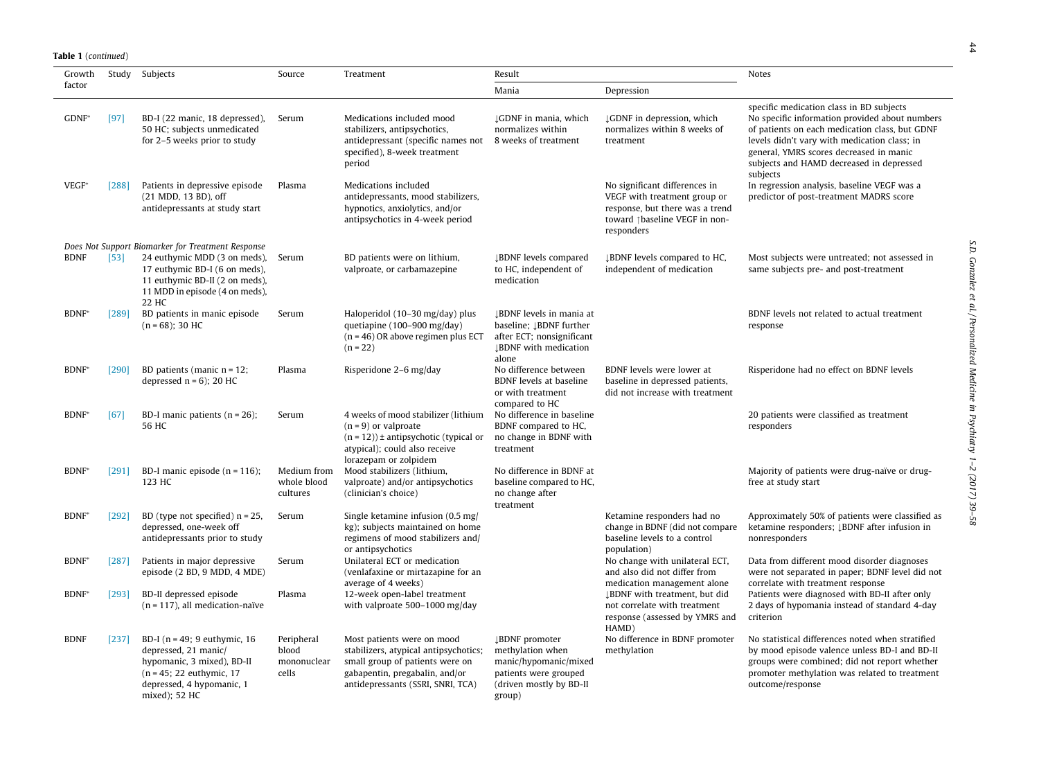Table 1 (continued)

| Growth        | Study   | Subjects                                                                                                                                                           | Source                                      | Treatment                                                                                                                                                                     | Result                                                                                                                           |                                                                                                                                                 | <b>Notes</b>                                                                                                                                                                                                                                                                                    |  |  |
|---------------|---------|--------------------------------------------------------------------------------------------------------------------------------------------------------------------|---------------------------------------------|-------------------------------------------------------------------------------------------------------------------------------------------------------------------------------|----------------------------------------------------------------------------------------------------------------------------------|-------------------------------------------------------------------------------------------------------------------------------------------------|-------------------------------------------------------------------------------------------------------------------------------------------------------------------------------------------------------------------------------------------------------------------------------------------------|--|--|
| factor        |         |                                                                                                                                                                    |                                             |                                                                                                                                                                               | Mania                                                                                                                            | Depression                                                                                                                                      |                                                                                                                                                                                                                                                                                                 |  |  |
| $GDNF^*$      | [97]    | BD-I (22 manic, 18 depressed),<br>50 HC; subjects unmedicated<br>for 2-5 weeks prior to study                                                                      | Serum                                       | Medications included mood<br>stabilizers, antipsychotics,<br>antidepressant (specific names not<br>specified), 8-week treatment<br>period                                     | LGDNF in mania, which<br>normalizes within<br>8 weeks of treatment                                                               | LGDNF in depression, which<br>normalizes within 8 weeks of<br>treatment                                                                         | specific medication class in BD subjects<br>No specific information provided about numbers<br>of patients on each medication class, but GDNF<br>levels didn't vary with medication class; in<br>general, YMRS scores decreased in manic<br>subjects and HAMD decreased in depressed<br>subjects |  |  |
| VEGF*         | [288]   | Patients in depressive episode<br>(21 MDD, 13 BD), off<br>antidepressants at study start                                                                           | Plasma                                      | Medications included<br>antidepressants, mood stabilizers,<br>hypnotics, anxiolytics, and/or<br>antipsychotics in 4-week period                                               |                                                                                                                                  | No significant differences in<br>VEGF with treatment group or<br>response, but there was a trend<br>toward 1baseline VEGF in non-<br>responders | In regression analysis, baseline VEGF was a<br>predictor of post-treatment MADRS score                                                                                                                                                                                                          |  |  |
|               |         | Does Not Support Biomarker for Treatment Response                                                                                                                  |                                             |                                                                                                                                                                               |                                                                                                                                  |                                                                                                                                                 |                                                                                                                                                                                                                                                                                                 |  |  |
| <b>BDNF</b>   | $[53]$  | 24 euthymic MDD (3 on meds),<br>17 euthymic BD-I (6 on meds),<br>11 euthymic BD-II (2 on meds),<br>11 MDD in episode (4 on meds),<br>22 HC                         | Serum                                       | BD patients were on lithium,<br>valproate, or carbamazepine                                                                                                                   | <b>JBDNF</b> levels compared<br>to HC, independent of<br>medication                                                              | <b>JBDNF</b> levels compared to HC,<br>independent of medication                                                                                | Most subjects were untreated; not assessed in<br>same subjects pre- and post-treatment                                                                                                                                                                                                          |  |  |
| <b>BDNF</b> * | $[289]$ | BD patients in manic episode<br>$(n = 68)$ ; 30 HC                                                                                                                 | Serum                                       | Haloperidol (10-30 mg/day) plus<br>quetiapine (100-900 mg/day)<br>$(n = 46)$ OR above regimen plus ECT<br>$(n = 22)$                                                          | <b>IBDNF</b> levels in mania at<br>baseline; JBDNF further<br>after ECT; nonsignificant<br><b>JBDNF</b> with medication<br>alone |                                                                                                                                                 | BDNF levels not related to actual treatment<br>response                                                                                                                                                                                                                                         |  |  |
| BDNF*         | [290]   | BD patients (manic $n = 12$ ;<br>depressed $n = 6$ ); 20 HC                                                                                                        | Plasma                                      | Risperidone 2-6 mg/day                                                                                                                                                        | No difference between<br>BDNF levels at baseline<br>or with treatment<br>compared to HC                                          | BDNF levels were lower at<br>baseline in depressed patients,<br>did not increase with treatment                                                 | Risperidone had no effect on BDNF levels                                                                                                                                                                                                                                                        |  |  |
| BDNF*         | [67]    | BD-I manic patients $(n = 26)$ ;<br>56 HC                                                                                                                          | Serum                                       | 4 weeks of mood stabilizer (lithium<br>$(n = 9)$ or valproate<br>$(n = 12)$ ± antipsychotic (typical or<br>atypical); could also receive<br>lorazepam or zolpidem             | No difference in baseline<br>BDNF compared to HC,<br>no change in BDNF with<br>treatment                                         |                                                                                                                                                 | 20 patients were classified as treatment<br>responders                                                                                                                                                                                                                                          |  |  |
| <b>BDNF</b> * | [291]   | BD-I manic episode ( $n = 116$ );<br>123 HC                                                                                                                        | Medium from<br>whole blood<br>cultures      | Mood stabilizers (lithium,<br>valproate) and/or antipsychotics<br>(clinician's choice)                                                                                        | No difference in BDNF at<br>baseline compared to HC,<br>no change after<br>treatment                                             |                                                                                                                                                 | Majority of patients were drug-naïve or drug-<br>free at study start                                                                                                                                                                                                                            |  |  |
| <b>BDNF*</b>  | [292]   | BD (type not specified) $n = 25$ ,<br>depressed, one-week off<br>antidepressants prior to study                                                                    | Serum                                       | Single ketamine infusion (0.5 mg/<br>kg); subjects maintained on home<br>regimens of mood stabilizers and/<br>or antipsychotics                                               |                                                                                                                                  | Ketamine responders had no<br>change in BDNF (did not compare<br>baseline levels to a control<br>population)                                    | Approximately 50% of patients were classified as<br>ketamine responders; JBDNF after infusion in<br>nonresponders                                                                                                                                                                               |  |  |
| <b>BDNF</b> * | $[287]$ | Patients in major depressive<br>episode (2 BD, 9 MDD, 4 MDE)                                                                                                       | Serum                                       | Unilateral ECT or medication<br>(venlafaxine or mirtazapine for an<br>average of 4 weeks)                                                                                     |                                                                                                                                  | No change with unilateral ECT,<br>and also did not differ from<br>medication management alone                                                   | Data from different mood disorder diagnoses<br>were not separated in paper; BDNF level did not<br>correlate with treatment response                                                                                                                                                             |  |  |
| <b>BDNF</b>   | [293]   | BD-II depressed episode<br>$(n = 117)$ , all medication-naïve                                                                                                      | Plasma                                      | 12-week open-label treatment<br>with valproate 500-1000 mg/day                                                                                                                |                                                                                                                                  | JBDNF with treatment, but did<br>not correlate with treatment<br>response (assessed by YMRS and<br>HAMD)                                        | Patients were diagnosed with BD-II after only<br>2 days of hypomania instead of standard 4-day<br>criterion                                                                                                                                                                                     |  |  |
| <b>BDNF</b>   | $[237]$ | BD-I ( $n = 49$ ; 9 euthymic, 16<br>depressed, 21 manic/<br>hypomanic, 3 mixed), BD-II<br>$(n = 45; 22$ euthymic, 17<br>depressed, 4 hypomanic, 1<br>mixed); 52 HC | Peripheral<br>blood<br>mononuclear<br>cells | Most patients were on mood<br>stabilizers, atypical antipsychotics;<br>small group of patients were on<br>gabapentin, pregabalin, and/or<br>antidepressants (SSRI, SNRI, TCA) | ↓BDNF promoter<br>methylation when<br>manic/hypomanic/mixed<br>patients were grouped<br>(driven mostly by BD-II<br>group)        | No difference in BDNF promoter<br>methylation                                                                                                   | No statistical differences noted when stratified<br>by mood episode valence unless BD-I and BD-II<br>groups were combined; did not report whether<br>promoter methylation was related to treatment<br>outcome/response                                                                          |  |  |

44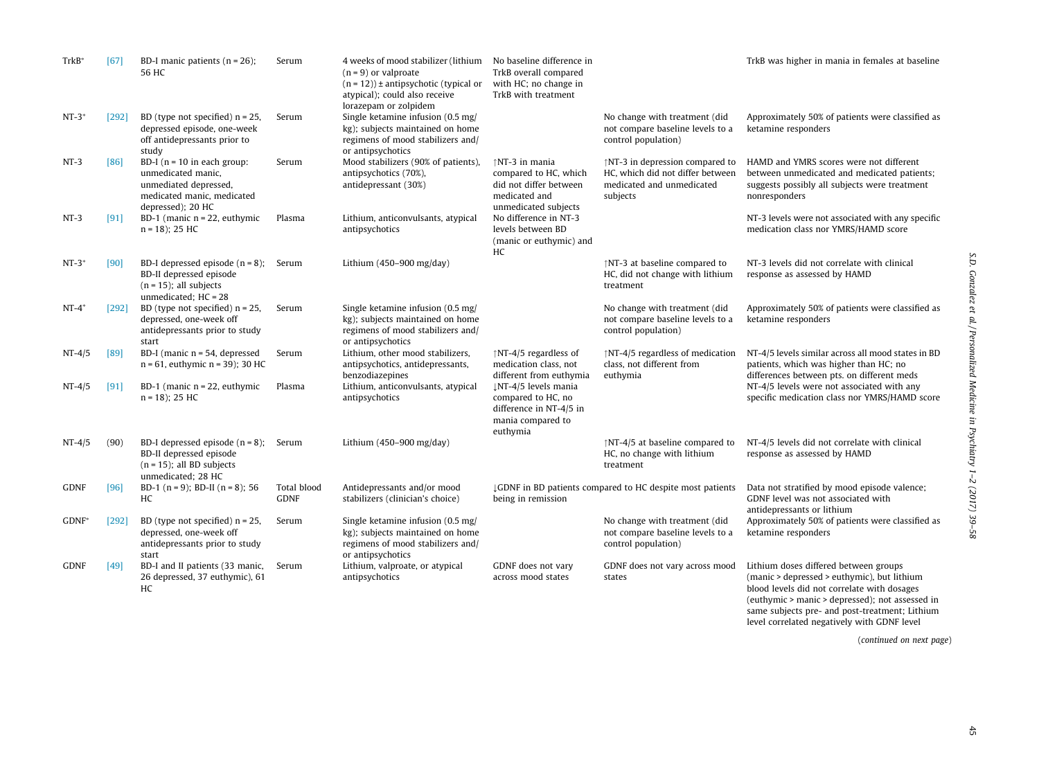| TrkB*       | [67]    | BD-I manic patients $(n = 26)$ ;<br>56 HC                                                                                        | Serum                      | 4 weeks of mood stabilizer (lithium<br>$(n = 9)$ or valproate<br>$(n = 12)$ ± antipsychotic (typical or<br>atypical); could also receive<br>lorazepam or zolpidem | No baseline difference in<br>TrkB overall compared<br>with HC; no change in<br>TrkB with treatment         |                                                                                                                        | TrkB was higher in mania in females at baseline                                                                                                                                        |
|-------------|---------|----------------------------------------------------------------------------------------------------------------------------------|----------------------------|-------------------------------------------------------------------------------------------------------------------------------------------------------------------|------------------------------------------------------------------------------------------------------------|------------------------------------------------------------------------------------------------------------------------|----------------------------------------------------------------------------------------------------------------------------------------------------------------------------------------|
| $NT-3*$     | [292]   | BD (type not specified) $n = 25$ ,<br>depressed episode, one-week<br>off antidepressants prior to<br>study                       | Serum                      | Single ketamine infusion (0.5 mg/<br>kg); subjects maintained on home<br>regimens of mood stabilizers and/<br>or antipsychotics                                   |                                                                                                            | No change with treatment (did<br>not compare baseline levels to a<br>control population)                               | Approximately 50% of patients were classified as<br>ketamine responders                                                                                                                |
| $NT-3$      | [86]    | BD-I ( $n = 10$ in each group:<br>unmedicated manic,<br>unmediated depressed,<br>medicated manic, medicated<br>depressed); 20 HC | Serum                      | Mood stabilizers (90% of patients),<br>antipsychotics (70%),<br>antidepressant (30%)                                                                              | ↑NT-3 in mania<br>compared to HC, which<br>did not differ between<br>medicated and<br>unmedicated subjects | $\uparrow$ NT-3 in depression compared to<br>HC, which did not differ between<br>medicated and unmedicated<br>subjects | HAMD and YMRS scores were not different<br>between unmedicated and medicated patients;<br>suggests possibly all subjects were treatment<br>nonresponders                               |
| $NT-3$      | [91]    | BD-1 (manic $n = 22$ , euthymic<br>$n = 18$ ; 25 HC                                                                              | Plasma                     | Lithium, anticonvulsants, atypical<br>antipsychotics                                                                                                              | No difference in NT-3<br>levels between BD<br>(manic or euthymic) and<br>НC                                |                                                                                                                        | NT-3 levels were not associated with any specific<br>medication class nor YMRS/HAMD score                                                                                              |
| $NT-3*$     | [90]    | BD-I depressed episode $(n = 8)$ ;<br>BD-II depressed episode<br>$(n = 15)$ ; all subjects<br>unmedicated; $HC = 28$             | Serum                      | Lithium $(450-900 \text{ mg/day})$                                                                                                                                |                                                                                                            | ↑NT-3 at baseline compared to<br>HC, did not change with lithium<br>treatment                                          | NT-3 levels did not correlate with clinical<br>response as assessed by HAMD                                                                                                            |
| $NT-4*$     | [292]   | BD (type not specified) $n = 25$ ,<br>depressed, one-week off<br>antidepressants prior to study<br>start                         | Serum                      | Single ketamine infusion (0.5 mg/<br>kg); subjects maintained on home<br>regimens of mood stabilizers and/<br>or antipsychotics                                   |                                                                                                            | No change with treatment (did<br>not compare baseline levels to a<br>control population)                               | Approximately 50% of patients were classified as<br>ketamine responders                                                                                                                |
| $NT-4/5$    | [89]    | BD-I (manic $n = 54$ , depressed<br>$n = 61$ , euthymic $n = 39$ ; 30 HC                                                         | Serum                      | Lithium, other mood stabilizers,<br>antipsychotics, antidepressants,<br>benzodiazepines                                                                           | $\uparrow$ NT-4/5 regardless of<br>medication class, not<br>different from euthymia                        | $\uparrow$ NT-4/5 regardless of medication<br>class, not different from<br>euthymia                                    | NT-4/5 levels similar across all mood states in BD<br>patients, which was higher than HC; no<br>differences between pts. on different meds                                             |
| $NT-4/5$    | [91]    | BD-1 (manic $n = 22$ , euthymic<br>$n = 18$ ; 25 HC                                                                              | Plasma                     | Lithium, anticonvulsants, atypical<br>antipsychotics                                                                                                              | JNT-4/5 levels mania<br>compared to HC, no<br>difference in NT-4/5 in<br>mania compared to<br>euthymia     |                                                                                                                        | NT-4/5 levels were not associated with any<br>specific medication class nor YMRS/HAMD score                                                                                            |
| $NT-4/5$    | (90)    | BD-I depressed episode $(n = 8)$ ;<br>BD-II depressed episode<br>$(n = 15)$ ; all BD subjects<br>unmedicated; 28 HC              | Serum                      | Lithium $(450-900 \text{ mg/day})$                                                                                                                                |                                                                                                            | ↑NT-4/5 at baseline compared to<br>HC, no change with lithium<br>treatment                                             | NT-4/5 levels did not correlate with clinical<br>response as assessed by HAMD                                                                                                          |
| <b>GDNF</b> | [96]    | BD-1 ( $n = 9$ ); BD-II ( $n = 8$ ); 56<br>HC                                                                                    | Total blood<br><b>GDNF</b> | Antidepressants and/or mood<br>stabilizers (clinician's choice)                                                                                                   | being in remission                                                                                         | JGDNF in BD patients compared to HC despite most patients                                                              | Data not stratified by mood episode valence;<br>GDNF level was not associated with<br>antidepressants or lithium                                                                       |
| GDNF*       | $[292]$ | BD (type not specified) $n = 25$ ,<br>depressed, one-week off<br>antidepressants prior to study<br>start                         | Serum                      | Single ketamine infusion (0.5 mg/<br>kg); subjects maintained on home<br>regimens of mood stabilizers and/<br>or antipsychotics                                   |                                                                                                            | No change with treatment (did<br>not compare baseline levels to a<br>control population)                               | Approximately 50% of patients were classified as<br>ketamine responders                                                                                                                |
| <b>GDNF</b> | [49]    | BD-I and II patients (33 manic,<br>26 depressed, 37 euthymic), 61<br>HC                                                          | Serum                      | Lithium, valproate, or atypical<br>antipsychotics                                                                                                                 | GDNF does not vary<br>across mood states                                                                   | GDNF does not vary across mood<br>states                                                                               | Lithium doses differed between groups<br>(manic > depressed > euthymic), but lithium<br>blood levels did not correlate with dosages<br>(euthymic > manic > depressed); not assessed in |

(continued on next page)

same subjects pre- and post-treatment; Lithium level correlated negatively with GDNF level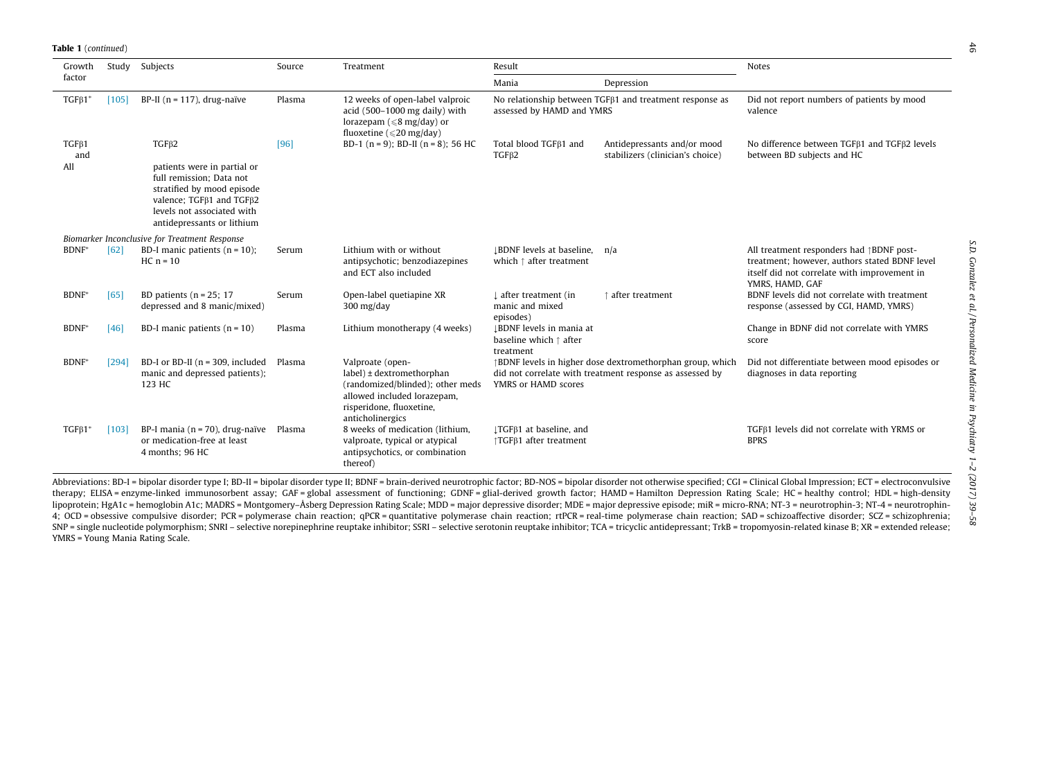#### **Table 1** (continued)

| Growth        | Study | Subjects                                                                                                                                                                                              | Source | Treatment                                                                                                                                                        | Result                                                                          |                                                                                                                       | Notes                                                                                                                                                                  |
|---------------|-------|-------------------------------------------------------------------------------------------------------------------------------------------------------------------------------------------------------|--------|------------------------------------------------------------------------------------------------------------------------------------------------------------------|---------------------------------------------------------------------------------|-----------------------------------------------------------------------------------------------------------------------|------------------------------------------------------------------------------------------------------------------------------------------------------------------------|
| factor        |       |                                                                                                                                                                                                       |        |                                                                                                                                                                  | Mania                                                                           | Depression                                                                                                            |                                                                                                                                                                        |
| TGFB1         | 1051  | BP-II ( $n = 117$ ), drug-naïve                                                                                                                                                                       | Plasma | 12 weeks of open-label valproic<br>acid $(500-1000 \text{ mg daily})$ with<br>lorazepam ( $\leq 8$ mg/day) or<br>fluoxetine ( $\leq 20$ mg/day)                  | assessed by HAMD and YMRS                                                       | No relationship between TGF <sub>B1</sub> and treatment response as                                                   | Did not report numbers of patients by mood<br>valence                                                                                                                  |
| TGFB1<br>and  |       | TGF <sub>B2</sub>                                                                                                                                                                                     | [96]   | BD-1 ( $n = 9$ ); BD-II ( $n = 8$ ); 56 HC                                                                                                                       | Total blood TGF <sub>B1</sub> and<br>TGFB2                                      | Antidepressants and/or mood<br>stabilizers (clinician's choice)                                                       | No difference between TGFβ1 and TGFβ2 levels<br>between BD subjects and HC                                                                                             |
| All           |       | patients were in partial or<br>full remission; Data not<br>stratified by mood episode<br>valence; TGF <sub>B1</sub> and TGF <sub>B2</sub><br>levels not associated with<br>antidepressants or lithium |        |                                                                                                                                                                  |                                                                                 |                                                                                                                       |                                                                                                                                                                        |
|               |       | Biomarker Inconclusive for Treatment Response                                                                                                                                                         |        |                                                                                                                                                                  |                                                                                 |                                                                                                                       |                                                                                                                                                                        |
| <b>BDNF</b> * | [62]  | BD-I manic patients ( $n = 10$ );<br>$HC_n = 10$                                                                                                                                                      | Serum  | Lithium with or without<br>antipsychotic; benzodiazepines<br>and ECT also included                                                                               | <b>IBDNF</b> levels at baseline, n/a<br>which $\uparrow$ after treatment        |                                                                                                                       | All treatment responders had $\uparrow$ BDNF post-<br>treatment; however, authors stated BDNF level<br>itself did not correlate with improvement in<br>YMRS, HAMD, GAF |
| <b>BDNF</b>   | [65]  | BD patients ( $n = 25$ ; 17<br>depressed and 8 manic/mixed)                                                                                                                                           | Serum  | Open-label quetiapine XR<br>$300 \frac{\text{mg}}{\text{day}}$                                                                                                   | I after treatment (in<br>manic and mixed<br>episodes)                           | after treatment                                                                                                       | BDNF levels did not correlate with treatment<br>response (assessed by CGI, HAMD, YMRS)                                                                                 |
| <b>BDNF</b>   | [46]  | BD-I manic patients $(n = 10)$                                                                                                                                                                        | Plasma | Lithium monotherapy (4 weeks)                                                                                                                                    | <b>IBDNF</b> levels in mania at<br>baseline which $\uparrow$ after<br>treatment |                                                                                                                       | Change in BDNF did not correlate with YMRS<br>score                                                                                                                    |
| <b>BDNF</b> * | [294] | BD-I or BD-II ( $n = 309$ , included<br>manic and depressed patients);<br>123 HC                                                                                                                      | Plasma | Valproate (open-<br>label) ± dextromethorphan<br>(randomized/blinded); other meds<br>allowed included lorazepam,<br>risperidone, fluoxetine,<br>anticholinergics | YMRS or HAMD scores                                                             | ¡BDNF levels in higher dose dextromethorphan group, which<br>did not correlate with treatment response as assessed by | Did not differentiate between mood episodes or<br>diagnoses in data reporting                                                                                          |
| $TGFB1*$      | [103] | BP-I mania ( $n = 70$ ), drug-naïve<br>or medication-free at least<br>4 months; 96 HC                                                                                                                 | Plasma | 8 weeks of medication (lithium,<br>valproate, typical or atypical<br>antipsychotics, or combination<br>thereof)                                                  | LTGF <sub>β1</sub> at baseline, and<br>↑TGFβ1 after treatment                   |                                                                                                                       | TGF <sub>B1</sub> levels did not correlate with YRMS or<br><b>BPRS</b>                                                                                                 |

Abbreviations: BD-I = bipolar disorder type I; BD-II = bipolar disorder type II; BDNF = brain-derived neurotrophic factor; BD-NOS = bipolar disorder not otherwise specified; CGI = Clinical Global Impression; ECT = electroc therapy; ELISA <sup>=</sup> enzyme-linked immunosorbent assay; GAF <sup>=</sup> global assessment of functioning; GDNF <sup>=</sup> glial-derived growth factor; HAMD <sup>=</sup> Hamilton Depression Rating Scale; HC <sup>=</sup> healthy control; HDL <sup>=</sup> high-density lipoprotein; HgA1c = hemoglobin A1c; MADRS = Montgomery–Åsberg Depression Rating Scale; MDD = major depressive disorder; MDE = major depressive episode; miR = micro-RNA; NT-3 = neurotrophin-3; NT-4 = neurotrophin-4; OCD <sup>=</sup> obsessive compulsive disorder; PCR <sup>=</sup> polymerase chain reaction; qPCR <sup>=</sup> quantitative polymerase chain reaction; rtPCR <sup>=</sup> real-time polymerase chain reaction; SAD <sup>=</sup> schizoaffective disorder; SCZ <sup>=</sup> schizophrenia; SNP = single nucleotide polymorphism; SNRI - selective norepinephrine reuptake inhibitor; SSRI - selective serotonin reuptake inhibitor; TCA = tricyclic antidepressant; TrkB = tropomyosin-related kinase B; XR = extended re YMRS <sup>=</sup> Young Mania Rating Scale.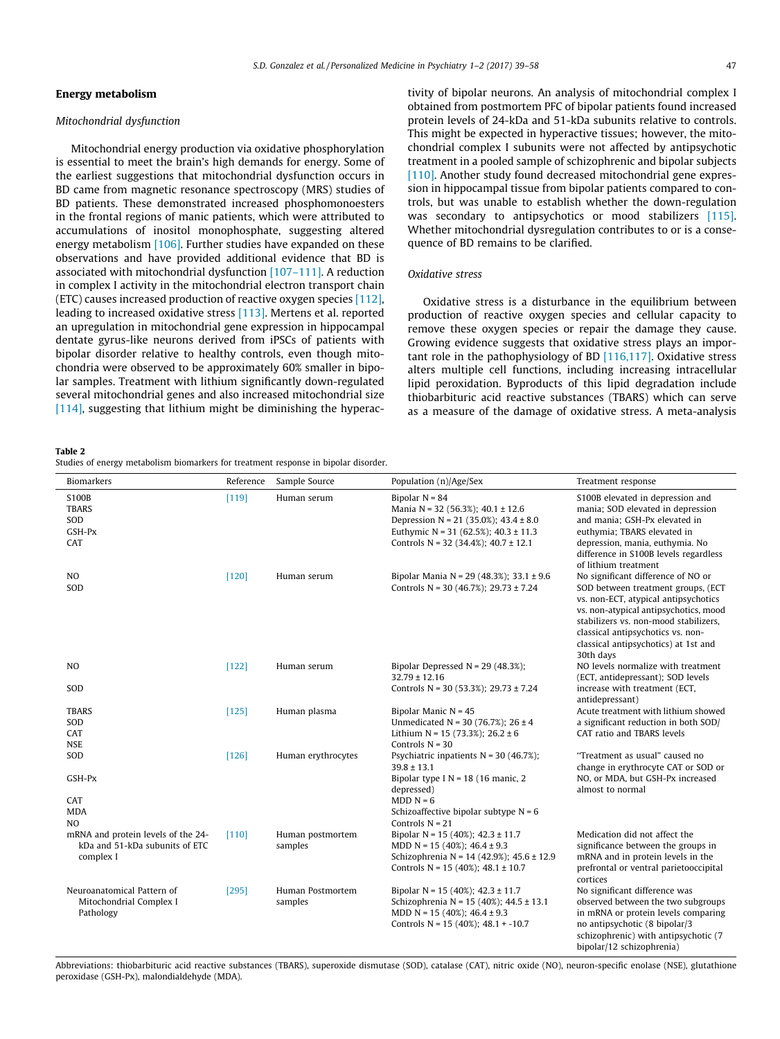# <span id="page-8-0"></span>Energy metabolism

#### Mitochondrial dysfunction

Mitochondrial energy production via oxidative phosphorylation is essential to meet the brain's high demands for energy. Some of the earliest suggestions that mitochondrial dysfunction occurs in BD came from magnetic resonance spectroscopy (MRS) studies of BD patients. These demonstrated increased phosphomonoesters in the frontal regions of manic patients, which were attributed to accumulations of inositol monophosphate, suggesting altered energy metabolism [\[106\].](#page-15-0) Further studies have expanded on these observations and have provided additional evidence that BD is associated with mitochondrial dysfunction [\[107–111\]](#page-15-0). A reduction in complex I activity in the mitochondrial electron transport chain (ETC) causes increased production of reactive oxygen species [\[112\],](#page-15-0) leading to increased oxidative stress [\[113\]](#page-15-0). Mertens et al. reported an upregulation in mitochondrial gene expression in hippocampal dentate gyrus-like neurons derived from iPSCs of patients with bipolar disorder relative to healthy controls, even though mitochondria were observed to be approximately 60% smaller in bipolar samples. Treatment with lithium significantly down-regulated several mitochondrial genes and also increased mitochondrial size [\[114\],](#page-15-0) suggesting that lithium might be diminishing the hyperac-

Table 2 Studies of energy metabolism biomarkers for treatment response in bipolar disorder.

tivity of bipolar neurons. An analysis of mitochondrial complex I obtained from postmortem PFC of bipolar patients found increased protein levels of 24-kDa and 51-kDa subunits relative to controls. This might be expected in hyperactive tissues; however, the mitochondrial complex I subunits were not affected by antipsychotic treatment in a pooled sample of schizophrenic and bipolar subjects [\[110\].](#page-15-0) Another study found decreased mitochondrial gene expression in hippocampal tissue from bipolar patients compared to controls, but was unable to establish whether the down-regulation was secondary to antipsychotics or mood stabilizers [\[115\].](#page-15-0) Whether mitochondrial dysregulation contributes to or is a conse-

#### Oxidative stress

quence of BD remains to be clarified.

Oxidative stress is a disturbance in the equilibrium between production of reactive oxygen species and cellular capacity to remove these oxygen species or repair the damage they cause. Growing evidence suggests that oxidative stress plays an important role in the pathophysiology of BD [\[116,117\]](#page-15-0). Oxidative stress alters multiple cell functions, including increasing intracellular lipid peroxidation. Byproducts of this lipid degradation include thiobarbituric acid reactive substances (TBARS) which can serve as a measure of the damage of oxidative stress. A meta-analysis

| $[120]$ | Human serum                 | Bipolar Mania N = 29 (48.3%); 33.1 ± 9.6                                                                                                                            | of lithium treatment                                                                                                                                                                                                                                                                         |
|---------|-----------------------------|---------------------------------------------------------------------------------------------------------------------------------------------------------------------|----------------------------------------------------------------------------------------------------------------------------------------------------------------------------------------------------------------------------------------------------------------------------------------------|
|         |                             | Controls N = 30 (46.7%); $29.73 \pm 7.24$                                                                                                                           | No significant difference of NO or<br>SOD between treatment groups, (ECT<br>vs. non-ECT, atypical antipsychotics<br>vs. non-atypical antipsychotics, mood<br>stabilizers vs. non-mood stabilizers,<br>classical antipsychotics vs. non-<br>classical antipsychotics) at 1st and<br>30th days |
| [122]   | Human serum                 | Bipolar Depressed $N = 29$ (48.3%);<br>$32.79 \pm 12.16$                                                                                                            | NO levels normalize with treatment<br>(ECT, antidepressant); SOD levels                                                                                                                                                                                                                      |
|         |                             |                                                                                                                                                                     | increase with treatment (ECT,<br>antidepressant)                                                                                                                                                                                                                                             |
| [125]   | Human plasma                | Bipolar Manic $N = 45$<br>Unmedicated N = 30 (76.7%); $26 \pm 4$<br>Lithium N = $15(73.3%)$ ; $26.2 \pm 6$                                                          | Acute treatment with lithium showed<br>a significant reduction in both SOD/<br>CAT ratio and TBARS levels                                                                                                                                                                                    |
| [126]   | Human erythrocytes          | Psychiatric inpatients $N = 30$ (46.7%);<br>$39.8 \pm 13.1$                                                                                                         | "Treatment as usual" caused no<br>change in erythrocyte CAT or SOD or                                                                                                                                                                                                                        |
|         |                             | Bipolar type I $N = 18$ (16 manic, 2)<br>depressed)                                                                                                                 | NO, or MDA, but GSH-Px increased<br>almost to normal                                                                                                                                                                                                                                         |
|         |                             | Schizoaffective bipolar subtype $N = 6$<br>Controls $N = 21$                                                                                                        |                                                                                                                                                                                                                                                                                              |
| $[110]$ | Human postmortem<br>samples | Bipolar N = $15(40\%)$ ; $42.3 \pm 11.7$<br>MDD N = 15 (40%); $46.4 \pm 9.3$<br>Schizophrenia N = 14 (42.9%); 45.6 ± 12.9<br>Controls N = $15(40\%)$ ; 48.1 ± 10.7  | Medication did not affect the<br>significance between the groups in<br>mRNA and in protein levels in the<br>prefrontal or ventral parietooccipital<br>cortices                                                                                                                               |
| [295]   | Human Postmortem<br>samples | Bipolar N = 15 (40%); $42.3 \pm 11.7$<br>Schizophrenia N = 15 (40%); $44.5 \pm 13.1$<br>MDD N = 15 (40%); $46.4 \pm 9.3$<br>Controls $N = 15 (40\%)$ ; 48.1 + -10.7 | No significant difference was<br>observed between the two subgroups<br>in mRNA or protein levels comparing<br>no antipsychotic (8 bipolar/3<br>schizophrenic) with antipsychotic (7<br>bipolar/12 schizophrenia)                                                                             |
|         |                             |                                                                                                                                                                     | Controls N = 30 (53.3%); $29.73 \pm 7.24$<br>Controls $N = 30$<br>$MDD N = 6$<br>bbreviations: thiobarbituric acid reactive substances (TBARS), superoxide dismutase (SOD), catalase (CAT), nitric oxide (NO), neuron-specific enolase (NSE), glutathione                                    |

Biomarkers **Reference Sample Source** Population (n)/Age/Sex Treatment response

Abbreviations: thiobarbituric acid reactive substances (TBARS), superoxide dismutase (SOD), catalase (CAT), nitric oxide (NO), neuron-specific enolase (NSE), glutathione peroxidase (GSH-Px), malondialdehyde (MDA).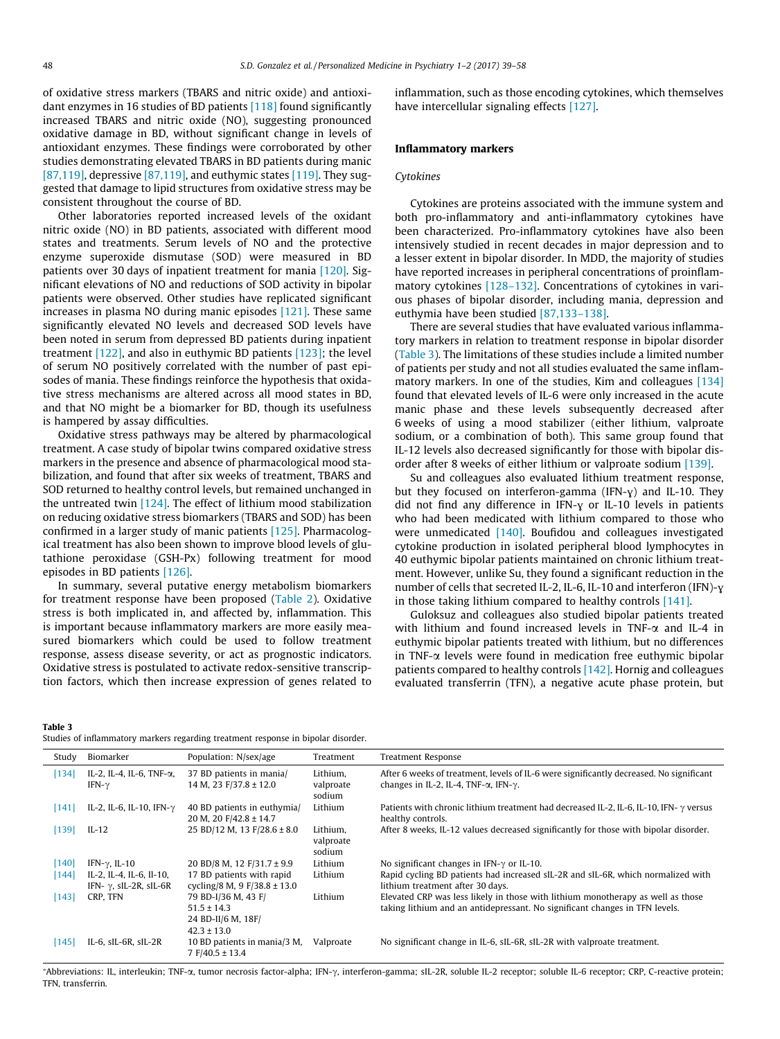of oxidative stress markers (TBARS and nitric oxide) and antioxidant enzymes in 16 studies of BD patients [\[118\]](#page-15-0) found significantly increased TBARS and nitric oxide (NO), suggesting pronounced oxidative damage in BD, without significant change in levels of antioxidant enzymes. These findings were corroborated by other studies demonstrating elevated TBARS in BD patients during manic [\[87,119\]](#page-15-0), depressive [\[87,119\],](#page-15-0) and euthymic states [\[119\]](#page-15-0). They suggested that damage to lipid structures from oxidative stress may be consistent throughout the course of BD.

Other laboratories reported increased levels of the oxidant nitric oxide (NO) in BD patients, associated with different mood states and treatments. Serum levels of NO and the protective enzyme superoxide dismutase (SOD) were measured in BD patients over 30 days of inpatient treatment for mania [\[120\].](#page-15-0) Significant elevations of NO and reductions of SOD activity in bipolar patients were observed. Other studies have replicated significant increases in plasma NO during manic episodes [\[121\].](#page-15-0) These same significantly elevated NO levels and decreased SOD levels have been noted in serum from depressed BD patients during inpatient treatment [\[122\]](#page-15-0), and also in euthymic BD patients [\[123\];](#page-15-0) the level of serum NO positively correlated with the number of past episodes of mania. These findings reinforce the hypothesis that oxidative stress mechanisms are altered across all mood states in BD, and that NO might be a biomarker for BD, though its usefulness is hampered by assay difficulties.

Oxidative stress pathways may be altered by pharmacological treatment. A case study of bipolar twins compared oxidative stress markers in the presence and absence of pharmacological mood stabilization, and found that after six weeks of treatment, TBARS and SOD returned to healthy control levels, but remained unchanged in the untreated twin [\[124\].](#page-15-0) The effect of lithium mood stabilization on reducing oxidative stress biomarkers (TBARS and SOD) has been confirmed in a larger study of manic patients [\[125\]](#page-15-0). Pharmacological treatment has also been shown to improve blood levels of glutathione peroxidase (GSH-Px) following treatment for mood episodes in BD patients [\[126\].](#page-15-0)

In summary, several putative energy metabolism biomarkers for treatment response have been proposed [\(Table 2](#page-8-0)). Oxidative stress is both implicated in, and affected by, inflammation. This is important because inflammatory markers are more easily measured biomarkers which could be used to follow treatment response, assess disease severity, or act as prognostic indicators. Oxidative stress is postulated to activate redox-sensitive transcription factors, which then increase expression of genes related to inflammation, such as those encoding cytokines, which themselves have intercellular signaling effects [\[127\]](#page-15-0).

## Inflammatory markers

### Cytokines

Cytokines are proteins associated with the immune system and both pro-inflammatory and anti-inflammatory cytokines have been characterized. Pro-inflammatory cytokines have also been intensively studied in recent decades in major depression and to a lesser extent in bipolar disorder. In MDD, the majority of studies have reported increases in peripheral concentrations of proinflammatory cytokines [\[128–132\]](#page-15-0). Concentrations of cytokines in various phases of bipolar disorder, including mania, depression and euthymia have been studied [\[87,133–138\]](#page-15-0).

There are several studies that have evaluated various inflammatory markers in relation to treatment response in bipolar disorder (Table 3). The limitations of these studies include a limited number of patients per study and not all studies evaluated the same inflammatory markers. In one of the studies, Kim and colleagues [\[134\]](#page-16-0) found that elevated levels of IL-6 were only increased in the acute manic phase and these levels subsequently decreased after 6 weeks of using a mood stabilizer (either lithium, valproate sodium, or a combination of both). This same group found that IL-12 levels also decreased significantly for those with bipolar disorder after 8 weeks of either lithium or valproate sodium [\[139\]](#page-16-0).

Su and colleagues also evaluated lithium treatment response, but they focused on interferon-gamma (IFN-ɣ) and IL-10. They did not find any difference in IFN-ɣ or IL-10 levels in patients who had been medicated with lithium compared to those who were unmedicated [\[140\]](#page-16-0). Boufidou and colleagues investigated cytokine production in isolated peripheral blood lymphocytes in 40 euthymic bipolar patients maintained on chronic lithium treatment. However, unlike Su, they found a significant reduction in the number of cells that secreted IL-2, IL-6, IL-10 and interferon (IFN)-ɣ in those taking lithium compared to healthy controls [\[141\].](#page-16-0)

Guloksuz and colleagues also studied bipolar patients treated with lithium and found increased levels in TNF- $\alpha$  and IL-4 in euthymic bipolar patients treated with lithium, but no differences in TNF- $\alpha$  levels were found in medication free euthymic bipolar patients compared to healthy controls [\[142\]](#page-16-0). Hornig and colleagues evaluated transferrin (TFN), a negative acute phase protein, but

Table 3

|  |  |  |  |  | Studies of inflammatory markers regarding treatment response in bipolar disorder. |  |  |  |  |  |  |  |  |  |
|--|--|--|--|--|-----------------------------------------------------------------------------------|--|--|--|--|--|--|--|--|--|
|--|--|--|--|--|-----------------------------------------------------------------------------------|--|--|--|--|--|--|--|--|--|

| Study   | Biomarker                                                  | Population: N/sex/age                                                           | Treatment                       | Treatment Response                                                                                                                                             |
|---------|------------------------------------------------------------|---------------------------------------------------------------------------------|---------------------------------|----------------------------------------------------------------------------------------------------------------------------------------------------------------|
| [134]   | IL-2, IL-4, IL-6, TNF- $\alpha$ ,<br>IFN- $\gamma$         | 37 BD patients in mania/<br>$14 M$ , 23 F/37.8 ± 12.0                           | Lithium.<br>valproate<br>sodium | After 6 weeks of treatment, levels of IL-6 were significantly decreased. No significant<br>changes in IL-2, IL-4, TNF- $\alpha$ , IFN- $\gamma$ .              |
| [141]   | IL-2, IL-6, IL-10, IFN- $\gamma$                           | 40 BD patients in euthymia/<br>20 M, 20 F/42.8 $\pm$ 14.7                       | Lithium                         | Patients with chronic lithium treatment had decreased IL-2, IL-6, IL-10, IFN- $\gamma$ versus<br>healthy controls.                                             |
| [139]   | $IL-12$                                                    | 25 BD/12 M, 13 F/28.6 $\pm$ 8.0                                                 | Lithium,<br>valproate<br>sodium | After 8 weeks, IL-12 values decreased significantly for those with bipolar disorder.                                                                           |
| $[140]$ | IFN- $\gamma$ , IL-10                                      | 20 BD/8 M, 12 F/31.7 ± 9.9                                                      | Lithium                         | No significant changes in IFN- $\gamma$ or IL-10.                                                                                                              |
| [144]   | IL-2, IL-4, IL-6, Il-10,<br>IFN- $\gamma$ , sIL-2R, sIL-6R | 17 BD patients with rapid<br>cycling/8 M, 9 $F/38.8 \pm 13.0$                   | Lithium                         | Rapid cycling BD patients had increased sIL-2R and sIL-6R, which normalized with<br>lithium treatment after 30 days.                                           |
| [143]   | CRP, TFN                                                   | 79 BD-I/36 M, 43 F/<br>$51.5 \pm 14.3$<br>24 BD-II/6 M, 18F/<br>$42.3 \pm 13.0$ | Lithium                         | Elevated CRP was less likely in those with lithium monotherapy as well as those<br>taking lithium and an antidepressant. No significant changes in TFN levels. |
| [145]   | IL-6, sIL-6R, sIL-2R                                       | 10 BD patients in mania/3 M,<br>7 F/40.5 ± 13.4                                 | Valproate                       | No significant change in IL-6, sIL-6R, sIL-2R with valproate treatment.                                                                                        |

⁄ Abbreviations: IL, interleukin; TNF-a, tumor necrosis factor-alpha; IFN-c, interferon-gamma; sIL-2R, soluble IL-2 receptor; soluble IL-6 receptor; CRP, C-reactive protein; TFN, transferrin.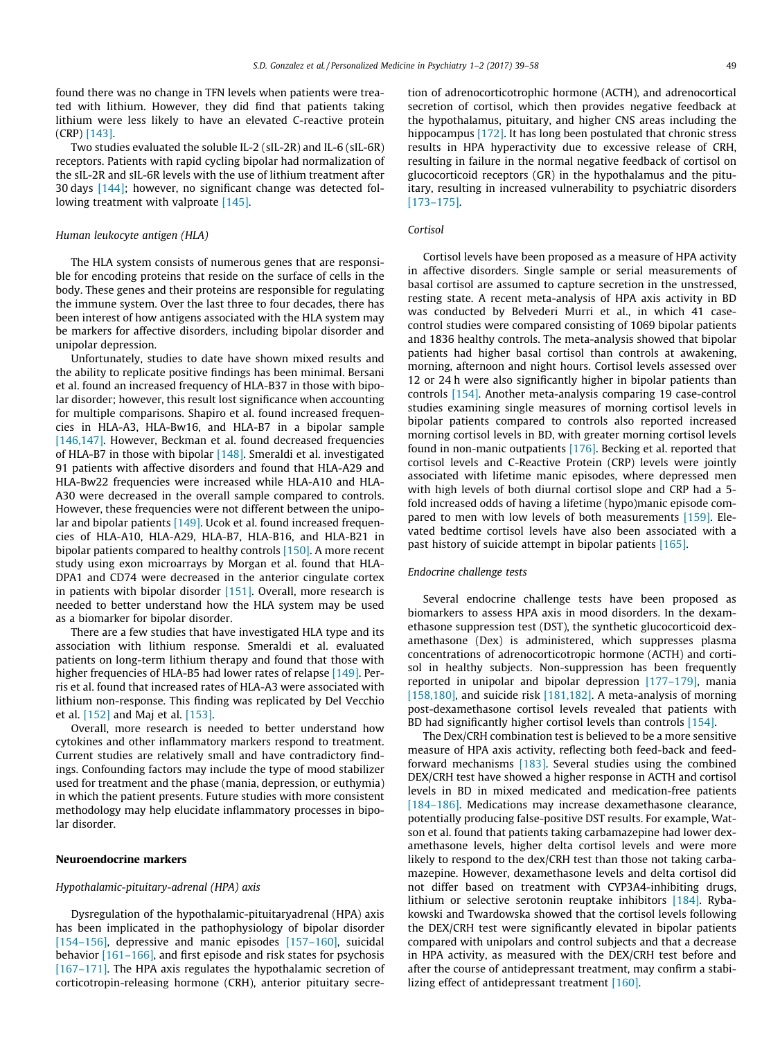found there was no change in TFN levels when patients were treated with lithium. However, they did find that patients taking lithium were less likely to have an elevated C-reactive protein (CRP) [\[143\]](#page-16-0).

Two studies evaluated the soluble IL-2 (sIL-2R) and IL-6 (sIL-6R) receptors. Patients with rapid cycling bipolar had normalization of the sIL-2R and sIL-6R levels with the use of lithium treatment after 30 days [\[144\]](#page-16-0); however, no significant change was detected fol-lowing treatment with valproate [\[145\].](#page-16-0)

## Human leukocyte antigen (HLA)

The HLA system consists of numerous genes that are responsible for encoding proteins that reside on the surface of cells in the body. These genes and their proteins are responsible for regulating the immune system. Over the last three to four decades, there has been interest of how antigens associated with the HLA system may be markers for affective disorders, including bipolar disorder and unipolar depression.

Unfortunately, studies to date have shown mixed results and the ability to replicate positive findings has been minimal. Bersani et al. found an increased frequency of HLA-B37 in those with bipolar disorder; however, this result lost significance when accounting for multiple comparisons. Shapiro et al. found increased frequencies in HLA-A3, HLA-Bw16, and HLA-B7 in a bipolar sample [\[146,147\].](#page-16-0) However, Beckman et al. found decreased frequencies of HLA-B7 in those with bipolar [\[148\].](#page-16-0) Smeraldi et al. investigated 91 patients with affective disorders and found that HLA-A29 and HLA-Bw22 frequencies were increased while HLA-A10 and HLA-A30 were decreased in the overall sample compared to controls. However, these frequencies were not different between the unipolar and bipolar patients [\[149\].](#page-16-0) Ucok et al. found increased frequencies of HLA-A10, HLA-A29, HLA-B7, HLA-B16, and HLA-B21 in bipolar patients compared to healthy controls [\[150\].](#page-16-0) A more recent study using exon microarrays by Morgan et al. found that HLA-DPA1 and CD74 were decreased in the anterior cingulate cortex in patients with bipolar disorder [\[151\]](#page-16-0). Overall, more research is needed to better understand how the HLA system may be used as a biomarker for bipolar disorder.

There are a few studies that have investigated HLA type and its association with lithium response. Smeraldi et al. evaluated patients on long-term lithium therapy and found that those with higher frequencies of HLA-B5 had lower rates of relapse [\[149\]](#page-16-0). Perris et al. found that increased rates of HLA-A3 were associated with lithium non-response. This finding was replicated by Del Vecchio et al. [\[152\]](#page-16-0) and Maj et al. [\[153\]](#page-16-0).

Overall, more research is needed to better understand how cytokines and other inflammatory markers respond to treatment. Current studies are relatively small and have contradictory findings. Confounding factors may include the type of mood stabilizer used for treatment and the phase (mania, depression, or euthymia) in which the patient presents. Future studies with more consistent methodology may help elucidate inflammatory processes in bipolar disorder.

#### Neuroendocrine markers

### Hypothalamic-pituitary-adrenal (HPA) axis

Dysregulation of the hypothalamic-pituitaryadrenal (HPA) axis has been implicated in the pathophysiology of bipolar disorder [\[154–156\],](#page-16-0) depressive and manic episodes [\[157–160\],](#page-16-0) suicidal behavior [\[161–166\]](#page-16-0), and first episode and risk states for psychosis [\[167–171\].](#page-16-0) The HPA axis regulates the hypothalamic secretion of corticotropin-releasing hormone (CRH), anterior pituitary secretion of adrenocorticotrophic hormone (ACTH), and adrenocortical secretion of cortisol, which then provides negative feedback at the hypothalamus, pituitary, and higher CNS areas including the hippocampus [\[172\].](#page-16-0) It has long been postulated that chronic stress results in HPA hyperactivity due to excessive release of CRH, resulting in failure in the normal negative feedback of cortisol on glucocorticoid receptors (GR) in the hypothalamus and the pituitary, resulting in increased vulnerability to psychiatric disorders [\[173–175\].](#page-16-0)

# Cortisol

Cortisol levels have been proposed as a measure of HPA activity in affective disorders. Single sample or serial measurements of basal cortisol are assumed to capture secretion in the unstressed, resting state. A recent meta-analysis of HPA axis activity in BD was conducted by Belvederi Murri et al., in which 41 casecontrol studies were compared consisting of 1069 bipolar patients and 1836 healthy controls. The meta-analysis showed that bipolar patients had higher basal cortisol than controls at awakening, morning, afternoon and night hours. Cortisol levels assessed over 12 or 24 h were also significantly higher in bipolar patients than controls [\[154\]](#page-16-0). Another meta-analysis comparing 19 case-control studies examining single measures of morning cortisol levels in bipolar patients compared to controls also reported increased morning cortisol levels in BD, with greater morning cortisol levels found in non-manic outpatients [\[176\]](#page-16-0). Becking et al. reported that cortisol levels and C-Reactive Protein (CRP) levels were jointly associated with lifetime manic episodes, where depressed men with high levels of both diurnal cortisol slope and CRP had a 5 fold increased odds of having a lifetime (hypo)manic episode compared to men with low levels of both measurements [\[159\]](#page-16-0). Elevated bedtime cortisol levels have also been associated with a past history of suicide attempt in bipolar patients [\[165\]](#page-16-0).

## Endocrine challenge tests

Several endocrine challenge tests have been proposed as biomarkers to assess HPA axis in mood disorders. In the dexamethasone suppression test (DST), the synthetic glucocorticoid dexamethasone (Dex) is administered, which suppresses plasma concentrations of adrenocorticotropic hormone (ACTH) and cortisol in healthy subjects. Non-suppression has been frequently reported in unipolar and bipolar depression [\[177–179\]](#page-16-0), mania [\[158,180\],](#page-16-0) and suicide risk [\[181,182\].](#page-16-0) A meta-analysis of morning post-dexamethasone cortisol levels revealed that patients with BD had significantly higher cortisol levels than controls [\[154\].](#page-16-0)

The Dex/CRH combination test is believed to be a more sensitive measure of HPA axis activity, reflecting both feed-back and feedforward mechanisms [\[183\].](#page-16-0) Several studies using the combined DEX/CRH test have showed a higher response in ACTH and cortisol levels in BD in mixed medicated and medication-free patients [\[184–186\].](#page-16-0) Medications may increase dexamethasone clearance, potentially producing false-positive DST results. For example, Watson et al. found that patients taking carbamazepine had lower dexamethasone levels, higher delta cortisol levels and were more likely to respond to the dex/CRH test than those not taking carbamazepine. However, dexamethasone levels and delta cortisol did not differ based on treatment with CYP3A4-inhibiting drugs, lithium or selective serotonin reuptake inhibitors [\[184\]](#page-16-0). Rybakowski and Twardowska showed that the cortisol levels following the DEX/CRH test were significantly elevated in bipolar patients compared with unipolars and control subjects and that a decrease in HPA activity, as measured with the DEX/CRH test before and after the course of antidepressant treatment, may confirm a stabilizing effect of antidepressant treatment [\[160\].](#page-16-0)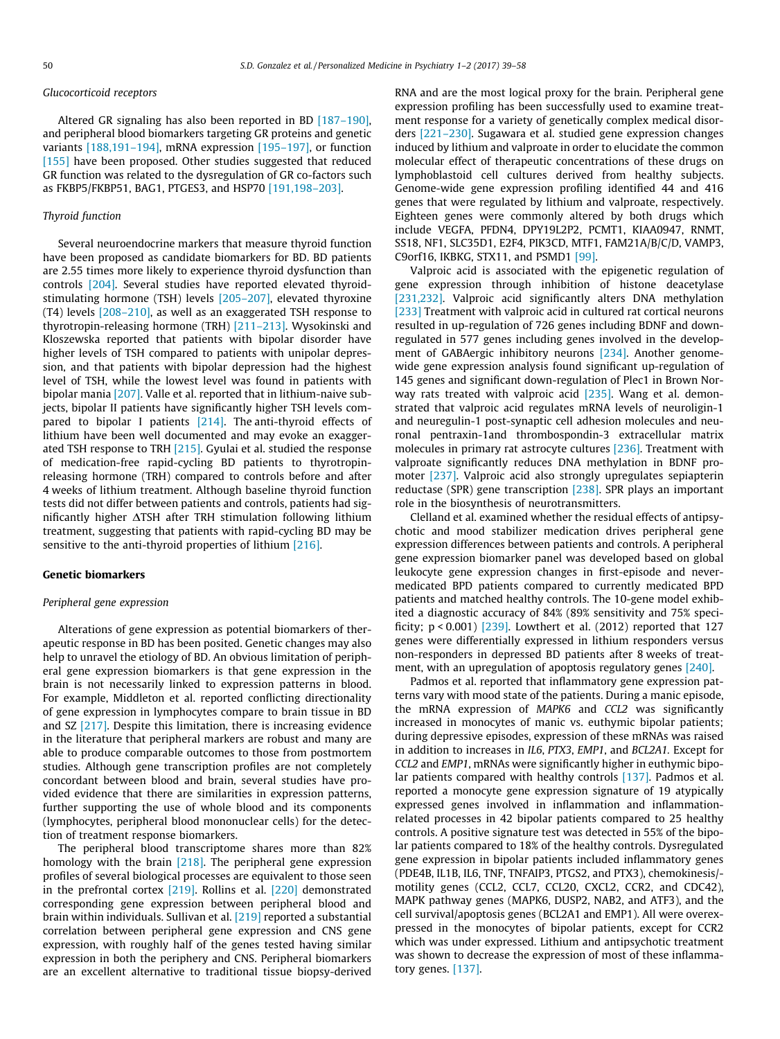#### Glucocorticoid receptors

Altered GR signaling has also been reported in BD [\[187–190\],](#page-17-0) and peripheral blood biomarkers targeting GR proteins and genetic variants [\[188,191–194\],](#page-17-0) mRNA expression [\[195–197\]](#page-17-0), or function [\[155\]](#page-16-0) have been proposed. Other studies suggested that reduced GR function was related to the dysregulation of GR co-factors such as FKBP5/FKBP51, BAG1, PTGES3, and HSP70 [\[191,198–203\].](#page-17-0)

#### Thyroid function

Several neuroendocrine markers that measure thyroid function have been proposed as candidate biomarkers for BD. BD patients are 2.55 times more likely to experience thyroid dysfunction than controls [\[204\].](#page-17-0) Several studies have reported elevated thyroidstimulating hormone (TSH) levels [\[205–207\]](#page-17-0), elevated thyroxine (T4) levels [\[208–210\],](#page-17-0) as well as an exaggerated TSH response to thyrotropin-releasing hormone (TRH) [\[211–213\].](#page-17-0) Wysokinski and Kloszewska reported that patients with bipolar disorder have higher levels of TSH compared to patients with unipolar depression, and that patients with bipolar depression had the highest level of TSH, while the lowest level was found in patients with bipolar mania [\[207\]](#page-17-0). Valle et al. reported that in lithium-naive subjects, bipolar II patients have significantly higher TSH levels compared to bipolar I patients [\[214\].](#page-17-0) The anti-thyroid effects of lithium have been well documented and may evoke an exaggerated TSH response to TRH [\[215\]](#page-17-0). Gyulai et al. studied the response of medication-free rapid-cycling BD patients to thyrotropinreleasing hormone (TRH) compared to controls before and after 4 weeks of lithium treatment. Although baseline thyroid function tests did not differ between patients and controls, patients had significantly higher  $\Delta$ TSH after TRH stimulation following lithium treatment, suggesting that patients with rapid-cycling BD may be sensitive to the anti-thyroid properties of lithium [\[216\]](#page-17-0).

## Genetic biomarkers

## Peripheral gene expression

Alterations of gene expression as potential biomarkers of therapeutic response in BD has been posited. Genetic changes may also help to unravel the etiology of BD. An obvious limitation of peripheral gene expression biomarkers is that gene expression in the brain is not necessarily linked to expression patterns in blood. For example, Middleton et al. reported conflicting directionality of gene expression in lymphocytes compare to brain tissue in BD and SZ [\[217\].](#page-17-0) Despite this limitation, there is increasing evidence in the literature that peripheral markers are robust and many are able to produce comparable outcomes to those from postmortem studies. Although gene transcription profiles are not completely concordant between blood and brain, several studies have provided evidence that there are similarities in expression patterns, further supporting the use of whole blood and its components (lymphocytes, peripheral blood mononuclear cells) for the detection of treatment response biomarkers.

The peripheral blood transcriptome shares more than 82% homology with the brain [\[218\]](#page-17-0). The peripheral gene expression profiles of several biological processes are equivalent to those seen in the prefrontal cortex [\[219\].](#page-17-0) Rollins et al. [\[220\]](#page-17-0) demonstrated corresponding gene expression between peripheral blood and brain within individuals. Sullivan et al. [\[219\]](#page-17-0) reported a substantial correlation between peripheral gene expression and CNS gene expression, with roughly half of the genes tested having similar expression in both the periphery and CNS. Peripheral biomarkers are an excellent alternative to traditional tissue biopsy-derived

RNA and are the most logical proxy for the brain. Peripheral gene expression profiling has been successfully used to examine treatment response for a variety of genetically complex medical disorders [\[221–230\]](#page-17-0). Sugawara et al. studied gene expression changes induced by lithium and valproate in order to elucidate the common molecular effect of therapeutic concentrations of these drugs on lymphoblastoid cell cultures derived from healthy subjects. Genome-wide gene expression profiling identified 44 and 416 genes that were regulated by lithium and valproate, respectively. Eighteen genes were commonly altered by both drugs which include VEGFA, PFDN4, DPY19L2P2, PCMT1, KIAA0947, RNMT, SS18, NF1, SLC35D1, E2F4, PIK3CD, MTF1, FAM21A/B/C/D, VAMP3, C9orf16, IKBKG, STX11, and PSMD1 [\[99\].](#page-15-0)

Valproic acid is associated with the epigenetic regulation of gene expression through inhibition of histone deacetylase [\[231,232\]](#page-17-0). Valproic acid significantly alters DNA methylation [\[233\]](#page-17-0) Treatment with valproic acid in cultured rat cortical neurons resulted in up-regulation of 726 genes including BDNF and downregulated in 577 genes including genes involved in the development of GABAergic inhibitory neurons [\[234\]](#page-17-0). Another genomewide gene expression analysis found significant up-regulation of 145 genes and significant down-regulation of Plec1 in Brown Norway rats treated with valproic acid [\[235\].](#page-17-0) Wang et al. demonstrated that valproic acid regulates mRNA levels of neuroligin-1 and neuregulin-1 post-synaptic cell adhesion molecules and neuronal pentraxin-1and thrombospondin-3 extracellular matrix molecules in primary rat astrocyte cultures [\[236\].](#page-17-0) Treatment with valproate significantly reduces DNA methylation in BDNF promoter [\[237\].](#page-17-0) Valproic acid also strongly upregulates sepiapterin reductase (SPR) gene transcription  $[238]$ . SPR plays an important role in the biosynthesis of neurotransmitters.

Clelland et al. examined whether the residual effects of antipsychotic and mood stabilizer medication drives peripheral gene expression differences between patients and controls. A peripheral gene expression biomarker panel was developed based on global leukocyte gene expression changes in first-episode and nevermedicated BPD patients compared to currently medicated BPD patients and matched healthy controls. The 10-gene model exhibited a diagnostic accuracy of 84% (89% sensitivity and 75% specificity;  $p < 0.001$  [\[239\]](#page-18-0). Lowthert et al. (2012) reported that 127 genes were differentially expressed in lithium responders versus non-responders in depressed BD patients after 8 weeks of treatment, with an upregulation of apoptosis regulatory genes [\[240\].](#page-18-0)

Padmos et al. reported that inflammatory gene expression patterns vary with mood state of the patients. During a manic episode, the mRNA expression of MAPK6 and CCL2 was significantly increased in monocytes of manic vs. euthymic bipolar patients; during depressive episodes, expression of these mRNAs was raised in addition to increases in IL6, PTX3, EMP1, and BCL2A1. Except for CCL2 and EMP1, mRNAs were significantly higher in euthymic bipolar patients compared with healthy controls [\[137\].](#page-16-0) Padmos et al. reported a monocyte gene expression signature of 19 atypically expressed genes involved in inflammation and inflammationrelated processes in 42 bipolar patients compared to 25 healthy controls. A positive signature test was detected in 55% of the bipolar patients compared to 18% of the healthy controls. Dysregulated gene expression in bipolar patients included inflammatory genes (PDE4B, IL1B, IL6, TNF, TNFAIP3, PTGS2, and PTX3), chemokinesis/ motility genes (CCL2, CCL7, CCL20, CXCL2, CCR2, and CDC42), MAPK pathway genes (MAPK6, DUSP2, NAB2, and ATF3), and the cell survival/apoptosis genes (BCL2A1 and EMP1). All were overexpressed in the monocytes of bipolar patients, except for CCR2 which was under expressed. Lithium and antipsychotic treatment was shown to decrease the expression of most of these inflammatory genes. [\[137\]](#page-16-0).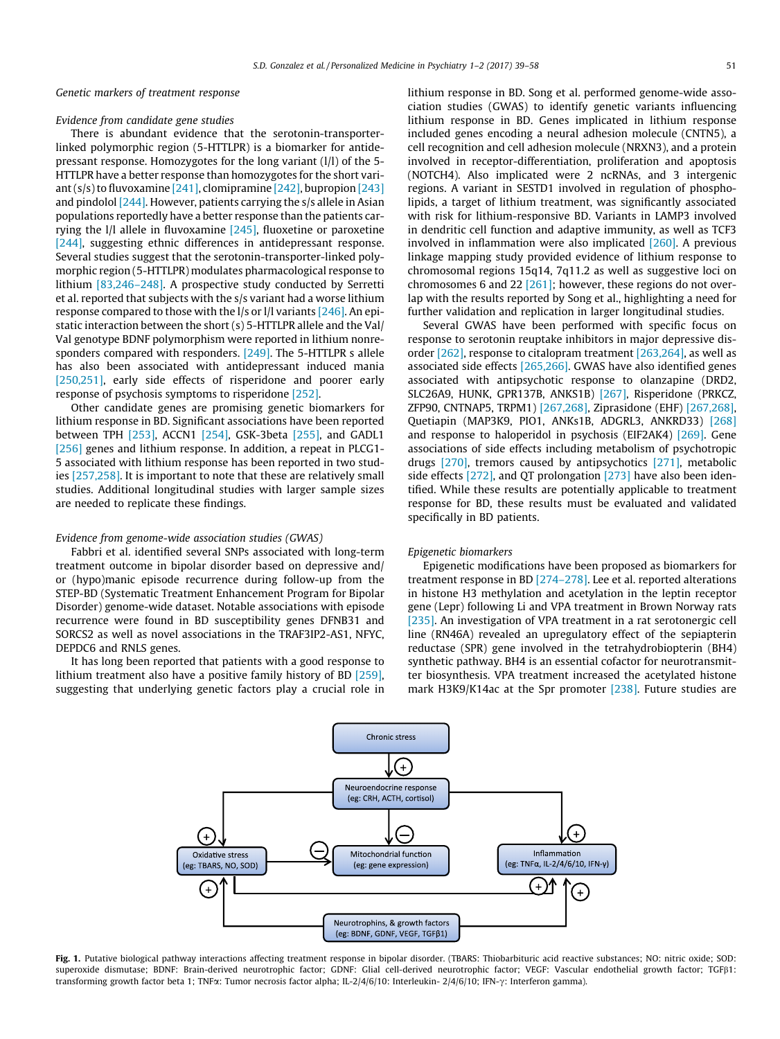<span id="page-12-0"></span>Genetic markers of treatment response

#### Evidence from candidate gene studies

There is abundant evidence that the serotonin-transporterlinked polymorphic region (5-HTTLPR) is a biomarker for antidepressant response. Homozygotes for the long variant (l/l) of the 5- HTTLPR have a better response than homozygotes for the short variant (s/s) to fluvoxamine [\[241\],](#page-18-0) clomipramine [\[242\]](#page-18-0), bupropion [\[243\]](#page-18-0) and pindolol  $[244]$ . However, patients carrying the s/s allele in Asian populations reportedly have a better response than the patients carrying the l/l allele in fluvoxamine [\[245\],](#page-18-0) fluoxetine or paroxetine [\[244\],](#page-18-0) suggesting ethnic differences in antidepressant response. Several studies suggest that the serotonin-transporter-linked polymorphic region (5-HTTLPR) modulates pharmacological response to lithium [\[83,246–248\].](#page-15-0) A prospective study conducted by Serretti et al. reported that subjects with the s/s variant had a worse lithium response compared to those with the l/s or l/l variants [\[246\]](#page-18-0). An epistatic interaction between the short (s) 5-HTTLPR allele and the Val/ Val genotype BDNF polymorphism were reported in lithium nonresponders compared with responders. [\[249\]](#page-18-0). The 5-HTTLPR s allele has also been associated with antidepressant induced mania [\[250,251\],](#page-18-0) early side effects of risperidone and poorer early response of psychosis symptoms to risperidone [\[252\]](#page-18-0).

Other candidate genes are promising genetic biomarkers for lithium response in BD. Significant associations have been reported between TPH [\[253\]](#page-18-0), ACCN1 [\[254\]](#page-18-0), GSK-3beta [\[255\]](#page-18-0), and GADL1 [\[256\]](#page-18-0) genes and lithium response. In addition, a repeat in PLCG1-5 associated with lithium response has been reported in two studies [\[257,258\].](#page-18-0) It is important to note that these are relatively small studies. Additional longitudinal studies with larger sample sizes are needed to replicate these findings.

## Evidence from genome-wide association studies (GWAS)

Fabbri et al. identified several SNPs associated with long-term treatment outcome in bipolar disorder based on depressive and/ or (hypo)manic episode recurrence during follow-up from the STEP-BD (Systematic Treatment Enhancement Program for Bipolar Disorder) genome-wide dataset. Notable associations with episode recurrence were found in BD susceptibility genes DFNB31 and SORCS2 as well as novel associations in the TRAF3IP2-AS1, NFYC, DEPDC6 and RNLS genes.

It has long been reported that patients with a good response to lithium treatment also have a positive family history of BD [\[259\],](#page-18-0) suggesting that underlying genetic factors play a crucial role in lithium response in BD. Song et al. performed genome-wide association studies (GWAS) to identify genetic variants influencing lithium response in BD. Genes implicated in lithium response included genes encoding a neural adhesion molecule (CNTN5), a cell recognition and cell adhesion molecule (NRXN3), and a protein involved in receptor-differentiation, proliferation and apoptosis (NOTCH4). Also implicated were 2 ncRNAs, and 3 intergenic regions. A variant in SESTD1 involved in regulation of phospholipids, a target of lithium treatment, was significantly associated with risk for lithium-responsive BD. Variants in LAMP3 involved in dendritic cell function and adaptive immunity, as well as TCF3 involved in inflammation were also implicated [\[260\]](#page-18-0). A previous linkage mapping study provided evidence of lithium response to chromosomal regions 15q14, 7q11.2 as well as suggestive loci on chromosomes 6 and 22 [\[261\];](#page-18-0) however, these regions do not overlap with the results reported by Song et al., highlighting a need for further validation and replication in larger longitudinal studies.

Several GWAS have been performed with specific focus on response to serotonin reuptake inhibitors in major depressive disorder [\[262\]](#page-18-0), response to citalopram treatment [\[263,264\]](#page-18-0), as well as associated side effects [\[265,266\].](#page-18-0) GWAS have also identified genes associated with antipsychotic response to olanzapine (DRD2, SLC26A9, HUNK, GPR137B, ANKS1B) [\[267\]](#page-18-0), Risperidone (PRKCZ, ZFP90, CNTNAP5, TRPM1) [\[267,268\],](#page-18-0) Ziprasidone (EHF) [\[267,268\],](#page-18-0) Quetiapin (MAP3K9, PIO1, ANKs1B, ADGRL3, ANKRD33) [\[268\]](#page-18-0) and response to haloperidol in psychosis (EIF2AK4) [\[269\].](#page-18-0) Gene associations of side effects including metabolism of psychotropic drugs [\[270\]](#page-18-0), tremors caused by antipsychotics [\[271\]](#page-18-0), metabolic side effects [\[272\],](#page-18-0) and QT prolongation [\[273\]](#page-18-0) have also been identified. While these results are potentially applicable to treatment response for BD, these results must be evaluated and validated specifically in BD patients.

### Epigenetic biomarkers

Epigenetic modifications have been proposed as biomarkers for treatment response in BD [\[274–278\].](#page-18-0) Lee et al. reported alterations in histone H3 methylation and acetylation in the leptin receptor gene (Lepr) following Li and VPA treatment in Brown Norway rats [\[235\].](#page-17-0) An investigation of VPA treatment in a rat serotonergic cell line (RN46A) revealed an upregulatory effect of the sepiapterin reductase (SPR) gene involved in the tetrahydrobiopterin (BH4) synthetic pathway. BH4 is an essential cofactor for neurotransmitter biosynthesis. VPA treatment increased the acetylated histone mark H3K9/K14ac at the Spr promoter [\[238\].](#page-18-0) Future studies are



Fig. 1. Putative biological pathway interactions affecting treatment response in bipolar disorder. (TBARS: Thiobarbituric acid reactive substances; NO: nitric oxide; SOD: superoxide dismutase; BDNF: Brain-derived neurotrophic factor; GDNF: Glial cell-derived neurotrophic factor; VEGF: Vascular endothelial growth factor; TGFb1: transforming growth factor beta 1; TNF $\alpha$ : Tumor necrosis factor alpha; IL-2/4/6/10: Interleukin- 2/4/6/10; IFN- $\gamma$ : Interferon gamma).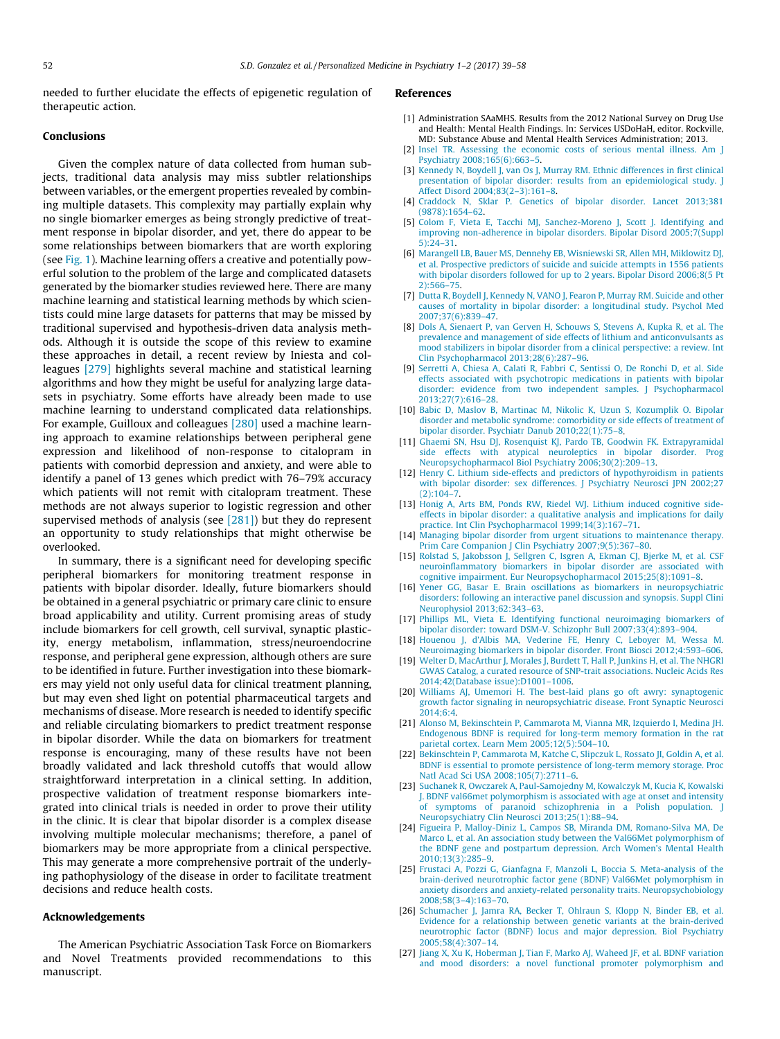<span id="page-13-0"></span>needed to further elucidate the effects of epigenetic regulation of therapeutic action.

### Conclusions

Given the complex nature of data collected from human subjects, traditional data analysis may miss subtler relationships between variables, or the emergent properties revealed by combining multiple datasets. This complexity may partially explain why no single biomarker emerges as being strongly predictive of treatment response in bipolar disorder, and yet, there do appear to be some relationships between biomarkers that are worth exploring (see [Fig. 1\)](#page-12-0). Machine learning offers a creative and potentially powerful solution to the problem of the large and complicated datasets generated by the biomarker studies reviewed here. There are many machine learning and statistical learning methods by which scientists could mine large datasets for patterns that may be missed by traditional supervised and hypothesis-driven data analysis methods. Although it is outside the scope of this review to examine these approaches in detail, a recent review by Iniesta and colleagues [\[279\]](#page-18-0) highlights several machine and statistical learning algorithms and how they might be useful for analyzing large datasets in psychiatry. Some efforts have already been made to use machine learning to understand complicated data relationships. For example, Guilloux and colleagues [\[280\]](#page-18-0) used a machine learning approach to examine relationships between peripheral gene expression and likelihood of non-response to citalopram in patients with comorbid depression and anxiety, and were able to identify a panel of 13 genes which predict with 76–79% accuracy which patients will not remit with citalopram treatment. These methods are not always superior to logistic regression and other supervised methods of analysis (see [\[281\]](#page-18-0)) but they do represent an opportunity to study relationships that might otherwise be overlooked.

In summary, there is a significant need for developing specific peripheral biomarkers for monitoring treatment response in patients with bipolar disorder. Ideally, future biomarkers should be obtained in a general psychiatric or primary care clinic to ensure broad applicability and utility. Current promising areas of study include biomarkers for cell growth, cell survival, synaptic plasticity, energy metabolism, inflammation, stress/neuroendocrine response, and peripheral gene expression, although others are sure to be identified in future. Further investigation into these biomarkers may yield not only useful data for clinical treatment planning, but may even shed light on potential pharmaceutical targets and mechanisms of disease. More research is needed to identify specific and reliable circulating biomarkers to predict treatment response in bipolar disorder. While the data on biomarkers for treatment response is encouraging, many of these results have not been broadly validated and lack threshold cutoffs that would allow straightforward interpretation in a clinical setting. In addition, prospective validation of treatment response biomarkers integrated into clinical trials is needed in order to prove their utility in the clinic. It is clear that bipolar disorder is a complex disease involving multiple molecular mechanisms; therefore, a panel of biomarkers may be more appropriate from a clinical perspective. This may generate a more comprehensive portrait of the underlying pathophysiology of the disease in order to facilitate treatment decisions and reduce health costs.

## Acknowledgements

The American Psychiatric Association Task Force on Biomarkers and Novel Treatments provided recommendations to this manuscript.

### References

- [1] Administration SAaMHS. Results from the 2012 National Survey on Drug Use and Health: Mental Health Findings. In: Services USDoHaH, editor. Rockville, MD: Substance Abuse and Mental Health Services Administration; 2013.
- [2] Insel TR. Assessing the economic costs of serious mental illness. Am ] [Psychiatry 2008;165\(6\):663–5](http://refhub.elsevier.com/S2468-1717(16)30013-8/h0010).
- [3] [Kennedy N, Boydell J, van Os J, Murray RM. Ethnic differences in first clinical](http://refhub.elsevier.com/S2468-1717(16)30013-8/h0015) [presentation of bipolar disorder: results from an epidemiological study. J](http://refhub.elsevier.com/S2468-1717(16)30013-8/h0015) [Affect Disord 2004;83\(2–3\):161–8](http://refhub.elsevier.com/S2468-1717(16)30013-8/h0015).
- [4] [Craddock N, Sklar P. Genetics of bipolar disorder. Lancet 2013;381](http://refhub.elsevier.com/S2468-1717(16)30013-8/h0020) [\(9878\):1654–62](http://refhub.elsevier.com/S2468-1717(16)30013-8/h0020).
- [5] [Colom F, Vieta E, Tacchi MJ, Sanchez-Moreno J, Scott J. Identifying and](http://refhub.elsevier.com/S2468-1717(16)30013-8/h0025) [improving non-adherence in bipolar disorders. Bipolar Disord 2005;7\(Suppl](http://refhub.elsevier.com/S2468-1717(16)30013-8/h0025) [5\):24–31](http://refhub.elsevier.com/S2468-1717(16)30013-8/h0025).
- [6] [Marangell LB, Bauer MS, Dennehy EB, Wisniewski SR, Allen MH, Miklowitz DJ,](http://refhub.elsevier.com/S2468-1717(16)30013-8/h0030) [et al. Prospective predictors of suicide and suicide attempts in 1556 patients](http://refhub.elsevier.com/S2468-1717(16)30013-8/h0030) [with bipolar disorders followed for up to 2 years. Bipolar Disord 2006;8\(5 Pt](http://refhub.elsevier.com/S2468-1717(16)30013-8/h0030) [2\):566–75](http://refhub.elsevier.com/S2468-1717(16)30013-8/h0030).
- [7] [Dutta R, Boydell J, Kennedy N, VANO J, Fearon P, Murray RM. Suicide and other](http://refhub.elsevier.com/S2468-1717(16)30013-8/h0035) [causes of mortality in bipolar disorder: a longitudinal study. Psychol Med](http://refhub.elsevier.com/S2468-1717(16)30013-8/h0035) [2007;37\(6\):839–47.](http://refhub.elsevier.com/S2468-1717(16)30013-8/h0035)
- [8] [Dols A, Sienaert P, van Gerven H, Schouws S, Stevens A, Kupka R, et al. The](http://refhub.elsevier.com/S2468-1717(16)30013-8/h0040) [prevalence and management of side effects of lithium and anticonvulsants as](http://refhub.elsevier.com/S2468-1717(16)30013-8/h0040) [mood stabilizers in bipolar disorder from a clinical perspective: a review. Int](http://refhub.elsevier.com/S2468-1717(16)30013-8/h0040) [Clin Psychopharmacol 2013;28\(6\):287–96](http://refhub.elsevier.com/S2468-1717(16)30013-8/h0040).
- [9] [Serretti A, Chiesa A, Calati R, Fabbri C, Sentissi O, De Ronchi D, et al. Side](http://refhub.elsevier.com/S2468-1717(16)30013-8/h0045) [effects associated with psychotropic medications in patients with bipolar](http://refhub.elsevier.com/S2468-1717(16)30013-8/h0045) [disorder: evidence from two independent samples. J Psychopharmacol](http://refhub.elsevier.com/S2468-1717(16)30013-8/h0045) [2013;27\(7\):616–28.](http://refhub.elsevier.com/S2468-1717(16)30013-8/h0045)
- [10] [Babic D, Maslov B, Martinac M, Nikolic K, Uzun S, Kozumplik O. Bipolar](http://refhub.elsevier.com/S2468-1717(16)30013-8/h0050) [disorder and metabolic syndrome: comorbidity or side effects of treatment of](http://refhub.elsevier.com/S2468-1717(16)30013-8/h0050) [bipolar disorder. Psychiatr Danub 2010;22\(1\):75–8.](http://refhub.elsevier.com/S2468-1717(16)30013-8/h0050)
- [11] [Ghaemi SN, Hsu DJ, Rosenquist KJ, Pardo TB, Goodwin FK. Extrapyramidal](http://refhub.elsevier.com/S2468-1717(16)30013-8/h0055) [side effects with atypical neuroleptics in bipolar disorder. Prog](http://refhub.elsevier.com/S2468-1717(16)30013-8/h0055) [Neuropsychopharmacol Biol Psychiatry 2006;30\(2\):209–13.](http://refhub.elsevier.com/S2468-1717(16)30013-8/h0055)
- [12] [Henry C. Lithium side-effects and predictors of hypothyroidism in patients](http://refhub.elsevier.com/S2468-1717(16)30013-8/h0060) [with bipolar disorder: sex differences. J Psychiatry Neurosci JPN 2002;27](http://refhub.elsevier.com/S2468-1717(16)30013-8/h0060)  $(2):104-7.$
- [13] [Honig A, Arts BM, Ponds RW, Riedel WJ. Lithium induced cognitive side](http://refhub.elsevier.com/S2468-1717(16)30013-8/h0065)[effects in bipolar disorder: a qualitative analysis and implications for daily](http://refhub.elsevier.com/S2468-1717(16)30013-8/h0065) [practice. Int Clin Psychopharmacol 1999;14\(3\):167–71](http://refhub.elsevier.com/S2468-1717(16)30013-8/h0065).
- [14] [Managing bipolar disorder from urgent situations to maintenance therapy.](http://refhub.elsevier.com/S2468-1717(16)30013-8/h0070) [Prim Care Companion J Clin Psychiatry 2007;9\(5\):367–80](http://refhub.elsevier.com/S2468-1717(16)30013-8/h0070).
- [15] [Rolstad S, Jakobsson J, Sellgren C, Isgren A, Ekman CJ, Bjerke M, et al. CSF](http://refhub.elsevier.com/S2468-1717(16)30013-8/h0075) [neuroinflammatory biomarkers in bipolar disorder are associated with](http://refhub.elsevier.com/S2468-1717(16)30013-8/h0075) [cognitive impairment. Eur Neuropsychopharmacol 2015;25\(8\):1091–8](http://refhub.elsevier.com/S2468-1717(16)30013-8/h0075).
- [16] [Yener GG, Basar E. Brain oscillations as biomarkers in neuropsychiatric](http://refhub.elsevier.com/S2468-1717(16)30013-8/h0080) [disorders: following an interactive panel discussion and synopsis. Suppl Clini](http://refhub.elsevier.com/S2468-1717(16)30013-8/h0080) [Neurophysiol 2013;62:343–63.](http://refhub.elsevier.com/S2468-1717(16)30013-8/h0080)
- [17] [Phillips ML, Vieta E. Identifying functional neuroimaging biomarkers of](http://refhub.elsevier.com/S2468-1717(16)30013-8/h0085) [bipolar disorder: toward DSM-V. Schizophr Bull 2007;33\(4\):893–904](http://refhub.elsevier.com/S2468-1717(16)30013-8/h0085).
- [18] [Houenou J, d'Albis MA, Vederine FE, Henry C, Leboyer M, Wessa M.](http://refhub.elsevier.com/S2468-1717(16)30013-8/h0090) [Neuroimaging biomarkers in bipolar disorder. Front Biosci 2012;4:593–606.](http://refhub.elsevier.com/S2468-1717(16)30013-8/h0090)
- [19] [Welter D, MacArthur J, Morales J, Burdett T, Hall P, Junkins H, et al. The NHGRI](http://refhub.elsevier.com/S2468-1717(16)30013-8/h0095) [GWAS Catalog, a curated resource of SNP-trait associations. Nucleic Acids Res](http://refhub.elsevier.com/S2468-1717(16)30013-8/h0095) [2014;42\(Database issue\):D1001–1006](http://refhub.elsevier.com/S2468-1717(16)30013-8/h0095).
- [20] [Williams AJ, Umemori H. The best-laid plans go oft awry: synaptogenic](http://refhub.elsevier.com/S2468-1717(16)30013-8/h0100) [growth factor signaling in neuropsychiatric disease. Front Synaptic Neurosci](http://refhub.elsevier.com/S2468-1717(16)30013-8/h0100) [2014;6:4.](http://refhub.elsevier.com/S2468-1717(16)30013-8/h0100)
- [21] [Alonso M, Bekinschtein P, Cammarota M, Vianna MR, Izquierdo I, Medina JH.](http://refhub.elsevier.com/S2468-1717(16)30013-8/h0105) [Endogenous BDNF is required for long-term memory formation in the rat](http://refhub.elsevier.com/S2468-1717(16)30013-8/h0105) [parietal cortex. Learn Mem 2005;12\(5\):504–10.](http://refhub.elsevier.com/S2468-1717(16)30013-8/h0105)
- [22] [Bekinschtein P, Cammarota M, Katche C, Slipczuk L, Rossato JI, Goldin A, et al.](http://refhub.elsevier.com/S2468-1717(16)30013-8/h0110) [BDNF is essential to promote persistence of long-term memory storage. Proc](http://refhub.elsevier.com/S2468-1717(16)30013-8/h0110) [Natl Acad Sci USA 2008;105\(7\):2711–6](http://refhub.elsevier.com/S2468-1717(16)30013-8/h0110).
- [23] [Suchanek R, Owczarek A, Paul-Samojedny M, Kowalczyk M, Kucia K, Kowalski](http://refhub.elsevier.com/S2468-1717(16)30013-8/h0115) [J. BDNF val66met polymorphism is associated with age at onset and intensity](http://refhub.elsevier.com/S2468-1717(16)30013-8/h0115) [of symptoms of paranoid schizophrenia in a Polish population. J](http://refhub.elsevier.com/S2468-1717(16)30013-8/h0115) [Neuropsychiatry Clin Neurosci 2013;25\(1\):88–94.](http://refhub.elsevier.com/S2468-1717(16)30013-8/h0115)
- [24] [Figueira P, Malloy-Diniz L, Campos SB, Miranda DM, Romano-Silva MA, De](http://refhub.elsevier.com/S2468-1717(16)30013-8/h0120) [Marco L, et al. An association study between the Val66Met polymorphism of](http://refhub.elsevier.com/S2468-1717(16)30013-8/h0120) [the BDNF gene and postpartum depression. Arch Women's Mental Health](http://refhub.elsevier.com/S2468-1717(16)30013-8/h0120) [2010;13\(3\):285–9.](http://refhub.elsevier.com/S2468-1717(16)30013-8/h0120)
- [25] [Frustaci A, Pozzi G, Gianfagna F, Manzoli L, Boccia S. Meta-analysis of the](http://refhub.elsevier.com/S2468-1717(16)30013-8/h0125) [brain-derived neurotrophic factor gene \(BDNF\) Val66Met polymorphism in](http://refhub.elsevier.com/S2468-1717(16)30013-8/h0125) [anxiety disorders and anxiety-related personality traits. Neuropsychobiology](http://refhub.elsevier.com/S2468-1717(16)30013-8/h0125) [2008;58\(3–4\):163–70](http://refhub.elsevier.com/S2468-1717(16)30013-8/h0125).
- [26] [Schumacher J, Jamra RA, Becker T, Ohlraun S, Klopp N, Binder EB, et al.](http://refhub.elsevier.com/S2468-1717(16)30013-8/h0130) [Evidence for a relationship between genetic variants at the brain-derived](http://refhub.elsevier.com/S2468-1717(16)30013-8/h0130) [neurotrophic factor \(BDNF\) locus and major depression. Biol Psychiatry](http://refhub.elsevier.com/S2468-1717(16)30013-8/h0130) [2005;58\(4\):307–14](http://refhub.elsevier.com/S2468-1717(16)30013-8/h0130).
- [27] [Jiang X, Xu K, Hoberman J, Tian F, Marko AJ, Waheed JF, et al. BDNF variation](http://refhub.elsevier.com/S2468-1717(16)30013-8/h0135) [and mood disorders: a novel functional promoter polymorphism and](http://refhub.elsevier.com/S2468-1717(16)30013-8/h0135)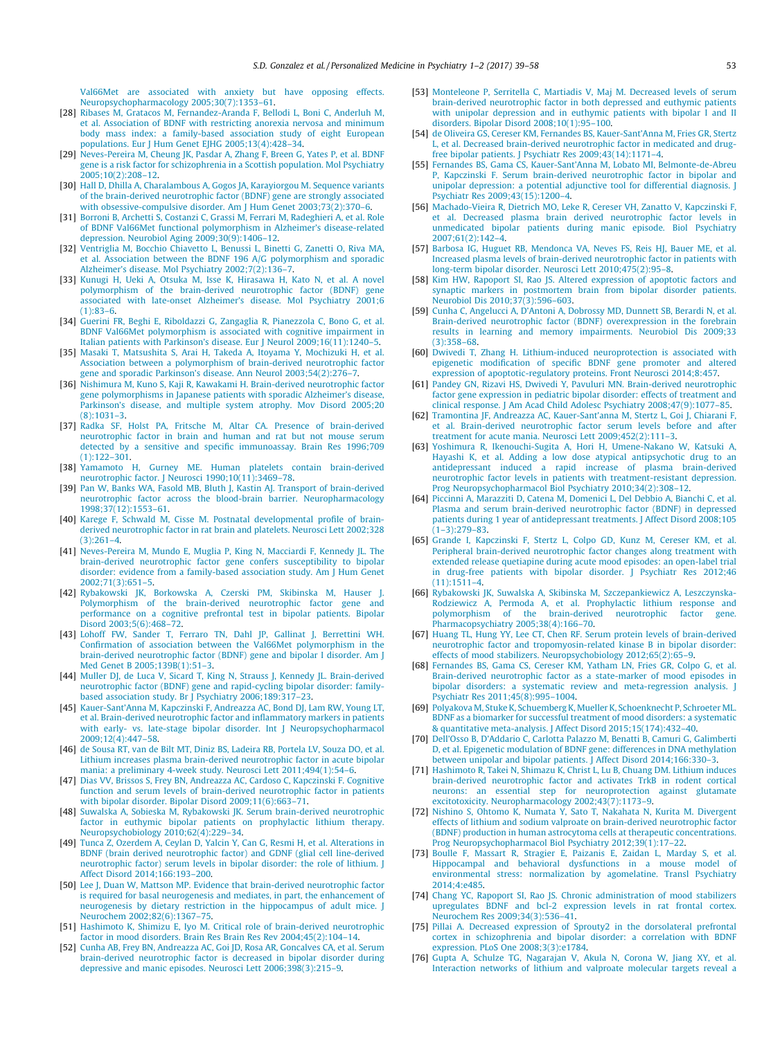<span id="page-14-0"></span>[Val66Met are associated with anxiety but have opposing effects.](http://refhub.elsevier.com/S2468-1717(16)30013-8/h0135) [Neuropsychopharmacology 2005;30\(7\):1353–61.](http://refhub.elsevier.com/S2468-1717(16)30013-8/h0135)

- [28] [Ribases M, Gratacos M, Fernandez-Aranda F, Bellodi L, Boni C, Anderluh M,](http://refhub.elsevier.com/S2468-1717(16)30013-8/h0140) [et al. Association of BDNF with restricting anorexia nervosa and minimum](http://refhub.elsevier.com/S2468-1717(16)30013-8/h0140) [body mass index: a family-based association study of eight European](http://refhub.elsevier.com/S2468-1717(16)30013-8/h0140) [populations. Eur J Hum Genet EJHG 2005;13\(4\):428–34.](http://refhub.elsevier.com/S2468-1717(16)30013-8/h0140)
- [29] [Neves-Pereira M, Cheung JK, Pasdar A, Zhang F, Breen G, Yates P, et al. BDNF](http://refhub.elsevier.com/S2468-1717(16)30013-8/h0145) [gene is a risk factor for schizophrenia in a Scottish population. Mol Psychiatry](http://refhub.elsevier.com/S2468-1717(16)30013-8/h0145) [2005;10\(2\):208–12](http://refhub.elsevier.com/S2468-1717(16)30013-8/h0145).
- [30] [Hall D, Dhilla A, Charalambous A, Gogos JA, Karayiorgou M. Sequence variants](http://refhub.elsevier.com/S2468-1717(16)30013-8/h0150) [of the brain-derived neurotrophic factor \(BDNF\) gene are strongly associated](http://refhub.elsevier.com/S2468-1717(16)30013-8/h0150) [with obsessive-compulsive disorder. Am J Hum Genet 2003;73\(2\):370–6.](http://refhub.elsevier.com/S2468-1717(16)30013-8/h0150)
- [31] [Borroni B, Archetti S, Costanzi C, Grassi M, Ferrari M, Radeghieri A, et al. Role](http://refhub.elsevier.com/S2468-1717(16)30013-8/h0155) [of BDNF Val66Met functional polymorphism in Alzheimer's disease-related](http://refhub.elsevier.com/S2468-1717(16)30013-8/h0155) [depression. Neurobiol Aging 2009;30\(9\):1406–12.](http://refhub.elsevier.com/S2468-1717(16)30013-8/h0155)
- [32] [Ventriglia M, Bocchio Chiavetto L, Benussi L, Binetti G, Zanetti O, Riva MA,](http://refhub.elsevier.com/S2468-1717(16)30013-8/h0160) [et al. Association between the BDNF 196 A/G polymorphism and sporadic](http://refhub.elsevier.com/S2468-1717(16)30013-8/h0160) [Alzheimer's disease. Mol Psychiatry 2002;7\(2\):136–7](http://refhub.elsevier.com/S2468-1717(16)30013-8/h0160).
- [33] [Kunugi H, Ueki A, Otsuka M, Isse K, Hirasawa H, Kato N, et al. A novel](http://refhub.elsevier.com/S2468-1717(16)30013-8/h0165) [polymorphism of the brain-derived neurotrophic factor \(BDNF\) gene](http://refhub.elsevier.com/S2468-1717(16)30013-8/h0165) [associated with late-onset Alzheimer's disease. Mol Psychiatry 2001;6](http://refhub.elsevier.com/S2468-1717(16)30013-8/h0165)  $(1):83-6.$
- [34] [Guerini FR, Beghi E, Riboldazzi G, Zangaglia R, Pianezzola C, Bono G, et al.](http://refhub.elsevier.com/S2468-1717(16)30013-8/h0170) [BDNF Val66Met polymorphism is associated with cognitive impairment in](http://refhub.elsevier.com/S2468-1717(16)30013-8/h0170) [Italian patients with Parkinson's disease. Eur J Neurol 2009;16\(11\):1240–5](http://refhub.elsevier.com/S2468-1717(16)30013-8/h0170).
- [35] [Masaki T, Matsushita S, Arai H, Takeda A, Itoyama Y, Mochizuki H, et al.](http://refhub.elsevier.com/S2468-1717(16)30013-8/h0175) [Association between a polymorphism of brain-derived neurotrophic factor](http://refhub.elsevier.com/S2468-1717(16)30013-8/h0175) [gene and sporadic Parkinson's disease. Ann Neurol 2003;54\(2\):276–7.](http://refhub.elsevier.com/S2468-1717(16)30013-8/h0175)
- [36] [Nishimura M, Kuno S, Kaji R, Kawakami H. Brain-derived neurotrophic factor](http://refhub.elsevier.com/S2468-1717(16)30013-8/h0180) [gene polymorphisms in Japanese patients with sporadic Alzheimer's disease,](http://refhub.elsevier.com/S2468-1717(16)30013-8/h0180) [Parkinson's disease, and multiple system atrophy. Mov Disord 2005;20](http://refhub.elsevier.com/S2468-1717(16)30013-8/h0180) [\(8\):1031–3](http://refhub.elsevier.com/S2468-1717(16)30013-8/h0180).
- [37] [Radka SF, Holst PA, Fritsche M, Altar CA. Presence of brain-derived](http://refhub.elsevier.com/S2468-1717(16)30013-8/h0185) [neurotrophic factor in brain and human and rat but not mouse serum](http://refhub.elsevier.com/S2468-1717(16)30013-8/h0185) [detected by a sensitive and specific immunoassay. Brain Res 1996;709](http://refhub.elsevier.com/S2468-1717(16)30013-8/h0185)  $(1):122-301$ .
- [38] [Yamamoto H, Gurney ME. Human platelets contain brain-derived](http://refhub.elsevier.com/S2468-1717(16)30013-8/h0190) [neurotrophic factor. J Neurosci 1990;10\(11\):3469–78.](http://refhub.elsevier.com/S2468-1717(16)30013-8/h0190)
- [39] [Pan W, Banks WA, Fasold MB, Bluth J, Kastin AJ. Transport of brain-derived](http://refhub.elsevier.com/S2468-1717(16)30013-8/h0195) [neurotrophic factor across the blood-brain barrier. Neuropharmacology](http://refhub.elsevier.com/S2468-1717(16)30013-8/h0195) [1998;37\(12\):1553–61](http://refhub.elsevier.com/S2468-1717(16)30013-8/h0195).
- [40] [Karege F, Schwald M, Cisse M. Postnatal developmental profile of brain](http://refhub.elsevier.com/S2468-1717(16)30013-8/h0200)[derived neurotrophic factor in rat brain and platelets. Neurosci Lett 2002;328](http://refhub.elsevier.com/S2468-1717(16)30013-8/h0200)  $(3):261-4.$
- [41] [Neves-Pereira M, Mundo E, Muglia P, King N, Macciardi F, Kennedy JL. The](http://refhub.elsevier.com/S2468-1717(16)30013-8/h0205) [brain-derived neurotrophic factor gene confers susceptibility to bipolar](http://refhub.elsevier.com/S2468-1717(16)30013-8/h0205) [disorder: evidence from a family-based association study. Am J Hum Genet](http://refhub.elsevier.com/S2468-1717(16)30013-8/h0205) [2002;71\(3\):651–5](http://refhub.elsevier.com/S2468-1717(16)30013-8/h0205).
- [42] [Rybakowski JK, Borkowska A, Czerski PM, Skibinska M, Hauser J.](http://refhub.elsevier.com/S2468-1717(16)30013-8/h0210) [Polymorphism of the brain-derived neurotrophic factor gene and](http://refhub.elsevier.com/S2468-1717(16)30013-8/h0210) [performance on a cognitive prefrontal test in bipolar patients. Bipolar](http://refhub.elsevier.com/S2468-1717(16)30013-8/h0210) [Disord 2003;5\(6\):468–72](http://refhub.elsevier.com/S2468-1717(16)30013-8/h0210).
- [43] [Lohoff FW, Sander T, Ferraro TN, Dahl JP, Gallinat J, Berrettini WH.](http://refhub.elsevier.com/S2468-1717(16)30013-8/h0215) [Confirmation of association between the Val66Met polymorphism in the](http://refhub.elsevier.com/S2468-1717(16)30013-8/h0215) [brain-derived neurotrophic factor \(BDNF\) gene and bipolar I disorder. Am J](http://refhub.elsevier.com/S2468-1717(16)30013-8/h0215) [Med Genet B 2005;139B\(1\):51–3](http://refhub.elsevier.com/S2468-1717(16)30013-8/h0215).
- [44] Muller DJ, de Luca V, Sicard T, King N, Strauss J, Kennedy JL, Brain-derived [neurotrophic factor \(BDNF\) gene and rapid-cycling bipolar disorder: family](http://refhub.elsevier.com/S2468-1717(16)30013-8/h0220)[based association study. Br J Psychiatry 2006;189:317–23.](http://refhub.elsevier.com/S2468-1717(16)30013-8/h0220)
- [45] [Kauer-Sant'Anna M, Kapczinski F, Andreazza AC, Bond DJ, Lam RW, Young LT,](http://refhub.elsevier.com/S2468-1717(16)30013-8/h0225) [et al. Brain-derived neurotrophic factor and inflammatory markers in patients](http://refhub.elsevier.com/S2468-1717(16)30013-8/h0225) [with early- vs. late-stage bipolar disorder. Int J Neuropsychopharmacol](http://refhub.elsevier.com/S2468-1717(16)30013-8/h0225) [2009;12\(4\):447–58](http://refhub.elsevier.com/S2468-1717(16)30013-8/h0225).
- [46] [de Sousa RT, van de Bilt MT, Diniz BS, Ladeira RB, Portela LV, Souza DO, et al.](http://refhub.elsevier.com/S2468-1717(16)30013-8/h0230) [Lithium increases plasma brain-derived neurotrophic factor in acute bipolar](http://refhub.elsevier.com/S2468-1717(16)30013-8/h0230) [mania: a preliminary 4-week study. Neurosci Lett 2011;494\(1\):54–6.](http://refhub.elsevier.com/S2468-1717(16)30013-8/h0230)
- [47] [Dias VV, Brissos S, Frey BN, Andreazza AC, Cardoso C, Kapczinski F. Cognitive](http://refhub.elsevier.com/S2468-1717(16)30013-8/h0235) [function and serum levels of brain-derived neurotrophic factor in patients](http://refhub.elsevier.com/S2468-1717(16)30013-8/h0235) [with bipolar disorder. Bipolar Disord 2009;11\(6\):663–71](http://refhub.elsevier.com/S2468-1717(16)30013-8/h0235).
- [48] [Suwalska A, Sobieska M, Rybakowski JK. Serum brain-derived neurotrophic](http://refhub.elsevier.com/S2468-1717(16)30013-8/h0240) [factor in euthymic bipolar patients on prophylactic lithium therapy.](http://refhub.elsevier.com/S2468-1717(16)30013-8/h0240) [Neuropsychobiology 2010;62\(4\):229–34](http://refhub.elsevier.com/S2468-1717(16)30013-8/h0240).
- [49] [Tunca Z, Ozerdem A, Ceylan D, Yalcin Y, Can G, Resmi H, et al. Alterations in](http://refhub.elsevier.com/S2468-1717(16)30013-8/h0245) [BDNF \(brain derived neurotrophic factor\) and GDNF \(glial cell line-derived](http://refhub.elsevier.com/S2468-1717(16)30013-8/h0245) [neurotrophic factor\) serum levels in bipolar disorder: the role of lithium. J](http://refhub.elsevier.com/S2468-1717(16)30013-8/h0245) [Affect Disord 2014;166:193–200.](http://refhub.elsevier.com/S2468-1717(16)30013-8/h0245)
- [50] [Lee J, Duan W, Mattson MP. Evidence that brain-derived neurotrophic factor](http://refhub.elsevier.com/S2468-1717(16)30013-8/h0250) [is required for basal neurogenesis and mediates, in part, the enhancement of](http://refhub.elsevier.com/S2468-1717(16)30013-8/h0250) neurogenesis by dietary restriction in the hippocampus of adult mice. [Neurochem 2002;82\(6\):1367–75](http://refhub.elsevier.com/S2468-1717(16)30013-8/h0250).
- [51] [Hashimoto K, Shimizu E, Iyo M. Critical role of brain-derived neurotrophic](http://refhub.elsevier.com/S2468-1717(16)30013-8/h0255) [factor in mood disorders. Brain Res Brain Res Rev 2004;45\(2\):104–14](http://refhub.elsevier.com/S2468-1717(16)30013-8/h0255).
- [52] [Cunha AB, Frey BN, Andreazza AC, Goi JD, Rosa AR, Goncalves CA, et al. Serum](http://refhub.elsevier.com/S2468-1717(16)30013-8/h0260) [brain-derived neurotrophic factor is decreased in bipolar disorder during](http://refhub.elsevier.com/S2468-1717(16)30013-8/h0260) [depressive and manic episodes. Neurosci Lett 2006;398\(3\):215–9.](http://refhub.elsevier.com/S2468-1717(16)30013-8/h0260)
- [53] [Monteleone P, Serritella C, Martiadis V, Maj M. Decreased levels of serum](http://refhub.elsevier.com/S2468-1717(16)30013-8/h0265) [brain-derived neurotrophic factor in both depressed and euthymic patients](http://refhub.elsevier.com/S2468-1717(16)30013-8/h0265) [with unipolar depression and in euthymic patients with bipolar I and II](http://refhub.elsevier.com/S2468-1717(16)30013-8/h0265) [disorders. Bipolar Disord 2008;10\(1\):95–100](http://refhub.elsevier.com/S2468-1717(16)30013-8/h0265).
- [54] [de Oliveira GS, Cereser KM, Fernandes BS, Kauer-Sant'Anna M, Fries GR, Stertz](http://refhub.elsevier.com/S2468-1717(16)30013-8/h0270) [L, et al. Decreased brain-derived neurotrophic factor in medicated and drug](http://refhub.elsevier.com/S2468-1717(16)30013-8/h0270)[free bipolar patients. J Psychiatr Res 2009;43\(14\):1171–4](http://refhub.elsevier.com/S2468-1717(16)30013-8/h0270).
- [55] [Fernandes BS, Gama CS, Kauer-Sant'Anna M, Lobato MI, Belmonte-de-Abreu](http://refhub.elsevier.com/S2468-1717(16)30013-8/h0275) [P, Kapczinski F. Serum brain-derived neurotrophic factor in bipolar and](http://refhub.elsevier.com/S2468-1717(16)30013-8/h0275) [unipolar depression: a potential adjunctive tool for differential diagnosis. J](http://refhub.elsevier.com/S2468-1717(16)30013-8/h0275) [Psychiatr Res 2009;43\(15\):1200–4](http://refhub.elsevier.com/S2468-1717(16)30013-8/h0275).
- [56] [Machado-Vieira R, Dietrich MO, Leke R, Cereser VH, Zanatto V, Kapczinski F,](http://refhub.elsevier.com/S2468-1717(16)30013-8/h0280) [et al. Decreased plasma brain derived neurotrophic factor levels in](http://refhub.elsevier.com/S2468-1717(16)30013-8/h0280) [unmedicated bipolar patients during manic episode. Biol Psychiatry](http://refhub.elsevier.com/S2468-1717(16)30013-8/h0280) [2007;61\(2\):142–4](http://refhub.elsevier.com/S2468-1717(16)30013-8/h0280).
- [57] [Barbosa IG, Huguet RB, Mendonca VA, Neves FS, Reis HJ, Bauer ME, et al.](http://refhub.elsevier.com/S2468-1717(16)30013-8/h0285) [Increased plasma levels of brain-derived neurotrophic factor in patients with](http://refhub.elsevier.com/S2468-1717(16)30013-8/h0285) [long-term bipolar disorder. Neurosci Lett 2010;475\(2\):95–8.](http://refhub.elsevier.com/S2468-1717(16)30013-8/h0285)
- [58] [Kim HW, Rapoport SI, Rao JS. Altered expression of apoptotic factors and](http://refhub.elsevier.com/S2468-1717(16)30013-8/h0290) [synaptic markers in postmortem brain from bipolar disorder patients.](http://refhub.elsevier.com/S2468-1717(16)30013-8/h0290) [Neurobiol Dis 2010;37\(3\):596–603.](http://refhub.elsevier.com/S2468-1717(16)30013-8/h0290)
- [59] [Cunha C, Angelucci A, D'Antoni A, Dobrossy MD, Dunnett SB, Berardi N, et al.](http://refhub.elsevier.com/S2468-1717(16)30013-8/h0295) [Brain-derived neurotrophic factor \(BDNF\) overexpression in the forebrain](http://refhub.elsevier.com/S2468-1717(16)30013-8/h0295) [results in learning and memory impairments. Neurobiol Dis 2009;33](http://refhub.elsevier.com/S2468-1717(16)30013-8/h0295) [\(3\):358–68](http://refhub.elsevier.com/S2468-1717(16)30013-8/h0295).
- [60] [Dwivedi T, Zhang H. Lithium-induced neuroprotection is associated with](http://refhub.elsevier.com/S2468-1717(16)30013-8/h0300) [epigenetic modification of specific BDNF gene promoter and altered](http://refhub.elsevier.com/S2468-1717(16)30013-8/h0300) [expression of apoptotic-regulatory proteins. Front Neurosci 2014;8:457](http://refhub.elsevier.com/S2468-1717(16)30013-8/h0300).
- [61] [Pandey GN, Rizavi HS, Dwivedi Y, Pavuluri MN. Brain-derived neurotrophic](http://refhub.elsevier.com/S2468-1717(16)30013-8/h0305) [factor gene expression in pediatric bipolar disorder: effects of treatment and](http://refhub.elsevier.com/S2468-1717(16)30013-8/h0305) [clinical response. J Am Acad Child Adolesc Psychiatry 2008;47\(9\):1077–85.](http://refhub.elsevier.com/S2468-1717(16)30013-8/h0305)
- [62] [Tramontina JF, Andreazza AC, Kauer-Sant'anna M, Stertz L, Goi J, Chiarani F,](http://refhub.elsevier.com/S2468-1717(16)30013-8/h0310) [et al. Brain-derived neurotrophic factor serum levels before and after](http://refhub.elsevier.com/S2468-1717(16)30013-8/h0310) [treatment for acute mania. Neurosci Lett 2009;452\(2\):111–3.](http://refhub.elsevier.com/S2468-1717(16)30013-8/h0310)
- [63] [Yoshimura R, Ikenouchi-Sugita A, Hori H, Umene-Nakano W, Katsuki A,](http://refhub.elsevier.com/S2468-1717(16)30013-8/h0315) [Hayashi K, et al. Adding a low dose atypical antipsychotic drug to an](http://refhub.elsevier.com/S2468-1717(16)30013-8/h0315) [antidepressant induced a rapid increase of plasma brain-derived](http://refhub.elsevier.com/S2468-1717(16)30013-8/h0315) [neurotrophic factor levels in patients with treatment-resistant depression.](http://refhub.elsevier.com/S2468-1717(16)30013-8/h0315) [Prog Neuropsychopharmacol Biol Psychiatry 2010;34\(2\):308–12](http://refhub.elsevier.com/S2468-1717(16)30013-8/h0315).
- [64] [Piccinni A, Marazziti D, Catena M, Domenici L, Del Debbio A, Bianchi C, et al.](http://refhub.elsevier.com/S2468-1717(16)30013-8/h0320) [Plasma and serum brain-derived neurotrophic factor \(BDNF\) in depressed](http://refhub.elsevier.com/S2468-1717(16)30013-8/h0320) [patients during 1 year of antidepressant treatments. J Affect Disord 2008;105](http://refhub.elsevier.com/S2468-1717(16)30013-8/h0320)  $(1-3):279-83.$
- [65] [Grande I, Kapczinski F, Stertz L, Colpo GD, Kunz M, Cereser KM, et al.](http://refhub.elsevier.com/S2468-1717(16)30013-8/h0325) [Peripheral brain-derived neurotrophic factor changes along treatment with](http://refhub.elsevier.com/S2468-1717(16)30013-8/h0325) [extended release quetiapine during acute mood episodes: an open-label trial](http://refhub.elsevier.com/S2468-1717(16)30013-8/h0325) [in drug-free patients with bipolar disorder. J Psychiatr Res 2012;46](http://refhub.elsevier.com/S2468-1717(16)30013-8/h0325) [\(11\):1511–4.](http://refhub.elsevier.com/S2468-1717(16)30013-8/h0325)
- [66] [Rybakowski JK, Suwalska A, Skibinska M, Szczepankiewicz A, Leszczynska-](http://refhub.elsevier.com/S2468-1717(16)30013-8/h0330)[Rodziewicz A, Permoda A, et al. Prophylactic lithium response and](http://refhub.elsevier.com/S2468-1717(16)30013-8/h0330) [polymorphism of the brain-derived neurotrophic factor gene.](http://refhub.elsevier.com/S2468-1717(16)30013-8/h0330) [Pharmacopsychiatry 2005;38\(4\):166–70.](http://refhub.elsevier.com/S2468-1717(16)30013-8/h0330)
- [67] [Huang TL, Hung YY, Lee CT, Chen RF. Serum protein levels of brain-derived](http://refhub.elsevier.com/S2468-1717(16)30013-8/h0335) [neurotrophic factor and tropomyosin-related kinase B in bipolar disorder:](http://refhub.elsevier.com/S2468-1717(16)30013-8/h0335) [effects of mood stabilizers. Neuropsychobiology 2012;65\(2\):65–9.](http://refhub.elsevier.com/S2468-1717(16)30013-8/h0335)
- [68] [Fernandes BS, Gama CS, Cereser KM, Yatham LN, Fries GR, Colpo G, et al.](http://refhub.elsevier.com/S2468-1717(16)30013-8/h0340) [Brain-derived neurotrophic factor as a state-marker of mood episodes in](http://refhub.elsevier.com/S2468-1717(16)30013-8/h0340) [bipolar disorders: a systematic review and meta-regression analysis. J](http://refhub.elsevier.com/S2468-1717(16)30013-8/h0340) [Psychiatr Res 2011;45\(8\):995–1004](http://refhub.elsevier.com/S2468-1717(16)30013-8/h0340).
- [69] [Polyakova M, Stuke K, Schuemberg K, Mueller K, Schoenknecht P, Schroeter ML.](http://refhub.elsevier.com/S2468-1717(16)30013-8/h0345) [BDNF as a biomarker for successful treatment of mood disorders: a systematic](http://refhub.elsevier.com/S2468-1717(16)30013-8/h0345) [& quantitative meta-analysis. J Affect Disord 2015;15\(174\):432–40.](http://refhub.elsevier.com/S2468-1717(16)30013-8/h0345)
- [70] [Dell'Osso B, D'Addario C, Carlotta Palazzo M, Benatti B, Camuri G, Galimberti](http://refhub.elsevier.com/S2468-1717(16)30013-8/h0350) [D, et al. Epigenetic modulation of BDNF gene: differences in DNA methylation](http://refhub.elsevier.com/S2468-1717(16)30013-8/h0350) [between unipolar and bipolar patients. J Affect Disord 2014;166:330–3](http://refhub.elsevier.com/S2468-1717(16)30013-8/h0350).
- [71] [Hashimoto R, Takei N, Shimazu K, Christ L, Lu B, Chuang DM. Lithium induces](http://refhub.elsevier.com/S2468-1717(16)30013-8/h0355) [brain-derived neurotrophic factor and activates TrkB in rodent cortical](http://refhub.elsevier.com/S2468-1717(16)30013-8/h0355) [neurons: an essential step for neuroprotection against glutamate](http://refhub.elsevier.com/S2468-1717(16)30013-8/h0355) [excitotoxicity. Neuropharmacology 2002;43\(7\):1173–9.](http://refhub.elsevier.com/S2468-1717(16)30013-8/h0355)
- [72] [Nishino S, Ohtomo K, Numata Y, Sato T, Nakahata N, Kurita M. Divergent](http://refhub.elsevier.com/S2468-1717(16)30013-8/h0360) [effects of lithium and sodium valproate on brain-derived neurotrophic factor](http://refhub.elsevier.com/S2468-1717(16)30013-8/h0360) [\(BDNF\) production in human astrocytoma cells at therapeutic concentrations.](http://refhub.elsevier.com/S2468-1717(16)30013-8/h0360) [Prog Neuropsychopharmacol Biol Psychiatry 2012;39\(1\):17–22.](http://refhub.elsevier.com/S2468-1717(16)30013-8/h0360)
- [73] [Boulle F, Massart R, Stragier E, Paizanis E, Zaidan L, Marday S, et al.](http://refhub.elsevier.com/S2468-1717(16)30013-8/h0365) [Hippocampal and behavioral dysfunctions in a mouse model of](http://refhub.elsevier.com/S2468-1717(16)30013-8/h0365) [environmental stress: normalization by agomelatine. Transl Psychiatry](http://refhub.elsevier.com/S2468-1717(16)30013-8/h0365)  $2014.4.9485$
- [74] [Chang YC, Rapoport SI, Rao JS. Chronic administration of mood stabilizers](http://refhub.elsevier.com/S2468-1717(16)30013-8/h0370) [upregulates BDNF and bcl-2 expression levels in rat frontal cortex.](http://refhub.elsevier.com/S2468-1717(16)30013-8/h0370) [Neurochem Res 2009;34\(3\):536–41.](http://refhub.elsevier.com/S2468-1717(16)30013-8/h0370)
- [75] [Pillai A. Decreased expression of Sprouty2 in the dorsolateral prefrontal](http://refhub.elsevier.com/S2468-1717(16)30013-8/h0375) [cortex in schizophrenia and bipolar disorder: a correlation with BDNF](http://refhub.elsevier.com/S2468-1717(16)30013-8/h0375) [expression. PLoS One 2008;3\(3\):e1784.](http://refhub.elsevier.com/S2468-1717(16)30013-8/h0375)
- [76] [Gupta A, Schulze TG, Nagarajan V, Akula N, Corona W, Jiang XY, et al.](http://refhub.elsevier.com/S2468-1717(16)30013-8/h0380) [Interaction networks of lithium and valproate molecular targets reveal a](http://refhub.elsevier.com/S2468-1717(16)30013-8/h0380)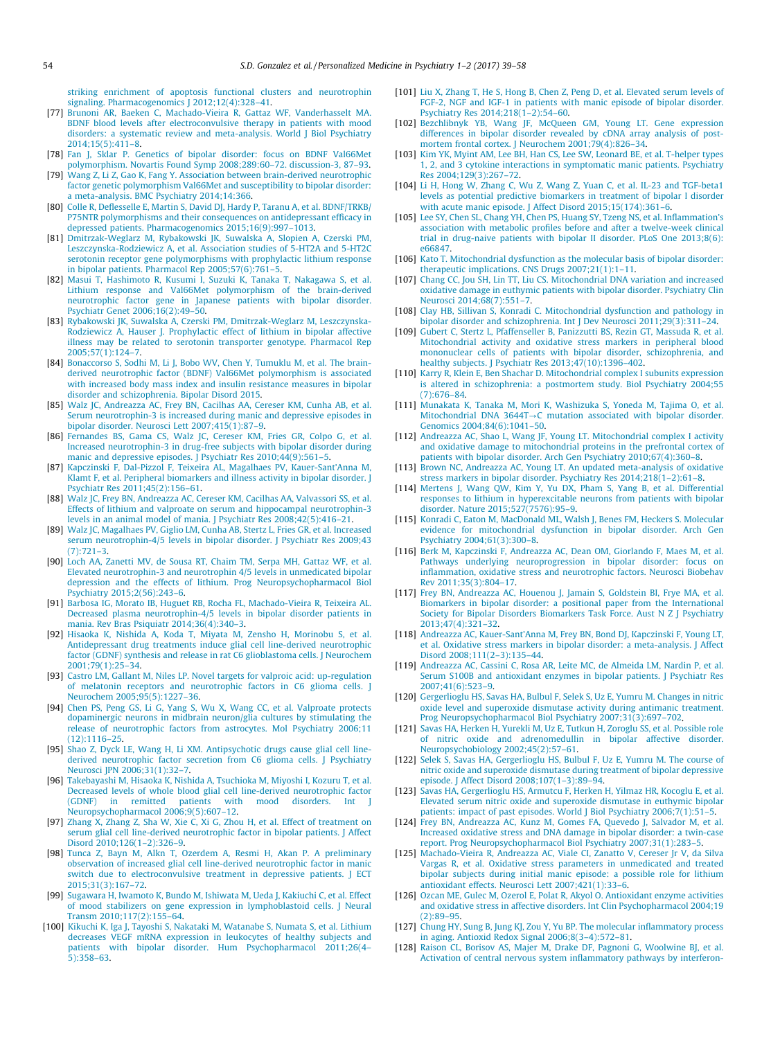<span id="page-15-0"></span>[striking enrichment of apoptosis functional clusters and neurotrophin](http://refhub.elsevier.com/S2468-1717(16)30013-8/h0380) [signaling. Pharmacogenomics J 2012;12\(4\):328–41](http://refhub.elsevier.com/S2468-1717(16)30013-8/h0380).

- [77] [Brunoni AR, Baeken C, Machado-Vieira R, Gattaz WF, Vanderhasselt MA.](http://refhub.elsevier.com/S2468-1717(16)30013-8/h0385) [BDNF blood levels after electroconvulsive therapy in patients with mood](http://refhub.elsevier.com/S2468-1717(16)30013-8/h0385) [disorders: a systematic review and meta-analysis. World J Biol Psychiatry](http://refhub.elsevier.com/S2468-1717(16)30013-8/h0385) [2014;15\(5\):411–8.](http://refhub.elsevier.com/S2468-1717(16)30013-8/h0385)
- [78] [Fan J, Sklar P. Genetics of bipolar disorder: focus on BDNF Val66Met](http://refhub.elsevier.com/S2468-1717(16)30013-8/h0390) [polymorphism. Novartis Found Symp 2008;289:60–72. discussion-3, 87–93.](http://refhub.elsevier.com/S2468-1717(16)30013-8/h0390)
- [79] [Wang Z, Li Z, Gao K, Fang Y. Association between brain-derived neurotrophic](http://refhub.elsevier.com/S2468-1717(16)30013-8/h0395) [factor genetic polymorphism Val66Met and susceptibility to bipolar disorder:](http://refhub.elsevier.com/S2468-1717(16)30013-8/h0395) [a meta-analysis. BMC Psychiatry 2014;14:366.](http://refhub.elsevier.com/S2468-1717(16)30013-8/h0395)
- [80] [Colle R, Deflesselle E, Martin S, David DJ, Hardy P, Taranu A, et al. BDNF/TRKB/](http://refhub.elsevier.com/S2468-1717(16)30013-8/h0400) [P75NTR polymorphisms and their consequences on antidepressant efficacy in](http://refhub.elsevier.com/S2468-1717(16)30013-8/h0400) [depressed patients. Pharmacogenomics 2015;16\(9\):997–1013.](http://refhub.elsevier.com/S2468-1717(16)30013-8/h0400)
- [81] [Dmitrzak-Weglarz M, Rybakowski JK, Suwalska A, Slopien A, Czerski PM,](http://refhub.elsevier.com/S2468-1717(16)30013-8/h0405) [Leszczynska-Rodziewicz A, et al. Association studies of 5-HT2A and 5-HT2C](http://refhub.elsevier.com/S2468-1717(16)30013-8/h0405) [serotonin receptor gene polymorphisms with prophylactic lithium response](http://refhub.elsevier.com/S2468-1717(16)30013-8/h0405) [in bipolar patients. Pharmacol Rep 2005;57\(6\):761–5.](http://refhub.elsevier.com/S2468-1717(16)30013-8/h0405)
- [82] [Masui T, Hashimoto R, Kusumi I, Suzuki K, Tanaka T, Nakagawa S, et al.](http://refhub.elsevier.com/S2468-1717(16)30013-8/h0410) [Lithium response and Val66Met polymorphism of the brain-derived](http://refhub.elsevier.com/S2468-1717(16)30013-8/h0410) [neurotrophic factor gene in Japanese patients with bipolar disorder.](http://refhub.elsevier.com/S2468-1717(16)30013-8/h0410) [Psychiatr Genet 2006;16\(2\):49–50](http://refhub.elsevier.com/S2468-1717(16)30013-8/h0410).
- [83] [Rybakowski JK, Suwalska A, Czerski PM, Dmitrzak-Weglarz M, Leszczynska-](http://refhub.elsevier.com/S2468-1717(16)30013-8/h0415)[Rodziewicz A, Hauser J. Prophylactic effect of lithium in bipolar affective](http://refhub.elsevier.com/S2468-1717(16)30013-8/h0415) [illness may be related to serotonin transporter genotype. Pharmacol Rep](http://refhub.elsevier.com/S2468-1717(16)30013-8/h0415) [2005;57\(1\):124–7.](http://refhub.elsevier.com/S2468-1717(16)30013-8/h0415)
- [84] [Bonaccorso S, Sodhi M, Li J, Bobo WV, Chen Y, Tumuklu M, et al. The brain](http://refhub.elsevier.com/S2468-1717(16)30013-8/h0420)[derived neurotrophic factor \(BDNF\) Val66Met polymorphism is associated](http://refhub.elsevier.com/S2468-1717(16)30013-8/h0420) [with increased body mass index and insulin resistance measures in bipolar](http://refhub.elsevier.com/S2468-1717(16)30013-8/h0420) [disorder and schizophrenia. Bipolar Disord 2015.](http://refhub.elsevier.com/S2468-1717(16)30013-8/h0420)
- [85] [Walz JC, Andreazza AC, Frey BN, Cacilhas AA, Cereser KM, Cunha AB, et al.](http://refhub.elsevier.com/S2468-1717(16)30013-8/h0425) [Serum neurotrophin-3 is increased during manic and depressive episodes in](http://refhub.elsevier.com/S2468-1717(16)30013-8/h0425) [bipolar disorder. Neurosci Lett 2007;415\(1\):87–9](http://refhub.elsevier.com/S2468-1717(16)30013-8/h0425).
- [86] [Fernandes BS, Gama CS, Walz JC, Cereser KM, Fries GR, Colpo G, et al.](http://refhub.elsevier.com/S2468-1717(16)30013-8/h0430) [Increased neurotrophin-3 in drug-free subjects with bipolar disorder during](http://refhub.elsevier.com/S2468-1717(16)30013-8/h0430) manic and depressive episodes. J Psychiatr Res 2010;44(9):561-5.
- [87] [Kapczinski F, Dal-Pizzol F, Teixeira AL, Magalhaes PV, Kauer-Sant'Anna M,](http://refhub.elsevier.com/S2468-1717(16)30013-8/h0435) [Klamt F, et al. Peripheral biomarkers and illness activity in bipolar disorder. J](http://refhub.elsevier.com/S2468-1717(16)30013-8/h0435) [Psychiatr Res 2011;45\(2\):156–61.](http://refhub.elsevier.com/S2468-1717(16)30013-8/h0435)
- [88] [Walz JC, Frey BN, Andreazza AC, Cereser KM, Cacilhas AA, Valvassori SS, et al.](http://refhub.elsevier.com/S2468-1717(16)30013-8/h0440) [Effects of lithium and valproate on serum and hippocampal neurotrophin-3](http://refhub.elsevier.com/S2468-1717(16)30013-8/h0440) [levels in an animal model of mania. J Psychiatr Res 2008;42\(5\):416–21.](http://refhub.elsevier.com/S2468-1717(16)30013-8/h0440)
- [89] [Walz JC, Magalhaes PV, Giglio LM, Cunha AB, Stertz L, Fries GR, et al. Increased](http://refhub.elsevier.com/S2468-1717(16)30013-8/h0445) [serum neurotrophin-4/5 levels in bipolar disorder. J Psychiatr Res 2009;43](http://refhub.elsevier.com/S2468-1717(16)30013-8/h0445)  $7:721-3$
- [90] [Loch AA, Zanetti MV, de Sousa RT, Chaim TM, Serpa MH, Gattaz WF, et al.](http://refhub.elsevier.com/S2468-1717(16)30013-8/h0450) [Elevated neurotrophin-3 and neurotrophin 4/5 levels in unmedicated bipolar](http://refhub.elsevier.com/S2468-1717(16)30013-8/h0450) [depression and the effects of lithium. Prog Neuropsychopharmacol Biol](http://refhub.elsevier.com/S2468-1717(16)30013-8/h0450) [Psychiatry 2015;2\(56\):243–6](http://refhub.elsevier.com/S2468-1717(16)30013-8/h0450).
- [91] [Barbosa IG, Morato IB, Huguet RB, Rocha FL, Machado-Vieira R, Teixeira AL.](http://refhub.elsevier.com/S2468-1717(16)30013-8/h0455) [Decreased plasma neurotrophin-4/5 levels in bipolar disorder patients in](http://refhub.elsevier.com/S2468-1717(16)30013-8/h0455) [mania. Rev Bras Psiquiatr 2014;36\(4\):340–3](http://refhub.elsevier.com/S2468-1717(16)30013-8/h0455).
- [92] [Hisaoka K, Nishida A, Koda T, Miyata M, Zensho H, Morinobu S, et al.](http://refhub.elsevier.com/S2468-1717(16)30013-8/h0460) [Antidepressant drug treatments induce glial cell line-derived neurotrophic](http://refhub.elsevier.com/S2468-1717(16)30013-8/h0460) [factor \(GDNF\) synthesis and release in rat C6 glioblastoma cells. J Neurochem](http://refhub.elsevier.com/S2468-1717(16)30013-8/h0460) [2001;79\(1\):25–34.](http://refhub.elsevier.com/S2468-1717(16)30013-8/h0460)
- [93] [Castro LM, Gallant M, Niles LP. Novel targets for valproic acid: up-regulation](http://refhub.elsevier.com/S2468-1717(16)30013-8/h0465) [of melatonin receptors and neurotrophic factors in C6 glioma cells. J](http://refhub.elsevier.com/S2468-1717(16)30013-8/h0465) [Neurochem 2005;95\(5\):1227–36](http://refhub.elsevier.com/S2468-1717(16)30013-8/h0465).
- [94] [Chen PS, Peng GS, Li G, Yang S, Wu X, Wang CC, et al. Valproate protects](http://refhub.elsevier.com/S2468-1717(16)30013-8/h0470) [dopaminergic neurons in midbrain neuron/glia cultures by stimulating the](http://refhub.elsevier.com/S2468-1717(16)30013-8/h0470) [release of neurotrophic factors from astrocytes. Mol Psychiatry 2006;11](http://refhub.elsevier.com/S2468-1717(16)30013-8/h0470) [\(12\):1116–25](http://refhub.elsevier.com/S2468-1717(16)30013-8/h0470).
- [95] [Shao Z, Dyck LE, Wang H, Li XM. Antipsychotic drugs cause glial cell line](http://refhub.elsevier.com/S2468-1717(16)30013-8/h0475)[derived neurotrophic factor secretion from C6 glioma cells. J Psychiatry](http://refhub.elsevier.com/S2468-1717(16)30013-8/h0475) [Neurosci JPN 2006;31\(1\):32–7](http://refhub.elsevier.com/S2468-1717(16)30013-8/h0475).
- [96] [Takebayashi M, Hisaoka K, Nishida A, Tsuchioka M, Miyoshi I, Kozuru T, et al.](http://refhub.elsevier.com/S2468-1717(16)30013-8/h0480) [Decreased levels of whole blood glial cell line-derived neurotrophic factor](http://refhub.elsevier.com/S2468-1717(16)30013-8/h0480) [\(GDNF\) in remitted patients with mood disorders. Int J](http://refhub.elsevier.com/S2468-1717(16)30013-8/h0480) [Neuropsychopharmacol 2006;9\(5\):607–12.](http://refhub.elsevier.com/S2468-1717(16)30013-8/h0480)
- [97] [Zhang X, Zhang Z, Sha W, Xie C, Xi G, Zhou H, et al. Effect of treatment on](http://refhub.elsevier.com/S2468-1717(16)30013-8/h0485) [serum glial cell line-derived neurotrophic factor in bipolar patients. J Affect](http://refhub.elsevier.com/S2468-1717(16)30013-8/h0485) [Disord 2010;126\(1–2\):326–9](http://refhub.elsevier.com/S2468-1717(16)30013-8/h0485).
- [98] [Tunca Z, Bayn M, Alkn T, Ozerdem A, Resmi H, Akan P. A preliminary](http://refhub.elsevier.com/S2468-1717(16)30013-8/h0490) [observation of increased glial cell line-derived neurotrophic factor in manic](http://refhub.elsevier.com/S2468-1717(16)30013-8/h0490) [switch due to electroconvulsive treatment in depressive patients. J ECT](http://refhub.elsevier.com/S2468-1717(16)30013-8/h0490) [2015;31\(3\):167–72.](http://refhub.elsevier.com/S2468-1717(16)30013-8/h0490)
- [99] [Sugawara H, Iwamoto K, Bundo M, Ishiwata M, Ueda J, Kakiuchi C, et al. Effect](http://refhub.elsevier.com/S2468-1717(16)30013-8/h0495) [of mood stabilizers on gene expression in lymphoblastoid cells. J Neural](http://refhub.elsevier.com/S2468-1717(16)30013-8/h0495) [Transm 2010;117\(2\):155–64](http://refhub.elsevier.com/S2468-1717(16)30013-8/h0495).
- [100] [Kikuchi K, Iga J, Tayoshi S, Nakataki M, Watanabe S, Numata S, et al. Lithium](http://refhub.elsevier.com/S2468-1717(16)30013-8/h0500) [decreases VEGF mRNA expression in leukocytes of healthy subjects and](http://refhub.elsevier.com/S2468-1717(16)30013-8/h0500) [patients with bipolar disorder. Hum Psychopharmacol 2011;26\(4–](http://refhub.elsevier.com/S2468-1717(16)30013-8/h0500) [5\):358–63](http://refhub.elsevier.com/S2468-1717(16)30013-8/h0500).
- [101] [Liu X, Zhang T, He S, Hong B, Chen Z, Peng D, et al. Elevated serum levels of](http://refhub.elsevier.com/S2468-1717(16)30013-8/h0505) [FGF-2, NGF and IGF-1 in patients with manic episode of bipolar disorder.](http://refhub.elsevier.com/S2468-1717(16)30013-8/h0505) [Psychiatry Res 2014;218\(1–2\):54–60.](http://refhub.elsevier.com/S2468-1717(16)30013-8/h0505)
- [102] [Bezchlibnyk YB, Wang JF, McQueen GM, Young LT. Gene expression](http://refhub.elsevier.com/S2468-1717(16)30013-8/h0510) [differences in bipolar disorder revealed by cDNA array analysis of post](http://refhub.elsevier.com/S2468-1717(16)30013-8/h0510)[mortem frontal cortex. J Neurochem 2001;79\(4\):826–34.](http://refhub.elsevier.com/S2468-1717(16)30013-8/h0510)
- [103] [Kim YK, Myint AM, Lee BH, Han CS, Lee SW, Leonard BE, et al. T-helper types](http://refhub.elsevier.com/S2468-1717(16)30013-8/h0515) [1, 2, and 3 cytokine interactions in symptomatic manic patients. Psychiatry](http://refhub.elsevier.com/S2468-1717(16)30013-8/h0515) [Res 2004;129\(3\):267–72](http://refhub.elsevier.com/S2468-1717(16)30013-8/h0515).
- [104] [Li H, Hong W, Zhang C, Wu Z, Wang Z, Yuan C, et al. IL-23 and TGF-beta1](http://refhub.elsevier.com/S2468-1717(16)30013-8/h0520) [levels as potential predictive biomarkers in treatment of bipolar I disorder](http://refhub.elsevier.com/S2468-1717(16)30013-8/h0520) [with acute manic episode. J Affect Disord 2015;15\(174\):361–6.](http://refhub.elsevier.com/S2468-1717(16)30013-8/h0520)
- [105] [Lee SY, Chen SL, Chang YH, Chen PS, Huang SY, Tzeng NS, et al. Inflammation's](http://refhub.elsevier.com/S2468-1717(16)30013-8/h0525) [association with metabolic profiles before and after a twelve-week clinical](http://refhub.elsevier.com/S2468-1717(16)30013-8/h0525) [trial in drug-naive patients with bipolar II disorder. PLoS One 2013;8\(6\):](http://refhub.elsevier.com/S2468-1717(16)30013-8/h0525) [e66847.](http://refhub.elsevier.com/S2468-1717(16)30013-8/h0525)
- [106] [Kato T. Mitochondrial dysfunction as the molecular basis of bipolar disorder:](http://refhub.elsevier.com/S2468-1717(16)30013-8/h0530) [therapeutic implications. CNS Drugs 2007;21\(1\):1–11.](http://refhub.elsevier.com/S2468-1717(16)30013-8/h0530)
- [107] [Chang CC, Jou SH, Lin TT, Liu CS. Mitochondrial DNA variation and increased](http://refhub.elsevier.com/S2468-1717(16)30013-8/h0535) [oxidative damage in euthymic patients with bipolar disorder. Psychiatry Clin](http://refhub.elsevier.com/S2468-1717(16)30013-8/h0535) [Neurosci 2014;68\(7\):551–7.](http://refhub.elsevier.com/S2468-1717(16)30013-8/h0535)
- [108] [Clay HB, Sillivan S, Konradi C. Mitochondrial dysfunction and pathology in](http://refhub.elsevier.com/S2468-1717(16)30013-8/h0540) [bipolar disorder and schizophrenia. Int J Dev Neurosci 2011;29\(3\):311–24](http://refhub.elsevier.com/S2468-1717(16)30013-8/h0540).
- [109] [Gubert C, Stertz L, Pfaffenseller B, Panizzutti BS, Rezin GT, Massuda R, et al.](http://refhub.elsevier.com/S2468-1717(16)30013-8/h0545) [Mitochondrial activity and oxidative stress markers in peripheral blood](http://refhub.elsevier.com/S2468-1717(16)30013-8/h0545) [mononuclear cells of patients with bipolar disorder, schizophrenia, and](http://refhub.elsevier.com/S2468-1717(16)30013-8/h0545) healthy subjects. J Psychiatr Res 2013;47(10):1396-402.
- [110] [Karry R, Klein E, Ben Shachar D. Mitochondrial complex I subunits expression](http://refhub.elsevier.com/S2468-1717(16)30013-8/h0550) [is altered in schizophrenia: a postmortem study. Biol Psychiatry 2004;55](http://refhub.elsevier.com/S2468-1717(16)30013-8/h0550) [\(7\):676–84.](http://refhub.elsevier.com/S2468-1717(16)30013-8/h0550)
- [111] [Munakata K, Tanaka M, Mori K, Washizuka S, Yoneda M, Tajima O, et al.](http://refhub.elsevier.com/S2468-1717(16)30013-8/h0555) Mitochondrial DNA 3644T $\rightarrow$ [C mutation associated with bipolar disorder.](http://refhub.elsevier.com/S2468-1717(16)30013-8/h0555) [Genomics 2004;84\(6\):1041–50.](http://refhub.elsevier.com/S2468-1717(16)30013-8/h0555)
- [112] [Andreazza AC, Shao L, Wang JF, Young LT. Mitochondrial complex I activity](http://refhub.elsevier.com/S2468-1717(16)30013-8/h0560) [and oxidative damage to mitochondrial proteins in the prefrontal cortex of](http://refhub.elsevier.com/S2468-1717(16)30013-8/h0560) [patients with bipolar disorder. Arch Gen Psychiatry 2010;67\(4\):360–8](http://refhub.elsevier.com/S2468-1717(16)30013-8/h0560).
- [113] [Brown NC, Andreazza AC, Young LT. An updated meta-analysis of oxidative](http://refhub.elsevier.com/S2468-1717(16)30013-8/h0565) [stress markers in bipolar disorder. Psychiatry Res 2014;218\(1–2\):61–8.](http://refhub.elsevier.com/S2468-1717(16)30013-8/h0565)
- [114] [Mertens J, Wang QW, Kim Y, Yu DX, Pham S, Yang B, et al. Differential](http://refhub.elsevier.com/S2468-1717(16)30013-8/h0570) [responses to lithium in hyperexcitable neurons from patients with bipolar](http://refhub.elsevier.com/S2468-1717(16)30013-8/h0570) [disorder. Nature 2015;527\(7576\):95–9](http://refhub.elsevier.com/S2468-1717(16)30013-8/h0570).
- [115] [Konradi C, Eaton M, MacDonald ML, Walsh J, Benes FM, Heckers S. Molecular](http://refhub.elsevier.com/S2468-1717(16)30013-8/h0575) [evidence for mitochondrial dysfunction in bipolar disorder. Arch Gen](http://refhub.elsevier.com/S2468-1717(16)30013-8/h0575) [Psychiatry 2004;61\(3\):300–8.](http://refhub.elsevier.com/S2468-1717(16)30013-8/h0575)
- [116] [Berk M, Kapczinski F, Andreazza AC, Dean OM, Giorlando F, Maes M, et al.](http://refhub.elsevier.com/S2468-1717(16)30013-8/h0580) [Pathways underlying neuroprogression in bipolar disorder: focus on](http://refhub.elsevier.com/S2468-1717(16)30013-8/h0580) [inflammation, oxidative stress and neurotrophic factors. Neurosci Biobehav](http://refhub.elsevier.com/S2468-1717(16)30013-8/h0580) [Rev 2011;35\(3\):804–17](http://refhub.elsevier.com/S2468-1717(16)30013-8/h0580).
- [117] [Frey BN, Andreazza AC, Houenou J, Jamain S, Goldstein BI, Frye MA, et al.](http://refhub.elsevier.com/S2468-1717(16)30013-8/h0585) [Biomarkers in bipolar disorder: a positional paper from the International](http://refhub.elsevier.com/S2468-1717(16)30013-8/h0585) [Society for Bipolar Disorders Biomarkers Task Force. Aust N Z J Psychiatry](http://refhub.elsevier.com/S2468-1717(16)30013-8/h0585) [2013;47\(4\):321–32](http://refhub.elsevier.com/S2468-1717(16)30013-8/h0585).
- [118] [Andreazza AC, Kauer-Sant'Anna M, Frey BN, Bond DJ, Kapczinski F, Young LT,](http://refhub.elsevier.com/S2468-1717(16)30013-8/h0590) [et al. Oxidative stress markers in bipolar disorder: a meta-analysis. J Affect](http://refhub.elsevier.com/S2468-1717(16)30013-8/h0590) [Disord 2008;111\(2–3\):135–44.](http://refhub.elsevier.com/S2468-1717(16)30013-8/h0590)
- [119] [Andreazza AC, Cassini C, Rosa AR, Leite MC, de Almeida LM, Nardin P, et al.](http://refhub.elsevier.com/S2468-1717(16)30013-8/h0595) [Serum S100B and antioxidant enzymes in bipolar patients. J Psychiatr Res](http://refhub.elsevier.com/S2468-1717(16)30013-8/h0595) [2007;41\(6\):523–9](http://refhub.elsevier.com/S2468-1717(16)30013-8/h0595).
- [120] [Gergerlioglu HS, Savas HA, Bulbul F, Selek S, Uz E, Yumru M. Changes in nitric](http://refhub.elsevier.com/S2468-1717(16)30013-8/h0600) [oxide level and superoxide dismutase activity during antimanic treatment.](http://refhub.elsevier.com/S2468-1717(16)30013-8/h0600) Prog Neuropsychopharmacol Biol Psychiatry 2007;31(3):697-702.
- [121] [Savas HA, Herken H, Yurekli M, Uz E, Tutkun H, Zoroglu SS, et al. Possible role](http://refhub.elsevier.com/S2468-1717(16)30013-8/h0605) [of nitric oxide and adrenomedullin in bipolar affective disorder.](http://refhub.elsevier.com/S2468-1717(16)30013-8/h0605) [Neuropsychobiology 2002;45\(2\):57–61](http://refhub.elsevier.com/S2468-1717(16)30013-8/h0605).
- [122] [Selek S, Savas HA, Gergerlioglu HS, Bulbul F, Uz E, Yumru M. The course of](http://refhub.elsevier.com/S2468-1717(16)30013-8/h0610) [nitric oxide and superoxide dismutase during treatment of bipolar depressive](http://refhub.elsevier.com/S2468-1717(16)30013-8/h0610) [episode. J Affect Disord 2008;107\(1–3\):89–94](http://refhub.elsevier.com/S2468-1717(16)30013-8/h0610).
- [123] [Savas HA, Gergerlioglu HS, Armutcu F, Herken H, Yilmaz HR, Kocoglu E, et al.](http://refhub.elsevier.com/S2468-1717(16)30013-8/h0615) [Elevated serum nitric oxide and superoxide dismutase in euthymic bipolar](http://refhub.elsevier.com/S2468-1717(16)30013-8/h0615) [patients: impact of past episodes. World J Biol Psychiatry 2006;7\(1\):51–5.](http://refhub.elsevier.com/S2468-1717(16)30013-8/h0615) [124] [Frey BN, Andreazza AC, Kunz M, Gomes FA, Quevedo J, Salvador M, et al.](http://refhub.elsevier.com/S2468-1717(16)30013-8/h0620)
- [Increased oxidative stress and DNA damage in bipolar disorder: a twin-case](http://refhub.elsevier.com/S2468-1717(16)30013-8/h0620) [report. Prog Neuropsychopharmacol Biol Psychiatry 2007;31\(1\):283–5.](http://refhub.elsevier.com/S2468-1717(16)30013-8/h0620)
- [125] [Machado-Vieira R, Andreazza AC, Viale CI, Zanatto V, Cereser Jr V, da Silva](http://refhub.elsevier.com/S2468-1717(16)30013-8/h0625) [Vargas R, et al. Oxidative stress parameters in unmedicated and treated](http://refhub.elsevier.com/S2468-1717(16)30013-8/h0625) [bipolar subjects during initial manic episode: a possible role for lithium](http://refhub.elsevier.com/S2468-1717(16)30013-8/h0625) [antioxidant effects. Neurosci Lett 2007;421\(1\):33–6.](http://refhub.elsevier.com/S2468-1717(16)30013-8/h0625)
- [126] [Ozcan ME, Gulec M, Ozerol E, Polat R, Akyol O. Antioxidant enzyme activities](http://refhub.elsevier.com/S2468-1717(16)30013-8/h0630) [and oxidative stress in affective disorders. Int Clin Psychopharmacol 2004;19](http://refhub.elsevier.com/S2468-1717(16)30013-8/h0630) [\(2\):89–95](http://refhub.elsevier.com/S2468-1717(16)30013-8/h0630).
- [127] [Chung HY, Sung B, Jung KJ, Zou Y, Yu BP. The molecular inflammatory process](http://refhub.elsevier.com/S2468-1717(16)30013-8/h0635) [in aging. Antioxid Redox Signal 2006;8\(3–4\):572–81](http://refhub.elsevier.com/S2468-1717(16)30013-8/h0635).
- [128] [Raison CL, Borisov AS, Majer M, Drake DF, Pagnoni G, Woolwine BJ, et al.](http://refhub.elsevier.com/S2468-1717(16)30013-8/h0640) [Activation of central nervous system inflammatory pathways by interferon-](http://refhub.elsevier.com/S2468-1717(16)30013-8/h0640)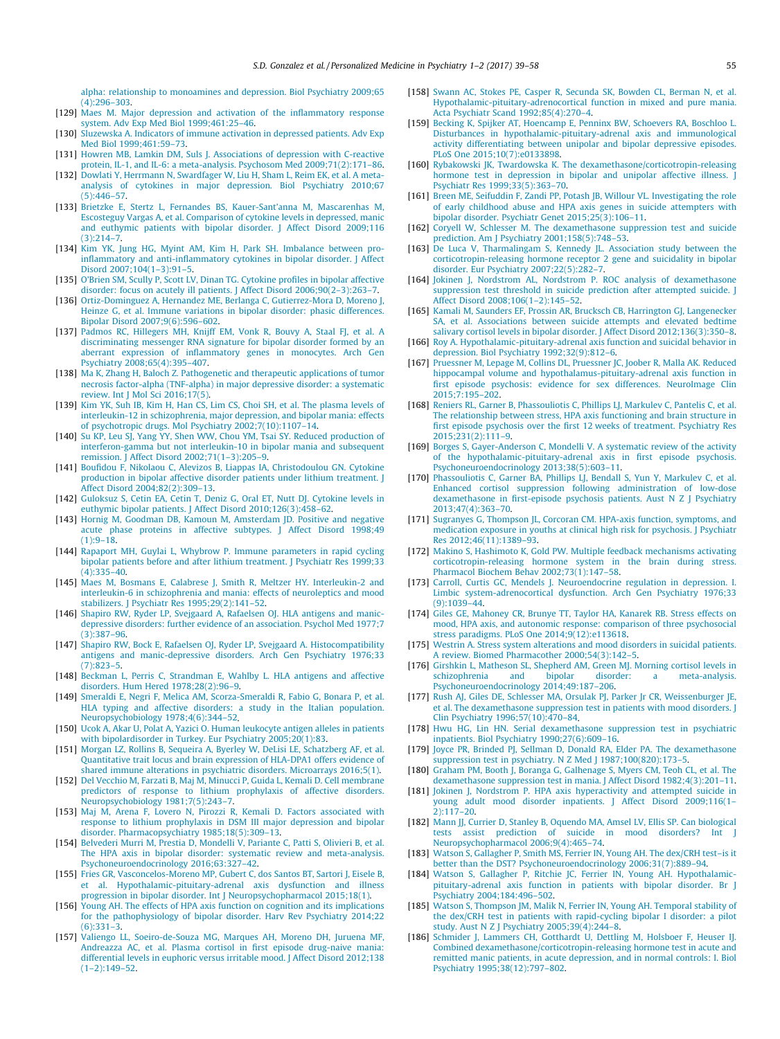<span id="page-16-0"></span>[alpha: relationship to monoamines and depression. Biol Psychiatry 2009;65](http://refhub.elsevier.com/S2468-1717(16)30013-8/h0640) [\(4\):296–303.](http://refhub.elsevier.com/S2468-1717(16)30013-8/h0640)

- [129] [Maes M. Major depression and activation of the inflammatory response](http://refhub.elsevier.com/S2468-1717(16)30013-8/h0645) [system. Adv Exp Med Biol 1999;461:25–46.](http://refhub.elsevier.com/S2468-1717(16)30013-8/h0645)
- [130] [Sluzewska A. Indicators of immune activation in depressed patients. Adv Exp](http://refhub.elsevier.com/S2468-1717(16)30013-8/h0650) [Med Biol 1999;461:59–73.](http://refhub.elsevier.com/S2468-1717(16)30013-8/h0650)
- [131] [Howren MB, Lamkin DM, Suls J. Associations of depression with C-reactive](http://refhub.elsevier.com/S2468-1717(16)30013-8/h0655) [protein, IL-1, and IL-6: a meta-analysis. Psychosom Med 2009;71\(2\):171–86](http://refhub.elsevier.com/S2468-1717(16)30013-8/h0655).
- [132] [Dowlati Y, Herrmann N, Swardfager W, Liu H, Sham L, Reim EK, et al. A meta](http://refhub.elsevier.com/S2468-1717(16)30013-8/h0660)[analysis of cytokines in major depression. Biol Psychiatry 2010;67](http://refhub.elsevier.com/S2468-1717(16)30013-8/h0660)  $(5):$ 446–57.
- [133] [Brietzke E, Stertz L, Fernandes BS, Kauer-Sant'anna M, Mascarenhas M,](http://refhub.elsevier.com/S2468-1717(16)30013-8/h0665) [Escosteguy Vargas A, et al. Comparison of cytokine levels in depressed, manic](http://refhub.elsevier.com/S2468-1717(16)30013-8/h0665) [and euthymic patients with bipolar disorder. J Affect Disord 2009;116](http://refhub.elsevier.com/S2468-1717(16)30013-8/h0665) [\(3\):214–7](http://refhub.elsevier.com/S2468-1717(16)30013-8/h0665).
- [134] [Kim YK, Jung HG, Myint AM, Kim H, Park SH. Imbalance between pro](http://refhub.elsevier.com/S2468-1717(16)30013-8/h0670)[inflammatory and anti-inflammatory cytokines in bipolar disorder. J Affect](http://refhub.elsevier.com/S2468-1717(16)30013-8/h0670) [Disord 2007;104\(1–3\):91–5.](http://refhub.elsevier.com/S2468-1717(16)30013-8/h0670)
- [135] [O'Brien SM, Scully P, Scott LV, Dinan TG. Cytokine profiles in bipolar affective](http://refhub.elsevier.com/S2468-1717(16)30013-8/h0675) [disorder: focus on acutely ill patients. J Affect Disord 2006;90\(2–3\):263–7](http://refhub.elsevier.com/S2468-1717(16)30013-8/h0675).
- [136] [Ortiz-Dominguez A, Hernandez ME, Berlanga C, Gutierrez-Mora D, Moreno J,](http://refhub.elsevier.com/S2468-1717(16)30013-8/h0680) [Heinze G, et al. Immune variations in bipolar disorder: phasic differences.](http://refhub.elsevier.com/S2468-1717(16)30013-8/h0680) [Bipolar Disord 2007;9\(6\):596–602](http://refhub.elsevier.com/S2468-1717(16)30013-8/h0680).
- [137] [Padmos RC, Hillegers MH, Knijff EM, Vonk R, Bouvy A, Staal FJ, et al. A](http://refhub.elsevier.com/S2468-1717(16)30013-8/h0685) [discriminating messenger RNA signature for bipolar disorder formed by an](http://refhub.elsevier.com/S2468-1717(16)30013-8/h0685) [aberrant expression of inflammatory genes in monocytes. Arch Gen](http://refhub.elsevier.com/S2468-1717(16)30013-8/h0685) [Psychiatry 2008;65\(4\):395–407](http://refhub.elsevier.com/S2468-1717(16)30013-8/h0685).
- [138] [Ma K, Zhang H, Baloch Z. Pathogenetic and therapeutic applications of tumor](http://refhub.elsevier.com/S2468-1717(16)30013-8/h0690) [necrosis factor-alpha \(TNF-alpha\) in major depressive disorder: a systematic](http://refhub.elsevier.com/S2468-1717(16)30013-8/h0690) [review. Int J Mol Sci 2016;17\(5\)](http://refhub.elsevier.com/S2468-1717(16)30013-8/h0690).
- [139] [Kim YK, Suh IB, Kim H, Han CS, Lim CS, Choi SH, et al. The plasma levels of](http://refhub.elsevier.com/S2468-1717(16)30013-8/h0695) [interleukin-12 in schizophrenia, major depression, and bipolar mania: effects](http://refhub.elsevier.com/S2468-1717(16)30013-8/h0695) [of psychotropic drugs. Mol Psychiatry 2002;7\(10\):1107–14.](http://refhub.elsevier.com/S2468-1717(16)30013-8/h0695)
- [140] [Su KP, Leu SJ, Yang YY, Shen WW, Chou YM, Tsai SY. Reduced production of](http://refhub.elsevier.com/S2468-1717(16)30013-8/h0700) [interferon-gamma but not interleukin-10 in bipolar mania and subsequent](http://refhub.elsevier.com/S2468-1717(16)30013-8/h0700) [remission. J Affect Disord 2002;71\(1–3\):205–9.](http://refhub.elsevier.com/S2468-1717(16)30013-8/h0700)
- [141] [Boufidou F, Nikolaou C, Alevizos B, Liappas IA, Christodoulou GN. Cytokine](http://refhub.elsevier.com/S2468-1717(16)30013-8/h0705) [production in bipolar affective disorder patients under lithium treatment. J](http://refhub.elsevier.com/S2468-1717(16)30013-8/h0705) [Affect Disord 2004;82\(2\):309–13.](http://refhub.elsevier.com/S2468-1717(16)30013-8/h0705)
- [142] [Guloksuz S, Cetin EA, Cetin T, Deniz G, Oral ET, Nutt DJ. Cytokine levels in](http://refhub.elsevier.com/S2468-1717(16)30013-8/h0710) [euthymic bipolar patients. J Affect Disord 2010;126\(3\):458–62](http://refhub.elsevier.com/S2468-1717(16)30013-8/h0710).
- [143] [Hornig M, Goodman DB, Kamoun M, Amsterdam JD. Positive and negative](http://refhub.elsevier.com/S2468-1717(16)30013-8/h0715) [acute phase proteins in affective subtypes. J Affect Disord 1998;49](http://refhub.elsevier.com/S2468-1717(16)30013-8/h0715)  $(1):9-18.$
- [144] [Rapaport MH, Guylai L, Whybrow P. Immune parameters in rapid cycling](http://refhub.elsevier.com/S2468-1717(16)30013-8/h0720) [bipolar patients before and after lithium treatment. J Psychiatr Res 1999;33](http://refhub.elsevier.com/S2468-1717(16)30013-8/h0720)  $(4)$ :335–40.
- [145] [Maes M, Bosmans E, Calabrese J, Smith R, Meltzer HY. Interleukin-2 and](http://refhub.elsevier.com/S2468-1717(16)30013-8/h0725) [interleukin-6 in schizophrenia and mania: effects of neuroleptics and mood](http://refhub.elsevier.com/S2468-1717(16)30013-8/h0725) [stabilizers. J Psychiatr Res 1995;29\(2\):141–52](http://refhub.elsevier.com/S2468-1717(16)30013-8/h0725).
- [146] [Shapiro RW, Ryder LP, Svejgaard A, Rafaelsen OJ. HLA antigens and manic](http://refhub.elsevier.com/S2468-1717(16)30013-8/h0730)[depressive disorders: further evidence of an association. Psychol Med 1977;7](http://refhub.elsevier.com/S2468-1717(16)30013-8/h0730) [\(3\):387–96.](http://refhub.elsevier.com/S2468-1717(16)30013-8/h0730)
- [147] [Shapiro RW, Bock E, Rafaelsen OJ, Ryder LP, Svejgaard A. Histocompatibility](http://refhub.elsevier.com/S2468-1717(16)30013-8/h0735) [antigens and manic-depressive disorders. Arch Gen Psychiatry 1976;33](http://refhub.elsevier.com/S2468-1717(16)30013-8/h0735) [\(7\):823–5](http://refhub.elsevier.com/S2468-1717(16)30013-8/h0735).
- [148] Beckman L, Perris C, Strandman E, Wahlby L, HLA antigens and affective [disorders. Hum Hered 1978;28\(2\):96–9.](http://refhub.elsevier.com/S2468-1717(16)30013-8/h0740)
- [149] [Smeraldi E, Negri F, Melica AM, Scorza-Smeraldi R, Fabio G, Bonara P, et al.](http://refhub.elsevier.com/S2468-1717(16)30013-8/h0745) [HLA typing and affective disorders: a study in the Italian population.](http://refhub.elsevier.com/S2468-1717(16)30013-8/h0745) [Neuropsychobiology 1978;4\(6\):344–52](http://refhub.elsevier.com/S2468-1717(16)30013-8/h0745).
- [150] [Ucok A, Akar U, Polat A, Yazici O. Human leukocyte antigen alleles in patients](http://refhub.elsevier.com/S2468-1717(16)30013-8/h0750) [with bipolardisorder in Turkey. Eur Psychiatry 2005;20\(1\):83.](http://refhub.elsevier.com/S2468-1717(16)30013-8/h0750)
- [151] [Morgan LZ, Rollins B, Sequeira A, Byerley W, DeLisi LE, Schatzberg AF, et al.](http://refhub.elsevier.com/S2468-1717(16)30013-8/h0755) [Quantitative trait locus and brain expression of HLA-DPA1 offers evidence of](http://refhub.elsevier.com/S2468-1717(16)30013-8/h0755) [shared immune alterations in psychiatric disorders. Microarrays 2016;5\(1\).](http://refhub.elsevier.com/S2468-1717(16)30013-8/h0755)
- [152] [Del Vecchio M, Farzati B, Maj M, Minucci P, Guida L, Kemali D. Cell membrane](http://refhub.elsevier.com/S2468-1717(16)30013-8/h0760) [predictors of response to lithium prophylaxis of affective disorders.](http://refhub.elsevier.com/S2468-1717(16)30013-8/h0760) [Neuropsychobiology 1981;7\(5\):243–7.](http://refhub.elsevier.com/S2468-1717(16)30013-8/h0760)
- [153] [Maj M, Arena F, Lovero N, Pirozzi R, Kemali D. Factors associated with](http://refhub.elsevier.com/S2468-1717(16)30013-8/h0765) [response to lithium prophylaxis in DSM III major depression and bipolar](http://refhub.elsevier.com/S2468-1717(16)30013-8/h0765) [disorder. Pharmacopsychiatry 1985;18\(5\):309–13.](http://refhub.elsevier.com/S2468-1717(16)30013-8/h0765)
- [154] [Belvederi Murri M, Prestia D, Mondelli V, Pariante C, Patti S, Olivieri B, et al.](http://refhub.elsevier.com/S2468-1717(16)30013-8/h0770) [The HPA axis in bipolar disorder: systematic review and meta-analysis.](http://refhub.elsevier.com/S2468-1717(16)30013-8/h0770) [Psychoneuroendocrinology 2016;63:327–42](http://refhub.elsevier.com/S2468-1717(16)30013-8/h0770).
- [155] [Fries GR, Vasconcelos-Moreno MP, Gubert C, dos Santos BT, Sartori J, Eisele B,](http://refhub.elsevier.com/S2468-1717(16)30013-8/h0775) [et al. Hypothalamic-pituitary-adrenal axis dysfunction and illness](http://refhub.elsevier.com/S2468-1717(16)30013-8/h0775) [progression in bipolar disorder. Int J Neuropsychopharmacol 2015;18\(1\)](http://refhub.elsevier.com/S2468-1717(16)30013-8/h0775).
- [156] [Young AH. The effects of HPA axis function on cognition and its implications](http://refhub.elsevier.com/S2468-1717(16)30013-8/h0780) [for the pathophysiology of bipolar disorder. Harv Rev Psychiatry 2014;22](http://refhub.elsevier.com/S2468-1717(16)30013-8/h0780) [\(6\):331–3](http://refhub.elsevier.com/S2468-1717(16)30013-8/h0780).
- [157] [Valiengo LL, Soeiro-de-Souza MG, Marques AH, Moreno DH, Juruena MF,](http://refhub.elsevier.com/S2468-1717(16)30013-8/h0785) [Andreazza AC, et al. Plasma cortisol in first episode drug-naive mania:](http://refhub.elsevier.com/S2468-1717(16)30013-8/h0785) [differential levels in euphoric versus irritable mood. J Affect Disord 2012;138](http://refhub.elsevier.com/S2468-1717(16)30013-8/h0785) [\(1–2\):149–52](http://refhub.elsevier.com/S2468-1717(16)30013-8/h0785).
- [158] [Swann AC, Stokes PE, Casper R, Secunda SK, Bowden CL, Berman N, et al.](http://refhub.elsevier.com/S2468-1717(16)30013-8/h0790) [Hypothalamic-pituitary-adrenocortical function in mixed and pure mania.](http://refhub.elsevier.com/S2468-1717(16)30013-8/h0790) [Acta Psychiatr Scand 1992;85\(4\):270–4](http://refhub.elsevier.com/S2468-1717(16)30013-8/h0790).
- [159] [Becking K, Spijker AT, Hoencamp E, Penninx BW, Schoevers RA, Boschloo L.](http://refhub.elsevier.com/S2468-1717(16)30013-8/h0795) [Disturbances in hypothalamic-pituitary-adrenal axis and immunological](http://refhub.elsevier.com/S2468-1717(16)30013-8/h0795) [activity differentiating between unipolar and bipolar depressive episodes.](http://refhub.elsevier.com/S2468-1717(16)30013-8/h0795) [PLoS One 2015;10\(7\):e0133898](http://refhub.elsevier.com/S2468-1717(16)30013-8/h0795).
- [160] [Rybakowski JK, Twardowska K. The dexamethasone/corticotropin-releasing](http://refhub.elsevier.com/S2468-1717(16)30013-8/h0800) [hormone test in depression in bipolar and unipolar affective illness. J](http://refhub.elsevier.com/S2468-1717(16)30013-8/h0800) [Psychiatr Res 1999;33\(5\):363–70](http://refhub.elsevier.com/S2468-1717(16)30013-8/h0800).
- [161] [Breen ME, Seifuddin F, Zandi PP, Potash JB, Willour VL. Investigating the role](http://refhub.elsevier.com/S2468-1717(16)30013-8/h0805) [of early childhood abuse and HPA axis genes in suicide attempters with](http://refhub.elsevier.com/S2468-1717(16)30013-8/h0805) [bipolar disorder. Psychiatr Genet 2015;25\(3\):106–11](http://refhub.elsevier.com/S2468-1717(16)30013-8/h0805).
- [162] [Coryell W, Schlesser M. The dexamethasone suppression test and suicide](http://refhub.elsevier.com/S2468-1717(16)30013-8/h0810) [prediction. Am J Psychiatry 2001;158\(5\):748–53.](http://refhub.elsevier.com/S2468-1717(16)30013-8/h0810)
- [163] [De Luca V, Tharmalingam S, Kennedy JL. Association study between the](http://refhub.elsevier.com/S2468-1717(16)30013-8/h0815) [corticotropin-releasing hormone receptor 2 gene and suicidality in bipolar](http://refhub.elsevier.com/S2468-1717(16)30013-8/h0815) [disorder. Eur Psychiatry 2007;22\(5\):282–7.](http://refhub.elsevier.com/S2468-1717(16)30013-8/h0815)
- [164] [Jokinen J, Nordstrom AL, Nordstrom P. ROC analysis of dexamethasone](http://refhub.elsevier.com/S2468-1717(16)30013-8/h0820) [suppression test threshold in suicide prediction after attempted suicide. J](http://refhub.elsevier.com/S2468-1717(16)30013-8/h0820) [Affect Disord 2008;106\(1–2\):145–52.](http://refhub.elsevier.com/S2468-1717(16)30013-8/h0820)
- [165] [Kamali M, Saunders EF, Prossin AR, Brucksch CB, Harrington GJ, Langenecker](http://refhub.elsevier.com/S2468-1717(16)30013-8/h0825) [SA, et al. Associations between suicide attempts and elevated bedtime](http://refhub.elsevier.com/S2468-1717(16)30013-8/h0825) [salivary cortisol levels in bipolar disorder. J Affect Disord 2012;136\(3\):350–8.](http://refhub.elsevier.com/S2468-1717(16)30013-8/h0825)
- [166] [Roy A. Hypothalamic-pituitary-adrenal axis function and suicidal behavior in](http://refhub.elsevier.com/S2468-1717(16)30013-8/h0830) [depression. Biol Psychiatry 1992;32\(9\):812–6.](http://refhub.elsevier.com/S2468-1717(16)30013-8/h0830)
- [167] [Pruessner M, Lepage M, Collins DL, Pruessner JC, Joober R, Malla AK. Reduced](http://refhub.elsevier.com/S2468-1717(16)30013-8/h0835) [hippocampal volume and hypothalamus-pituitary-adrenal axis function in](http://refhub.elsevier.com/S2468-1717(16)30013-8/h0835) [first episode psychosis: evidence for sex differences. NeuroImage Clin](http://refhub.elsevier.com/S2468-1717(16)30013-8/h0835) [2015;7:195–202](http://refhub.elsevier.com/S2468-1717(16)30013-8/h0835).
- [168] [Reniers RL, Garner B, Phassouliotis C, Phillips LJ, Markulev C, Pantelis C, et al.](http://refhub.elsevier.com/S2468-1717(16)30013-8/h0840) [The relationship between stress, HPA axis functioning and brain structure in](http://refhub.elsevier.com/S2468-1717(16)30013-8/h0840) [first episode psychosis over the first 12 weeks of treatment. Psychiatry Res](http://refhub.elsevier.com/S2468-1717(16)30013-8/h0840) [2015;231\(2\):111–9.](http://refhub.elsevier.com/S2468-1717(16)30013-8/h0840)
- [169] [Borges S, Gayer-Anderson C, Mondelli V. A systematic review of the activity](http://refhub.elsevier.com/S2468-1717(16)30013-8/h0845) [of the hypothalamic-pituitary-adrenal axis in first episode psychosis.](http://refhub.elsevier.com/S2468-1717(16)30013-8/h0845) [Psychoneuroendocrinology 2013;38\(5\):603–11.](http://refhub.elsevier.com/S2468-1717(16)30013-8/h0845)
- [170] [Phassouliotis C, Garner BA, Phillips LJ, Bendall S, Yun Y, Markulev C, et al.](http://refhub.elsevier.com/S2468-1717(16)30013-8/h0850) [Enhanced cortisol suppression following administration of low-dose](http://refhub.elsevier.com/S2468-1717(16)30013-8/h0850) [dexamethasone in first-episode psychosis patients. Aust N Z J Psychiatry](http://refhub.elsevier.com/S2468-1717(16)30013-8/h0850) [2013;47\(4\):363–70.](http://refhub.elsevier.com/S2468-1717(16)30013-8/h0850)
- [171] [Sugranyes G, Thompson JL, Corcoran CM. HPA-axis function, symptoms, and](http://refhub.elsevier.com/S2468-1717(16)30013-8/h0855) [medication exposure in youths at clinical high risk for psychosis. J Psychiatr](http://refhub.elsevier.com/S2468-1717(16)30013-8/h0855) [Res 2012;46\(11\):1389–93](http://refhub.elsevier.com/S2468-1717(16)30013-8/h0855).
- [172] [Makino S, Hashimoto K, Gold PW. Multiple feedback mechanisms activating](http://refhub.elsevier.com/S2468-1717(16)30013-8/h0860) [corticotropin-releasing hormone system in the brain during stress.](http://refhub.elsevier.com/S2468-1717(16)30013-8/h0860) [Pharmacol Biochem Behav 2002;73\(1\):147–58.](http://refhub.elsevier.com/S2468-1717(16)30013-8/h0860)
- [173] [Carroll, Curtis GC, Mendels J. Neuroendocrine regulation in depression. I.](http://refhub.elsevier.com/S2468-1717(16)30013-8/h0865) [Limbic system-adrenocortical dysfunction. Arch Gen Psychiatry 1976;33](http://refhub.elsevier.com/S2468-1717(16)30013-8/h0865) [\(9\):1039–44.](http://refhub.elsevier.com/S2468-1717(16)30013-8/h0865)
- [174] [Giles GE, Mahoney CR, Brunye TT, Taylor HA, Kanarek RB. Stress effects on](http://refhub.elsevier.com/S2468-1717(16)30013-8/h0870) [mood, HPA axis, and autonomic response: comparison of three psychosocial](http://refhub.elsevier.com/S2468-1717(16)30013-8/h0870) [stress paradigms. PLoS One 2014;9\(12\):e113618.](http://refhub.elsevier.com/S2468-1717(16)30013-8/h0870)
- [175] [Westrin A. Stress system alterations and mood disorders in suicidal patients.](http://refhub.elsevier.com/S2468-1717(16)30013-8/h0875) [A review. Biomed Pharmacother 2000;54\(3\):142–5](http://refhub.elsevier.com/S2468-1717(16)30013-8/h0875).
- [176] [Girshkin L, Matheson SL, Shepherd AM, Green MJ. Morning cortisol levels in](http://refhub.elsevier.com/S2468-1717(16)30013-8/h0880) [schizophrenia and bipolar disorder: a meta-analysis.](http://refhub.elsevier.com/S2468-1717(16)30013-8/h0880) [Psychoneuroendocrinology 2014;49:187–206.](http://refhub.elsevier.com/S2468-1717(16)30013-8/h0880)
- [177] [Rush AJ, Giles DE, Schlesser MA, Orsulak PJ, Parker Jr CR, Weissenburger JE,](http://refhub.elsevier.com/S2468-1717(16)30013-8/h0885) [et al. The dexamethasone suppression test in patients with mood disorders. J](http://refhub.elsevier.com/S2468-1717(16)30013-8/h0885) [Clin Psychiatry 1996;57\(10\):470–84](http://refhub.elsevier.com/S2468-1717(16)30013-8/h0885).
- [178] [Hwu HG, Lin HN. Serial dexamethasone suppression test in psychiatric](http://refhub.elsevier.com/S2468-1717(16)30013-8/h0890) [inpatients. Biol Psychiatry 1990;27\(6\):609–16](http://refhub.elsevier.com/S2468-1717(16)30013-8/h0890).
- [179] [Joyce PR, Brinded PJ, Sellman D, Donald RA, Elder PA. The dexamethasone](http://refhub.elsevier.com/S2468-1717(16)30013-8/h0895) [suppression test in psychiatry. N Z Med J 1987;100\(820\):173–5](http://refhub.elsevier.com/S2468-1717(16)30013-8/h0895).
- [180] [Graham PM, Booth J, Boranga G, Galhenage S, Myers CM, Teoh CL, et al. The](http://refhub.elsevier.com/S2468-1717(16)30013-8/h0900) [dexamethasone suppression test in mania. J Affect Disord 1982;4\(3\):201–11.](http://refhub.elsevier.com/S2468-1717(16)30013-8/h0900)
- [181] [Jokinen J, Nordstrom P. HPA axis hyperactivity and attempted suicide in](http://refhub.elsevier.com/S2468-1717(16)30013-8/h0905) [young adult mood disorder inpatients. J Affect Disord 2009;116\(1–](http://refhub.elsevier.com/S2468-1717(16)30013-8/h0905) [2\):117–20](http://refhub.elsevier.com/S2468-1717(16)30013-8/h0905).
- [182] [Mann JJ, Currier D, Stanley B, Oquendo MA, Amsel LV, Ellis SP. Can biological](http://refhub.elsevier.com/S2468-1717(16)30013-8/h0910) [tests assist prediction of suicide in mood disorders? Int J](http://refhub.elsevier.com/S2468-1717(16)30013-8/h0910) [Neuropsychopharmacol 2006;9\(4\):465–74](http://refhub.elsevier.com/S2468-1717(16)30013-8/h0910).
- [183] Watson S, Gallagher P, Smith MS, Ferrier IN, Young AH. The dex/CRH test-is it [better than the DST? Psychoneuroendocrinology 2006;31\(7\):889–94](http://refhub.elsevier.com/S2468-1717(16)30013-8/h0915). [184] [Watson S, Gallagher P, Ritchie JC, Ferrier IN, Young AH. Hypothalamic-](http://refhub.elsevier.com/S2468-1717(16)30013-8/h0920)
- [pituitary-adrenal axis function in patients with bipolar disorder. Br J](http://refhub.elsevier.com/S2468-1717(16)30013-8/h0920) [Psychiatry 2004;184:496–502](http://refhub.elsevier.com/S2468-1717(16)30013-8/h0920).
- [185] [Watson S, Thompson JM, Malik N, Ferrier IN, Young AH. Temporal stability of](http://refhub.elsevier.com/S2468-1717(16)30013-8/h0925) [the dex/CRH test in patients with rapid-cycling bipolar I disorder: a pilot](http://refhub.elsevier.com/S2468-1717(16)30013-8/h0925) [study. Aust N Z J Psychiatry 2005;39\(4\):244–8.](http://refhub.elsevier.com/S2468-1717(16)30013-8/h0925)
- [186] [Schmider J, Lammers CH, Gotthardt U, Dettling M, Holsboer F, Heuser IJ.](http://refhub.elsevier.com/S2468-1717(16)30013-8/h0930) [Combined dexamethasone/corticotropin-releasing hormone test in acute and](http://refhub.elsevier.com/S2468-1717(16)30013-8/h0930) [remitted manic patients, in acute depression, and in normal controls: I. Biol](http://refhub.elsevier.com/S2468-1717(16)30013-8/h0930) [Psychiatry 1995;38\(12\):797–802](http://refhub.elsevier.com/S2468-1717(16)30013-8/h0930).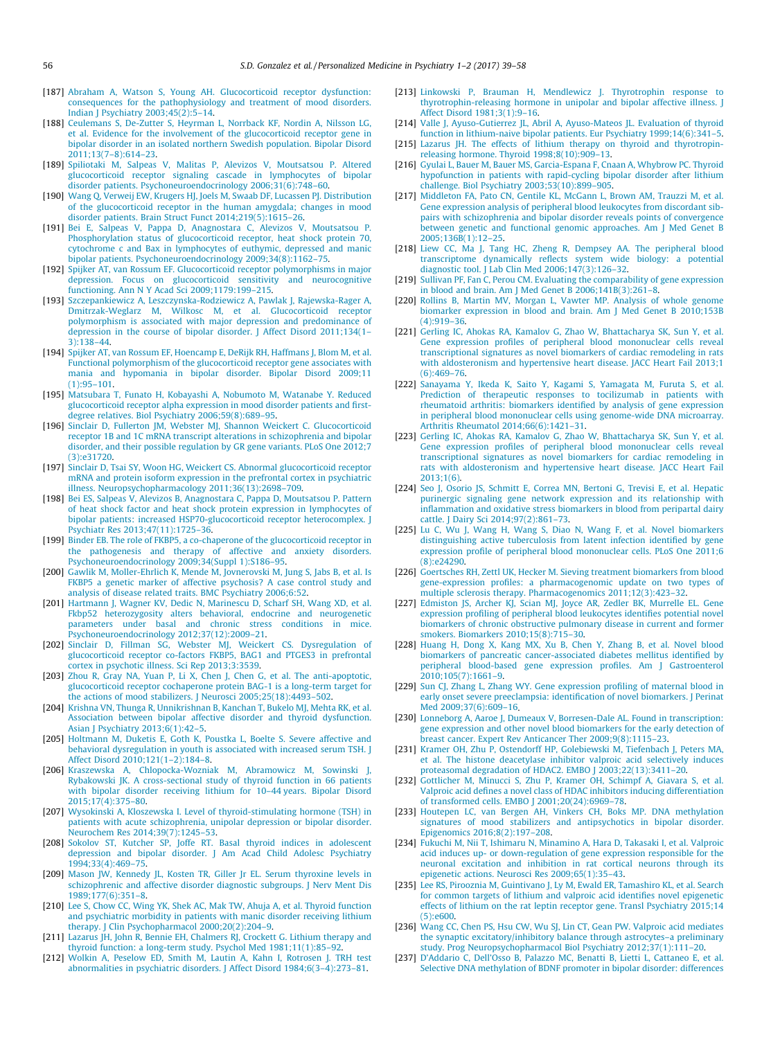- <span id="page-17-0"></span>[187] [Abraham A, Watson S, Young AH. Glucocorticoid receptor dysfunction:](http://refhub.elsevier.com/S2468-1717(16)30013-8/h0935) [consequences for the pathophysiology and treatment of mood disorders.](http://refhub.elsevier.com/S2468-1717(16)30013-8/h0935) [Indian J Psychiatry 2003;45\(2\):5–14.](http://refhub.elsevier.com/S2468-1717(16)30013-8/h0935)
- [188] [Ceulemans S, De-Zutter S, Heyrman L, Norrback KF, Nordin A, Nilsson LG,](http://refhub.elsevier.com/S2468-1717(16)30013-8/h0940) [et al. Evidence for the involvement of the glucocorticoid receptor gene in](http://refhub.elsevier.com/S2468-1717(16)30013-8/h0940) [bipolar disorder in an isolated northern Swedish population. Bipolar Disord](http://refhub.elsevier.com/S2468-1717(16)30013-8/h0940) [2011;13\(7–8\):614–23.](http://refhub.elsevier.com/S2468-1717(16)30013-8/h0940)
- [189] [Spiliotaki M, Salpeas V, Malitas P, Alevizos V, Moutsatsou P. Altered](http://refhub.elsevier.com/S2468-1717(16)30013-8/h0945) [glucocorticoid receptor signaling cascade in lymphocytes of bipolar](http://refhub.elsevier.com/S2468-1717(16)30013-8/h0945) [disorder patients. Psychoneuroendocrinology 2006;31\(6\):748–60](http://refhub.elsevier.com/S2468-1717(16)30013-8/h0945).
- [190] [Wang Q, Verweij EW, Krugers HJ, Joels M, Swaab DF, Lucassen PJ. Distribution](http://refhub.elsevier.com/S2468-1717(16)30013-8/h0950) [of the glucocorticoid receptor in the human amygdala; changes in mood](http://refhub.elsevier.com/S2468-1717(16)30013-8/h0950) [disorder patients. Brain Struct Funct 2014;219\(5\):1615–26](http://refhub.elsevier.com/S2468-1717(16)30013-8/h0950).
- [191] [Bei E, Salpeas V, Pappa D, Anagnostara C, Alevizos V, Moutsatsou P.](http://refhub.elsevier.com/S2468-1717(16)30013-8/h0955) [Phosphorylation status of glucocorticoid receptor, heat shock protein 70,](http://refhub.elsevier.com/S2468-1717(16)30013-8/h0955) [cytochrome c and Bax in lymphocytes of euthymic, depressed and manic](http://refhub.elsevier.com/S2468-1717(16)30013-8/h0955) [bipolar patients. Psychoneuroendocrinology 2009;34\(8\):1162–75.](http://refhub.elsevier.com/S2468-1717(16)30013-8/h0955)
- [192] [Spijker AT, van Rossum EF. Glucocorticoid receptor polymorphisms in major](http://refhub.elsevier.com/S2468-1717(16)30013-8/h0960) [depression. Focus on glucocorticoid sensitivity and neurocognitive](http://refhub.elsevier.com/S2468-1717(16)30013-8/h0960) [functioning. Ann N Y Acad Sci 2009;1179:199–215](http://refhub.elsevier.com/S2468-1717(16)30013-8/h0960).
- [193] [Szczepankiewicz A, Leszczynska-Rodziewicz A, Pawlak J, Rajewska-Rager A,](http://refhub.elsevier.com/S2468-1717(16)30013-8/h0965) [Dmitrzak-Weglarz M, Wilkosc M, et al. Glucocorticoid receptor](http://refhub.elsevier.com/S2468-1717(16)30013-8/h0965) [polymorphism is associated with major depression and predominance of](http://refhub.elsevier.com/S2468-1717(16)30013-8/h0965) [depression in the course of bipolar disorder. J Affect Disord 2011;134\(1–](http://refhub.elsevier.com/S2468-1717(16)30013-8/h0965) [3\):138–44.](http://refhub.elsevier.com/S2468-1717(16)30013-8/h0965)
- [194] [Spijker AT, van Rossum EF, Hoencamp E, DeRijk RH, Haffmans J, Blom M, et al.](http://refhub.elsevier.com/S2468-1717(16)30013-8/h0970) [Functional polymorphism of the glucocorticoid receptor gene associates with](http://refhub.elsevier.com/S2468-1717(16)30013-8/h0970) [mania and hypomania in bipolar disorder. Bipolar Disord 2009;11](http://refhub.elsevier.com/S2468-1717(16)30013-8/h0970)  $(1):95-101.$
- [195] [Matsubara T, Funato H, Kobayashi A, Nobumoto M, Watanabe Y. Reduced](http://refhub.elsevier.com/S2468-1717(16)30013-8/h0975) [glucocorticoid receptor alpha expression in mood disorder patients and first](http://refhub.elsevier.com/S2468-1717(16)30013-8/h0975)[degree relatives. Biol Psychiatry 2006;59\(8\):689–95](http://refhub.elsevier.com/S2468-1717(16)30013-8/h0975).
- [196] [Sinclair D, Fullerton JM, Webster MJ, Shannon Weickert C. Glucocorticoid](http://refhub.elsevier.com/S2468-1717(16)30013-8/h0980) [receptor 1B and 1C mRNA transcript alterations in schizophrenia and bipolar](http://refhub.elsevier.com/S2468-1717(16)30013-8/h0980) [disorder, and their possible regulation by GR gene variants. PLoS One 2012;7](http://refhub.elsevier.com/S2468-1717(16)30013-8/h0980) [\(3\):e31720.](http://refhub.elsevier.com/S2468-1717(16)30013-8/h0980)
- [197] [Sinclair D, Tsai SY, Woon HG, Weickert CS. Abnormal glucocorticoid receptor](http://refhub.elsevier.com/S2468-1717(16)30013-8/h0985) [mRNA and protein isoform expression in the prefrontal cortex in psychiatric](http://refhub.elsevier.com/S2468-1717(16)30013-8/h0985) [illness. Neuropsychopharmacology 2011;36\(13\):2698–709](http://refhub.elsevier.com/S2468-1717(16)30013-8/h0985).
- [198] [Bei ES, Salpeas V, Alevizos B, Anagnostara C, Pappa D, Moutsatsou P. Pattern](http://refhub.elsevier.com/S2468-1717(16)30013-8/h0990) [of heat shock factor and heat shock protein expression in lymphocytes of](http://refhub.elsevier.com/S2468-1717(16)30013-8/h0990) [bipolar patients: increased HSP70-glucocorticoid receptor heterocomplex. J](http://refhub.elsevier.com/S2468-1717(16)30013-8/h0990) [Psychiatr Res 2013;47\(11\):1725–36](http://refhub.elsevier.com/S2468-1717(16)30013-8/h0990).
- [199] [Binder EB. The role of FKBP5, a co-chaperone of the glucocorticoid receptor in](http://refhub.elsevier.com/S2468-1717(16)30013-8/h0995) [the pathogenesis and therapy of affective and anxiety disorders.](http://refhub.elsevier.com/S2468-1717(16)30013-8/h0995) [Psychoneuroendocrinology 2009;34\(Suppl 1\):S186–95.](http://refhub.elsevier.com/S2468-1717(16)30013-8/h0995)
- [200] [Gawlik M, Moller-Ehrlich K, Mende M, Jovnerovski M, Jung S, Jabs B, et al. Is](http://refhub.elsevier.com/S2468-1717(16)30013-8/h1000) [FKBP5 a genetic marker of affective psychosis? A case control study and](http://refhub.elsevier.com/S2468-1717(16)30013-8/h1000) [analysis of disease related traits. BMC Psychiatry 2006;6:52](http://refhub.elsevier.com/S2468-1717(16)30013-8/h1000).
- [201] [Hartmann J, Wagner KV, Dedic N, Marinescu D, Scharf SH, Wang XD, et al.](http://refhub.elsevier.com/S2468-1717(16)30013-8/h1005) [Fkbp52 heterozygosity alters behavioral, endocrine and neurogenetic](http://refhub.elsevier.com/S2468-1717(16)30013-8/h1005) [parameters under basal and chronic stress conditions in mice.](http://refhub.elsevier.com/S2468-1717(16)30013-8/h1005) [Psychoneuroendocrinology 2012;37\(12\):2009–21.](http://refhub.elsevier.com/S2468-1717(16)30013-8/h1005)
- [202] [Sinclair D, Fillman SG, Webster MJ, Weickert CS. Dysregulation of](http://refhub.elsevier.com/S2468-1717(16)30013-8/h1010) [glucocorticoid receptor co-factors FKBP5, BAG1 and PTGES3 in prefrontal](http://refhub.elsevier.com/S2468-1717(16)30013-8/h1010) [cortex in psychotic illness. Sci Rep 2013;3:3539.](http://refhub.elsevier.com/S2468-1717(16)30013-8/h1010)
- [203] [Zhou R, Gray NA, Yuan P, Li X, Chen J, Chen G, et al. The anti-apoptotic,](http://refhub.elsevier.com/S2468-1717(16)30013-8/h1015) [glucocorticoid receptor cochaperone protein BAG-1 is a long-term target for](http://refhub.elsevier.com/S2468-1717(16)30013-8/h1015) [the actions of mood stabilizers. J Neurosci 2005;25\(18\):4493–502.](http://refhub.elsevier.com/S2468-1717(16)30013-8/h1015)
- [204] [Krishna VN, Thunga R, Unnikrishnan B, Kanchan T, Bukelo MJ, Mehta RK, et al.](http://refhub.elsevier.com/S2468-1717(16)30013-8/h1020) [Association between bipolar affective disorder and thyroid dysfunction.](http://refhub.elsevier.com/S2468-1717(16)30013-8/h1020) [Asian J Psychiatry 2013;6\(1\):42–5](http://refhub.elsevier.com/S2468-1717(16)30013-8/h1020).
- [205] [Holtmann M, Duketis E, Goth K, Poustka L, Boelte S. Severe affective and](http://refhub.elsevier.com/S2468-1717(16)30013-8/h1025) [behavioral dysregulation in youth is associated with increased serum TSH. J](http://refhub.elsevier.com/S2468-1717(16)30013-8/h1025) [Affect Disord 2010;121\(1–2\):184–8](http://refhub.elsevier.com/S2468-1717(16)30013-8/h1025).
- [206] [Kraszewska A, Chlopocka-Wozniak M, Abramowicz M, Sowinski J,](http://refhub.elsevier.com/S2468-1717(16)30013-8/h1030) [Rybakowski JK. A cross-sectional study of thyroid function in 66 patients](http://refhub.elsevier.com/S2468-1717(16)30013-8/h1030) [with bipolar disorder receiving lithium for 10–44 years. Bipolar Disord](http://refhub.elsevier.com/S2468-1717(16)30013-8/h1030) [2015;17\(4\):375–80](http://refhub.elsevier.com/S2468-1717(16)30013-8/h1030).
- [207] [Wysokinski A, Kloszewska I. Level of thyroid-stimulating hormone \(TSH\) in](http://refhub.elsevier.com/S2468-1717(16)30013-8/h1035) [patients with acute schizophrenia, unipolar depression or bipolar disorder.](http://refhub.elsevier.com/S2468-1717(16)30013-8/h1035) [Neurochem Res 2014;39\(7\):1245–53.](http://refhub.elsevier.com/S2468-1717(16)30013-8/h1035)
- [208] [Sokolov ST, Kutcher SP, Joffe RT. Basal thyroid indices in adolescent](http://refhub.elsevier.com/S2468-1717(16)30013-8/h1040) [depression and bipolar disorder. J Am Acad Child Adolesc Psychiatry](http://refhub.elsevier.com/S2468-1717(16)30013-8/h1040) [1994;33\(4\):469–75](http://refhub.elsevier.com/S2468-1717(16)30013-8/h1040).
- [209] Mason JW, Kennedy JL, Kosten TR, Giller Jr EL, Serum thyroxine levels in [schizophrenic and affective disorder diagnostic subgroups. J Nerv Ment Dis](http://refhub.elsevier.com/S2468-1717(16)30013-8/h1045) [1989;177\(6\):351–8](http://refhub.elsevier.com/S2468-1717(16)30013-8/h1045).
- [210] [Lee S, Chow CC, Wing YK, Shek AC, Mak TW, Ahuja A, et al. Thyroid function](http://refhub.elsevier.com/S2468-1717(16)30013-8/h1050) [and psychiatric morbidity in patients with manic disorder receiving lithium](http://refhub.elsevier.com/S2468-1717(16)30013-8/h1050) [therapy. J Clin Psychopharmacol 2000;20\(2\):204–9.](http://refhub.elsevier.com/S2468-1717(16)30013-8/h1050)
- [211] [Lazarus JH, John R, Bennie EH, Chalmers RJ, Crockett G. Lithium therapy and](http://refhub.elsevier.com/S2468-1717(16)30013-8/h1055) [thyroid function: a long-term study. Psychol Med 1981;11\(1\):85–92.](http://refhub.elsevier.com/S2468-1717(16)30013-8/h1055)
- [212] [Wolkin A, Peselow ED, Smith M, Lautin A, Kahn I, Rotrosen J. TRH test](http://refhub.elsevier.com/S2468-1717(16)30013-8/h1060) [abnormalities in psychiatric disorders. J Affect Disord 1984;6\(3–4\):273–81.](http://refhub.elsevier.com/S2468-1717(16)30013-8/h1060)
- [213] [Linkowski P, Brauman H, Mendlewicz J. Thyrotrophin response to](http://refhub.elsevier.com/S2468-1717(16)30013-8/h1065) [thyrotrophin-releasing hormone in unipolar and bipolar affective illness. J](http://refhub.elsevier.com/S2468-1717(16)30013-8/h1065) [Affect Disord 1981;3\(1\):9–16.](http://refhub.elsevier.com/S2468-1717(16)30013-8/h1065)
- [214] [Valle J, Ayuso-Gutierrez JL, Abril A, Ayuso-Mateos JL. Evaluation of thyroid](http://refhub.elsevier.com/S2468-1717(16)30013-8/h1070) [function in lithium-naive bipolar patients. Eur Psychiatry 1999;14\(6\):341–5](http://refhub.elsevier.com/S2468-1717(16)30013-8/h1070). [215] [Lazarus JH. The effects of lithium therapy on thyroid and thyrotropin-](http://refhub.elsevier.com/S2468-1717(16)30013-8/h1075)
- [releasing hormone. Thyroid 1998;8\(10\):909–13](http://refhub.elsevier.com/S2468-1717(16)30013-8/h1075). [216] [Gyulai L, Bauer M, Bauer MS, Garcia-Espana F, Cnaan A, Whybrow PC. Thyroid](http://refhub.elsevier.com/S2468-1717(16)30013-8/h1080) [hypofunction in patients with rapid-cycling bipolar disorder after lithium](http://refhub.elsevier.com/S2468-1717(16)30013-8/h1080)
- [challenge. Biol Psychiatry 2003;53\(10\):899–905](http://refhub.elsevier.com/S2468-1717(16)30013-8/h1080). [217] [Middleton FA, Pato CN, Gentile KL, McGann L, Brown AM, Trauzzi M, et al.](http://refhub.elsevier.com/S2468-1717(16)30013-8/h1085) [Gene expression analysis of peripheral blood leukocytes from discordant sib](http://refhub.elsevier.com/S2468-1717(16)30013-8/h1085)[pairs with schizophrenia and bipolar disorder reveals points of convergence](http://refhub.elsevier.com/S2468-1717(16)30013-8/h1085) [between genetic and functional genomic approaches. Am J Med Genet B](http://refhub.elsevier.com/S2468-1717(16)30013-8/h1085) [2005;136B\(1\):12–25](http://refhub.elsevier.com/S2468-1717(16)30013-8/h1085).
- [218] [Liew CC, Ma J, Tang HC, Zheng R, Dempsey AA. The peripheral blood](http://refhub.elsevier.com/S2468-1717(16)30013-8/h1090) [transcriptome dynamically reflects system wide biology: a potential](http://refhub.elsevier.com/S2468-1717(16)30013-8/h1090) [diagnostic tool. J Lab Clin Med 2006;147\(3\):126–32.](http://refhub.elsevier.com/S2468-1717(16)30013-8/h1090)
- [219] [Sullivan PF, Fan C, Perou CM. Evaluating the comparability of gene expression](http://refhub.elsevier.com/S2468-1717(16)30013-8/h1095) [in blood and brain. Am J Med Genet B 2006;141B\(3\):261–8](http://refhub.elsevier.com/S2468-1717(16)30013-8/h1095).
- [220] [Rollins B, Martin MV, Morgan L, Vawter MP. Analysis of whole genome](http://refhub.elsevier.com/S2468-1717(16)30013-8/h1100) [biomarker expression in blood and brain. Am J Med Genet B 2010;153B](http://refhub.elsevier.com/S2468-1717(16)30013-8/h1100) [\(4\):919–36.](http://refhub.elsevier.com/S2468-1717(16)30013-8/h1100)
- [221] [Gerling IC, Ahokas RA, Kamalov G, Zhao W, Bhattacharya SK, Sun Y, et al.](http://refhub.elsevier.com/S2468-1717(16)30013-8/h1105) [Gene expression profiles of peripheral blood mononuclear cells reveal](http://refhub.elsevier.com/S2468-1717(16)30013-8/h1105) [transcriptional signatures as novel biomarkers of cardiac remodeling in rats](http://refhub.elsevier.com/S2468-1717(16)30013-8/h1105) [with aldosteronism and hypertensive heart disease. JACC Heart Fail 2013;1](http://refhub.elsevier.com/S2468-1717(16)30013-8/h1105) [\(6\):469–76](http://refhub.elsevier.com/S2468-1717(16)30013-8/h1105).
- [222] [Sanayama Y, Ikeda K, Saito Y, Kagami S, Yamagata M, Furuta S, et al.](http://refhub.elsevier.com/S2468-1717(16)30013-8/h1110) [Prediction of therapeutic responses to tocilizumab in patients with](http://refhub.elsevier.com/S2468-1717(16)30013-8/h1110) [rheumatoid arthritis: biomarkers identified by analysis of gene expression](http://refhub.elsevier.com/S2468-1717(16)30013-8/h1110) [in peripheral blood mononuclear cells using genome-wide DNA microarray.](http://refhub.elsevier.com/S2468-1717(16)30013-8/h1110) [Arthritis Rheumatol 2014;66\(6\):1421–31.](http://refhub.elsevier.com/S2468-1717(16)30013-8/h1110)
- [223] [Gerling IC, Ahokas RA, Kamalov G, Zhao W, Bhattacharya SK, Sun Y, et al.](http://refhub.elsevier.com/S2468-1717(16)30013-8/h1115) [Gene expression profiles of peripheral blood mononuclear cells reveal](http://refhub.elsevier.com/S2468-1717(16)30013-8/h1115) [transcriptional signatures as novel biomarkers for cardiac remodeling in](http://refhub.elsevier.com/S2468-1717(16)30013-8/h1115) [rats with aldosteronism and hypertensive heart disease. JACC Heart Fail](http://refhub.elsevier.com/S2468-1717(16)30013-8/h1115) [2013;1\(6\)](http://refhub.elsevier.com/S2468-1717(16)30013-8/h1115).
- [224] [Seo J, Osorio JS, Schmitt E, Correa MN, Bertoni G, Trevisi E, et al. Hepatic](http://refhub.elsevier.com/S2468-1717(16)30013-8/h1120) [purinergic signaling gene network expression and its relationship with](http://refhub.elsevier.com/S2468-1717(16)30013-8/h1120) [inflammation and oxidative stress biomarkers in blood from peripartal dairy](http://refhub.elsevier.com/S2468-1717(16)30013-8/h1120) [cattle. J Dairy Sci 2014;97\(2\):861–73.](http://refhub.elsevier.com/S2468-1717(16)30013-8/h1120)
- [225] [Lu C, Wu J, Wang H, Wang S, Diao N, Wang F, et al. Novel biomarkers](http://refhub.elsevier.com/S2468-1717(16)30013-8/h1125) [distinguishing active tuberculosis from latent infection identified by gene](http://refhub.elsevier.com/S2468-1717(16)30013-8/h1125) [expression profile of peripheral blood mononuclear cells. PLoS One 2011;6](http://refhub.elsevier.com/S2468-1717(16)30013-8/h1125) [\(8\):e24290.](http://refhub.elsevier.com/S2468-1717(16)30013-8/h1125)
- [226] [Goertsches RH, Zettl UK, Hecker M. Sieving treatment biomarkers from blood](http://refhub.elsevier.com/S2468-1717(16)30013-8/h1130) [gene-expression profiles: a pharmacogenomic update on two types of](http://refhub.elsevier.com/S2468-1717(16)30013-8/h1130) [multiple sclerosis therapy. Pharmacogenomics 2011;12\(3\):423–32.](http://refhub.elsevier.com/S2468-1717(16)30013-8/h1130)
- [227] [Edmiston JS, Archer KJ, Scian MJ, Joyce AR, Zedler BK, Murrelle EL. Gene](http://refhub.elsevier.com/S2468-1717(16)30013-8/h1135) [expression profiling of peripheral blood leukocytes identifies potential novel](http://refhub.elsevier.com/S2468-1717(16)30013-8/h1135) [biomarkers of chronic obstructive pulmonary disease in current and former](http://refhub.elsevier.com/S2468-1717(16)30013-8/h1135) [smokers. Biomarkers 2010;15\(8\):715–30](http://refhub.elsevier.com/S2468-1717(16)30013-8/h1135).
- [228] [Huang H, Dong X, Kang MX, Xu B, Chen Y, Zhang B, et al. Novel blood](http://refhub.elsevier.com/S2468-1717(16)30013-8/h1140) [biomarkers of pancreatic cancer-associated diabetes mellitus identified by](http://refhub.elsevier.com/S2468-1717(16)30013-8/h1140) [peripheral blood-based gene expression profiles. Am J Gastroenterol](http://refhub.elsevier.com/S2468-1717(16)30013-8/h1140)  $2010$ ; 105(7): 1661-9.
- [229] [Sun CJ, Zhang L, Zhang WY. Gene expression profiling of maternal blood in](http://refhub.elsevier.com/S2468-1717(16)30013-8/h1145) [early onset severe preeclampsia: identification of novel biomarkers. J Perinat](http://refhub.elsevier.com/S2468-1717(16)30013-8/h1145) [Med 2009;37\(6\):609–16.](http://refhub.elsevier.com/S2468-1717(16)30013-8/h1145)
- [230] [Lonneborg A, Aaroe J, Dumeaux V, Borresen-Dale AL. Found in transcription:](http://refhub.elsevier.com/S2468-1717(16)30013-8/h1150) [gene expression and other novel blood biomarkers for the early detection of](http://refhub.elsevier.com/S2468-1717(16)30013-8/h1150) [breast cancer. Expert Rev Anticancer Ther 2009;9\(8\):1115–23](http://refhub.elsevier.com/S2468-1717(16)30013-8/h1150).
- [231] [Kramer OH, Zhu P, Ostendorff HP, Golebiewski M, Tiefenbach J, Peters MA,](http://refhub.elsevier.com/S2468-1717(16)30013-8/h1155) [et al. The histone deacetylase inhibitor valproic acid selectively induces](http://refhub.elsevier.com/S2468-1717(16)30013-8/h1155) [proteasomal degradation of HDAC2. EMBO J 2003;22\(13\):3411–20.](http://refhub.elsevier.com/S2468-1717(16)30013-8/h1155)
- [232] [Gottlicher M, Minucci S, Zhu P, Kramer OH, Schimpf A, Giavara S, et al.](http://refhub.elsevier.com/S2468-1717(16)30013-8/h1160) [Valproic acid defines a novel class of HDAC inhibitors inducing differentiation](http://refhub.elsevier.com/S2468-1717(16)30013-8/h1160) [of transformed cells. EMBO J 2001;20\(24\):6969–78.](http://refhub.elsevier.com/S2468-1717(16)30013-8/h1160)
- [233] [Houtepen LC, van Bergen AH, Vinkers CH, Boks MP. DNA methylation](http://refhub.elsevier.com/S2468-1717(16)30013-8/h1165) [signatures of mood stabilizers and antipsychotics in bipolar disorder.](http://refhub.elsevier.com/S2468-1717(16)30013-8/h1165) [Epigenomics 2016;8\(2\):197–208](http://refhub.elsevier.com/S2468-1717(16)30013-8/h1165).
- [234] [Fukuchi M, Nii T, Ishimaru N, Minamino A, Hara D, Takasaki I, et al. Valproic](http://refhub.elsevier.com/S2468-1717(16)30013-8/h1170) [acid induces up- or down-regulation of gene expression responsible for the](http://refhub.elsevier.com/S2468-1717(16)30013-8/h1170) [neuronal excitation and inhibition in rat cortical neurons through its](http://refhub.elsevier.com/S2468-1717(16)30013-8/h1170) [epigenetic actions. Neurosci Res 2009;65\(1\):35–43.](http://refhub.elsevier.com/S2468-1717(16)30013-8/h1170)
- [235] [Lee RS, Pirooznia M, Guintivano J, Ly M, Ewald ER, Tamashiro KL, et al. Search](http://refhub.elsevier.com/S2468-1717(16)30013-8/h1175) [for common targets of lithium and valproic acid identifies novel epigenetic](http://refhub.elsevier.com/S2468-1717(16)30013-8/h1175) [effects of lithium on the rat leptin receptor gene. Transl Psychiatry 2015;14](http://refhub.elsevier.com/S2468-1717(16)30013-8/h1175) [\(5\):e600.](http://refhub.elsevier.com/S2468-1717(16)30013-8/h1175)
- [236] [Wang CC, Chen PS, Hsu CW, Wu SJ, Lin CT, Gean PW. Valproic acid mediates](http://refhub.elsevier.com/S2468-1717(16)30013-8/h1180) [the synaptic excitatory/inhibitory balance through astrocytes–a preliminary](http://refhub.elsevier.com/S2468-1717(16)30013-8/h1180) [study. Prog Neuropsychopharmacol Biol Psychiatry 2012;37\(1\):111–20.](http://refhub.elsevier.com/S2468-1717(16)30013-8/h1180)
- [237] [D'Addario C, Dell'Osso B, Palazzo MC, Benatti B, Lietti L, Cattaneo E, et al.](http://refhub.elsevier.com/S2468-1717(16)30013-8/h1185) [Selective DNA methylation of BDNF promoter in bipolar disorder: differences](http://refhub.elsevier.com/S2468-1717(16)30013-8/h1185)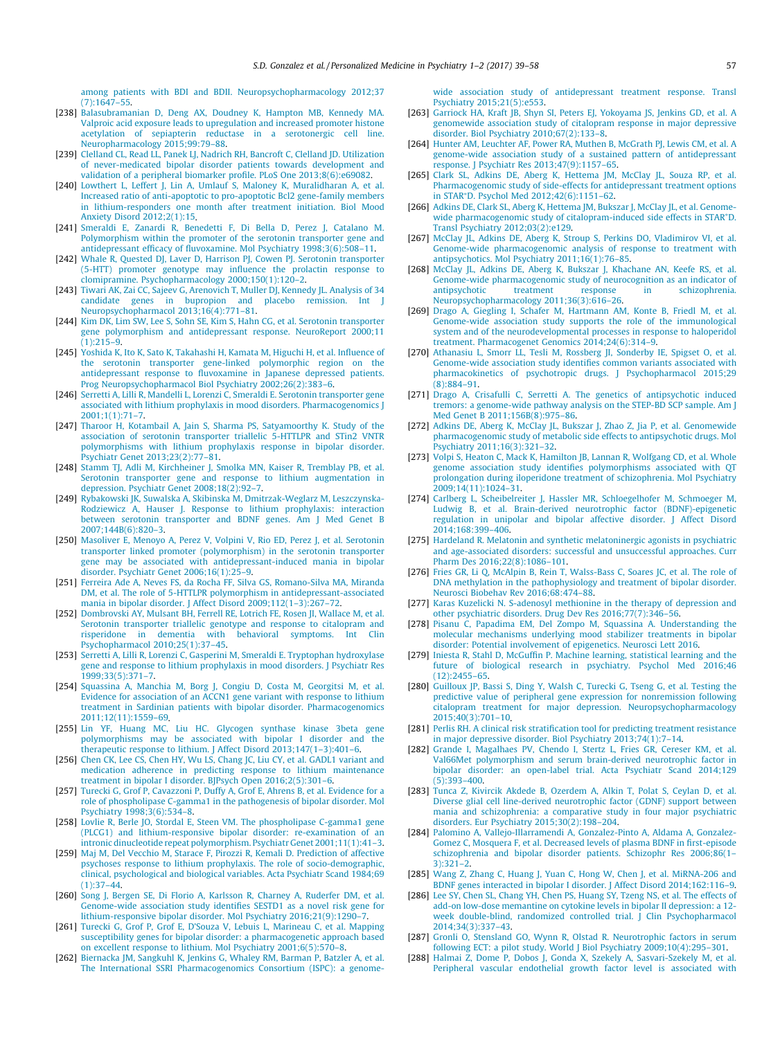<span id="page-18-0"></span>[among patients with BDI and BDII. Neuropsychopharmacology 2012;37](http://refhub.elsevier.com/S2468-1717(16)30013-8/h1185) [\(7\):1647–55.](http://refhub.elsevier.com/S2468-1717(16)30013-8/h1185)

- [238] [Balasubramanian D, Deng AX, Doudney K, Hampton MB, Kennedy MA.](http://refhub.elsevier.com/S2468-1717(16)30013-8/h1190) [Valproic acid exposure leads to upregulation and increased promoter histone](http://refhub.elsevier.com/S2468-1717(16)30013-8/h1190) [acetylation of sepiapterin reductase in a serotonergic cell line.](http://refhub.elsevier.com/S2468-1717(16)30013-8/h1190) [Neuropharmacology 2015;99:79–88](http://refhub.elsevier.com/S2468-1717(16)30013-8/h1190).
- [239] [Clelland CL, Read LL, Panek LJ, Nadrich RH, Bancroft C, Clelland JD. Utilization](http://refhub.elsevier.com/S2468-1717(16)30013-8/h1195) [of never-medicated bipolar disorder patients towards development and](http://refhub.elsevier.com/S2468-1717(16)30013-8/h1195) [validation of a peripheral biomarker profile. PLoS One 2013;8\(6\):e69082](http://refhub.elsevier.com/S2468-1717(16)30013-8/h1195).
- [240] [Lowthert L, Leffert J, Lin A, Umlauf S, Maloney K, Muralidharan A, et al.](http://refhub.elsevier.com/S2468-1717(16)30013-8/h1200) [Increased ratio of anti-apoptotic to pro-apoptotic Bcl2 gene-family members](http://refhub.elsevier.com/S2468-1717(16)30013-8/h1200) [in lithium-responders one month after treatment initiation. Biol Mood](http://refhub.elsevier.com/S2468-1717(16)30013-8/h1200) [Anxiety Disord 2012;2\(1\):15](http://refhub.elsevier.com/S2468-1717(16)30013-8/h1200).
- [241] [Smeraldi E, Zanardi R, Benedetti F, Di Bella D, Perez J, Catalano M.](http://refhub.elsevier.com/S2468-1717(16)30013-8/h1205) [Polymorphism within the promoter of the serotonin transporter gene and](http://refhub.elsevier.com/S2468-1717(16)30013-8/h1205) [antidepressant efficacy of fluvoxamine. Mol Psychiatry 1998;3\(6\):508–11.](http://refhub.elsevier.com/S2468-1717(16)30013-8/h1205)
- [242] [Whale R, Quested DJ, Laver D, Harrison PJ, Cowen PJ. Serotonin transporter](http://refhub.elsevier.com/S2468-1717(16)30013-8/h1210) [\(5-HTT\) promoter genotype may influence the prolactin response to](http://refhub.elsevier.com/S2468-1717(16)30013-8/h1210) [clomipramine. Psychopharmacology 2000;150\(1\):120–2.](http://refhub.elsevier.com/S2468-1717(16)30013-8/h1210)
- [243] [Tiwari AK, Zai CC, Sajeev G, Arenovich T, Muller DJ, Kennedy JL. Analysis of 34](http://refhub.elsevier.com/S2468-1717(16)30013-8/h1215) [candidate genes in bupropion and placebo remission. Int J](http://refhub.elsevier.com/S2468-1717(16)30013-8/h1215) [Neuropsychopharmacol 2013;16\(4\):771–81](http://refhub.elsevier.com/S2468-1717(16)30013-8/h1215).
- [244] [Kim DK, Lim SW, Lee S, Sohn SE, Kim S, Hahn CG, et al. Serotonin transporter](http://refhub.elsevier.com/S2468-1717(16)30013-8/h1220) [gene polymorphism and antidepressant response. NeuroReport 2000;11](http://refhub.elsevier.com/S2468-1717(16)30013-8/h1220)  $(1):$  215–9.
- [245] [Yoshida K, Ito K, Sato K, Takahashi H, Kamata M, Higuchi H, et al. Influence of](http://refhub.elsevier.com/S2468-1717(16)30013-8/h1225) [the serotonin transporter gene-linked polymorphic region on the](http://refhub.elsevier.com/S2468-1717(16)30013-8/h1225) [antidepressant response to fluvoxamine in Japanese depressed patients.](http://refhub.elsevier.com/S2468-1717(16)30013-8/h1225) [Prog Neuropsychopharmacol Biol Psychiatry 2002;26\(2\):383–6](http://refhub.elsevier.com/S2468-1717(16)30013-8/h1225).
- [246] [Serretti A, Lilli R, Mandelli L, Lorenzi C, Smeraldi E. Serotonin transporter gene](http://refhub.elsevier.com/S2468-1717(16)30013-8/h1230) [associated with lithium prophylaxis in mood disorders. Pharmacogenomics J](http://refhub.elsevier.com/S2468-1717(16)30013-8/h1230) [2001;1\(1\):71–7](http://refhub.elsevier.com/S2468-1717(16)30013-8/h1230).
- [247] [Tharoor H, Kotambail A, Jain S, Sharma PS, Satyamoorthy K. Study of the](http://refhub.elsevier.com/S2468-1717(16)30013-8/h1235) [association of serotonin transporter triallelic 5-HTTLPR and STin2 VNTR](http://refhub.elsevier.com/S2468-1717(16)30013-8/h1235) [polymorphisms with lithium prophylaxis response in bipolar disorder.](http://refhub.elsevier.com/S2468-1717(16)30013-8/h1235) [Psychiatr Genet 2013;23\(2\):77–81](http://refhub.elsevier.com/S2468-1717(16)30013-8/h1235).
- [248] [Stamm TJ, Adli M, Kirchheiner J, Smolka MN, Kaiser R, Tremblay PB, et al.](http://refhub.elsevier.com/S2468-1717(16)30013-8/h1240) [Serotonin transporter gene and response to lithium augmentation in](http://refhub.elsevier.com/S2468-1717(16)30013-8/h1240) [depression. Psychiatr Genet 2008;18\(2\):92–7.](http://refhub.elsevier.com/S2468-1717(16)30013-8/h1240)
- [249] [Rybakowski JK, Suwalska A, Skibinska M, Dmitrzak-Weglarz M, Leszczynska-](http://refhub.elsevier.com/S2468-1717(16)30013-8/h1245)[Rodziewicz A, Hauser J. Response to lithium prophylaxis: interaction](http://refhub.elsevier.com/S2468-1717(16)30013-8/h1245) [between serotonin transporter and BDNF genes. Am J Med Genet B](http://refhub.elsevier.com/S2468-1717(16)30013-8/h1245) [2007;144B\(6\):820–3.](http://refhub.elsevier.com/S2468-1717(16)30013-8/h1245)
- [250] [Masoliver E, Menoyo A, Perez V, Volpini V, Rio ED, Perez J, et al. Serotonin](http://refhub.elsevier.com/S2468-1717(16)30013-8/h1250) [transporter linked promoter \(polymorphism\) in the serotonin transporter](http://refhub.elsevier.com/S2468-1717(16)30013-8/h1250) [gene may be associated with antidepressant-induced mania in bipolar](http://refhub.elsevier.com/S2468-1717(16)30013-8/h1250) [disorder. Psychiatr Genet 2006;16\(1\):25–9.](http://refhub.elsevier.com/S2468-1717(16)30013-8/h1250)
- [251] [Ferreira Ade A, Neves FS, da Rocha FF, Silva GS, Romano-Silva MA, Miranda](http://refhub.elsevier.com/S2468-1717(16)30013-8/h1255) [DM, et al. The role of 5-HTTLPR polymorphism in antidepressant-associated](http://refhub.elsevier.com/S2468-1717(16)30013-8/h1255) [mania in bipolar disorder. J Affect Disord 2009;112\(1–3\):267–72.](http://refhub.elsevier.com/S2468-1717(16)30013-8/h1255)
- [252] [Dombrovski AY, Mulsant BH, Ferrell RE, Lotrich FE, Rosen JI, Wallace M, et al.](http://refhub.elsevier.com/S2468-1717(16)30013-8/h1260) [Serotonin transporter triallelic genotype and response to citalopram and](http://refhub.elsevier.com/S2468-1717(16)30013-8/h1260) [risperidone in dementia with behavioral symptoms. Int Clin](http://refhub.elsevier.com/S2468-1717(16)30013-8/h1260) [Psychopharmacol 2010;25\(1\):37–45](http://refhub.elsevier.com/S2468-1717(16)30013-8/h1260).
- [253] [Serretti A, Lilli R, Lorenzi C, Gasperini M, Smeraldi E. Tryptophan hydroxylase](http://refhub.elsevier.com/S2468-1717(16)30013-8/h1265) [gene and response to lithium prophylaxis in mood disorders. J Psychiatr Res](http://refhub.elsevier.com/S2468-1717(16)30013-8/h1265) [1999;33\(5\):371–7](http://refhub.elsevier.com/S2468-1717(16)30013-8/h1265).
- [254] [Squassina A, Manchia M, Borg J, Congiu D, Costa M, Georgitsi M, et al.](http://refhub.elsevier.com/S2468-1717(16)30013-8/h1270) [Evidence for association of an ACCN1 gene variant with response to lithium](http://refhub.elsevier.com/S2468-1717(16)30013-8/h1270) [treatment in Sardinian patients with bipolar disorder. Pharmacogenomics](http://refhub.elsevier.com/S2468-1717(16)30013-8/h1270) [2011;12\(11\):1559–69.](http://refhub.elsevier.com/S2468-1717(16)30013-8/h1270)
- [255] [Lin YF, Huang MC, Liu HC. Glycogen synthase kinase 3beta gene](http://refhub.elsevier.com/S2468-1717(16)30013-8/h1275) [polymorphisms may be associated with bipolar I disorder and the](http://refhub.elsevier.com/S2468-1717(16)30013-8/h1275) [therapeutic response to lithium. J Affect Disord 2013;147\(1–3\):401–6.](http://refhub.elsevier.com/S2468-1717(16)30013-8/h1275)
- [256] [Chen CK, Lee CS, Chen HY, Wu LS, Chang JC, Liu CY, et al. GADL1 variant and](http://refhub.elsevier.com/S2468-1717(16)30013-8/h1280) [medication adherence in predicting response to lithium maintenance](http://refhub.elsevier.com/S2468-1717(16)30013-8/h1280) [treatment in bipolar I disorder. BJPsych Open 2016;2\(5\):301–6.](http://refhub.elsevier.com/S2468-1717(16)30013-8/h1280)
- [257] [Turecki G, Grof P, Cavazzoni P, Duffy A, Grof E, Ahrens B, et al. Evidence for a](http://refhub.elsevier.com/S2468-1717(16)30013-8/h1285) [role of phospholipase C-gamma1 in the pathogenesis of bipolar disorder. Mol](http://refhub.elsevier.com/S2468-1717(16)30013-8/h1285) [Psychiatry 1998;3\(6\):534–8.](http://refhub.elsevier.com/S2468-1717(16)30013-8/h1285)
- [258] [Lovlie R, Berle JO, Stordal E, Steen VM. The phospholipase C-gamma1 gene](http://refhub.elsevier.com/S2468-1717(16)30013-8/h1290) [\(PLCG1\) and lithium-responsive bipolar disorder: re-examination of an](http://refhub.elsevier.com/S2468-1717(16)30013-8/h1290) [intronic dinucleotide repeat polymorphism. Psychiatr Genet 2001;11\(1\):41–3](http://refhub.elsevier.com/S2468-1717(16)30013-8/h1290).
- [259] [Maj M, Del Vecchio M, Starace F, Pirozzi R, Kemali D. Prediction of affective](http://refhub.elsevier.com/S2468-1717(16)30013-8/h1295) [psychoses response to lithium prophylaxis. The role of socio-demographic,](http://refhub.elsevier.com/S2468-1717(16)30013-8/h1295) [clinical, psychological and biological variables. Acta Psychiatr Scand 1984;69](http://refhub.elsevier.com/S2468-1717(16)30013-8/h1295)  $(1):37-44.$
- [260] [Song J, Bergen SE, Di Florio A, Karlsson R, Charney A, Ruderfer DM, et al.](http://refhub.elsevier.com/S2468-1717(16)30013-8/h1300) [Genome-wide association study identifies SESTD1 as a novel risk gene for](http://refhub.elsevier.com/S2468-1717(16)30013-8/h1300) [lithium-responsive bipolar disorder. Mol Psychiatry 2016;21\(9\):1290–7](http://refhub.elsevier.com/S2468-1717(16)30013-8/h1300).
- [261] [Turecki G, Grof P, Grof E, D'Souza V, Lebuis L, Marineau C, et al. Mapping](http://refhub.elsevier.com/S2468-1717(16)30013-8/h1305) [susceptibility genes for bipolar disorder: a pharmacogenetic approach based](http://refhub.elsevier.com/S2468-1717(16)30013-8/h1305) [on excellent response to lithium. Mol Psychiatry 2001;6\(5\):570–8](http://refhub.elsevier.com/S2468-1717(16)30013-8/h1305).
- [262] [Biernacka JM, Sangkuhl K, Jenkins G, Whaley RM, Barman P, Batzler A, et al.](http://refhub.elsevier.com/S2468-1717(16)30013-8/h1310) [The International SSRI Pharmacogenomics Consortium \(ISPC\): a genome-](http://refhub.elsevier.com/S2468-1717(16)30013-8/h1310)

[wide association study of antidepressant treatment response. Transl](http://refhub.elsevier.com/S2468-1717(16)30013-8/h1310) [Psychiatry 2015;21\(5\):e553](http://refhub.elsevier.com/S2468-1717(16)30013-8/h1310).

- [263] [Garriock HA, Kraft JB, Shyn SI, Peters EJ, Yokoyama JS, Jenkins GD, et al. A](http://refhub.elsevier.com/S2468-1717(16)30013-8/h1315) [genomewide association study of citalopram response in major depressive](http://refhub.elsevier.com/S2468-1717(16)30013-8/h1315) [disorder. Biol Psychiatry 2010;67\(2\):133–8](http://refhub.elsevier.com/S2468-1717(16)30013-8/h1315).
- [264] [Hunter AM, Leuchter AF, Power RA, Muthen B, McGrath PJ, Lewis CM, et al. A](http://refhub.elsevier.com/S2468-1717(16)30013-8/h1320) [genome-wide association study of a sustained pattern of antidepressant](http://refhub.elsevier.com/S2468-1717(16)30013-8/h1320) [response. J Psychiatr Res 2013;47\(9\):1157–65.](http://refhub.elsevier.com/S2468-1717(16)30013-8/h1320)
- [265] [Clark SL, Adkins DE, Aberg K, Hettema JM, McClay JL, Souza RP, et al.](http://refhub.elsevier.com/S2468-1717(16)30013-8/h1325) [Pharmacogenomic study of side-effects for antidepressant treatment options](http://refhub.elsevier.com/S2468-1717(16)30013-8/h1325) [in](http://refhub.elsevier.com/S2468-1717(16)30013-8/h1325) [STAR](http://refhub.elsevier.com/S2468-1717(16)30013-8/h1325)⁄ [D. Psychol Med 2012;42\(6\):1151–62.](http://refhub.elsevier.com/S2468-1717(16)30013-8/h1325)
- [266] [Adkins DE, Clark SL, Aberg K, Hettema JM, Bukszar J, McClay JL, et al. Genome](http://refhub.elsevier.com/S2468-1717(16)30013-8/h1330)[wide](http://refhub.elsevier.com/S2468-1717(16)30013-8/h1330) [pharmacogenomic](http://refhub.elsevier.com/S2468-1717(16)30013-8/h1330) [study](http://refhub.elsevier.com/S2468-1717(16)30013-8/h1330) [of](http://refhub.elsevier.com/S2468-1717(16)30013-8/h1330) [citalopram-induced](http://refhub.elsevier.com/S2468-1717(16)30013-8/h1330) [side](http://refhub.elsevier.com/S2468-1717(16)30013-8/h1330) [effects](http://refhub.elsevier.com/S2468-1717(16)30013-8/h1330) [in](http://refhub.elsevier.com/S2468-1717(16)30013-8/h1330) [STAR](http://refhub.elsevier.com/S2468-1717(16)30013-8/h1330)<sup>\*</sup>[D.](http://refhub.elsevier.com/S2468-1717(16)30013-8/h1330) [Transl Psychiatry 2012;03\(2\):e129](http://refhub.elsevier.com/S2468-1717(16)30013-8/h1330).
- [267] [McClay JL, Adkins DE, Aberg K, Stroup S, Perkins DO, Vladimirov VI, et al.](http://refhub.elsevier.com/S2468-1717(16)30013-8/h1335) [Genome-wide pharmacogenomic analysis of response to treatment with](http://refhub.elsevier.com/S2468-1717(16)30013-8/h1335) [antipsychotics. Mol Psychiatry 2011;16\(1\):76–85.](http://refhub.elsevier.com/S2468-1717(16)30013-8/h1335)
- [268] [McClay JL, Adkins DE, Aberg K, Bukszar J, Khachane AN, Keefe RS, et al.](http://refhub.elsevier.com/S2468-1717(16)30013-8/h1340) [Genome-wide pharmacogenomic study of neurocognition as an indicator of](http://refhub.elsevier.com/S2468-1717(16)30013-8/h1340) [antipsychotic treatment response in schizophrenia.](http://refhub.elsevier.com/S2468-1717(16)30013-8/h1340) [Neuropsychopharmacology 2011;36\(3\):616–26.](http://refhub.elsevier.com/S2468-1717(16)30013-8/h1340)
- [269] [Drago A, Giegling I, Schafer M, Hartmann AM, Konte B, Friedl M, et al.](http://refhub.elsevier.com/S2468-1717(16)30013-8/h1345) [Genome-wide association study supports the role of the immunological](http://refhub.elsevier.com/S2468-1717(16)30013-8/h1345) [system and of the neurodevelopmental processes in response to haloperidol](http://refhub.elsevier.com/S2468-1717(16)30013-8/h1345) [treatment. Pharmacogenet Genomics 2014;24\(6\):314–9.](http://refhub.elsevier.com/S2468-1717(16)30013-8/h1345)
- [270] [Athanasiu L, Smorr LL, Tesli M, Rossberg JI, Sonderby IE, Spigset O, et al.](http://refhub.elsevier.com/S2468-1717(16)30013-8/h1350) [Genome-wide association study identifies common variants associated with](http://refhub.elsevier.com/S2468-1717(16)30013-8/h1350) [pharmacokinetics of psychotropic drugs. J Psychopharmacol 2015;29](http://refhub.elsevier.com/S2468-1717(16)30013-8/h1350) [\(8\):884–91.](http://refhub.elsevier.com/S2468-1717(16)30013-8/h1350)
- [271] [Drago A, Crisafulli C, Serretti A. The genetics of antipsychotic induced](http://refhub.elsevier.com/S2468-1717(16)30013-8/h1355) [tremors: a genome-wide pathway analysis on the STEP-BD SCP sample. Am J](http://refhub.elsevier.com/S2468-1717(16)30013-8/h1355) [Med Genet B 2011;156B\(8\):975–86](http://refhub.elsevier.com/S2468-1717(16)30013-8/h1355).
- [272] [Adkins DE, Aberg K, McClay JL, Bukszar J, Zhao Z, Jia P, et al. Genomewide](http://refhub.elsevier.com/S2468-1717(16)30013-8/h1360) [pharmacogenomic study of metabolic side effects to antipsychotic drugs. Mol](http://refhub.elsevier.com/S2468-1717(16)30013-8/h1360) [Psychiatry 2011;16\(3\):321–32](http://refhub.elsevier.com/S2468-1717(16)30013-8/h1360).
- [273] [Volpi S, Heaton C, Mack K, Hamilton JB, Lannan R, Wolfgang CD, et al. Whole](http://refhub.elsevier.com/S2468-1717(16)30013-8/h1365) [genome association study identifies polymorphisms associated with QT](http://refhub.elsevier.com/S2468-1717(16)30013-8/h1365) [prolongation during iloperidone treatment of schizophrenia. Mol Psychiatry](http://refhub.elsevier.com/S2468-1717(16)30013-8/h1365) [2009;14\(11\):1024–31](http://refhub.elsevier.com/S2468-1717(16)30013-8/h1365).
- [274] [Carlberg L, Scheibelreiter J, Hassler MR, Schloegelhofer M, Schmoeger M,](http://refhub.elsevier.com/S2468-1717(16)30013-8/h1370) [Ludwig B, et al. Brain-derived neurotrophic factor \(BDNF\)-epigenetic](http://refhub.elsevier.com/S2468-1717(16)30013-8/h1370) [regulation in unipolar and bipolar affective disorder. J Affect Disord](http://refhub.elsevier.com/S2468-1717(16)30013-8/h1370) [2014;168:399–406.](http://refhub.elsevier.com/S2468-1717(16)30013-8/h1370)
- [275] [Hardeland R. Melatonin and synthetic melatoninergic agonists in psychiatric](http://refhub.elsevier.com/S2468-1717(16)30013-8/h1375) [and age-associated disorders: successful and unsuccessful approaches. Curr](http://refhub.elsevier.com/S2468-1717(16)30013-8/h1375) [Pharm Des 2016;22\(8\):1086–101.](http://refhub.elsevier.com/S2468-1717(16)30013-8/h1375)
- [276] [Fries GR, Li Q, McAlpin B, Rein T, Walss-Bass C, Soares JC, et al. The role of](http://refhub.elsevier.com/S2468-1717(16)30013-8/h1380) [DNA methylation in the pathophysiology and treatment of bipolar disorder.](http://refhub.elsevier.com/S2468-1717(16)30013-8/h1380) [Neurosci Biobehav Rev 2016;68:474–88.](http://refhub.elsevier.com/S2468-1717(16)30013-8/h1380)
- [277] [Karas Kuzelicki N. S-adenosyl methionine in the therapy of depression and](http://refhub.elsevier.com/S2468-1717(16)30013-8/h1385) [other psychiatric disorders. Drug Dev Res 2016;77\(7\):346–56](http://refhub.elsevier.com/S2468-1717(16)30013-8/h1385).
- [278] [Pisanu C, Papadima EM, Del Zompo M, Squassina A. Understanding the](http://refhub.elsevier.com/S2468-1717(16)30013-8/h1390) [molecular mechanisms underlying mood stabilizer treatments in bipolar](http://refhub.elsevier.com/S2468-1717(16)30013-8/h1390) [disorder: Potential involvement of epigenetics. Neurosci Lett 2016](http://refhub.elsevier.com/S2468-1717(16)30013-8/h1390).
- [279] [Iniesta R, Stahl D, McGuffin P. Machine learning, statistical learning and the](http://refhub.elsevier.com/S2468-1717(16)30013-8/h1395) [future of biological research in psychiatry. Psychol Med 2016;46](http://refhub.elsevier.com/S2468-1717(16)30013-8/h1395) [\(12\):2455–65](http://refhub.elsevier.com/S2468-1717(16)30013-8/h1395).
- [280] [Guilloux JP, Bassi S, Ding Y, Walsh C, Turecki G, Tseng G, et al. Testing the](http://refhub.elsevier.com/S2468-1717(16)30013-8/h1400) [predictive value of peripheral gene expression for nonremission following](http://refhub.elsevier.com/S2468-1717(16)30013-8/h1400) [citalopram treatment for major depression. Neuropsychopharmacology](http://refhub.elsevier.com/S2468-1717(16)30013-8/h1400) [2015;40\(3\):701–10.](http://refhub.elsevier.com/S2468-1717(16)30013-8/h1400)
- [281] [Perlis RH. A clinical risk stratification tool for predicting treatment resistance](http://refhub.elsevier.com/S2468-1717(16)30013-8/h1405) [in major depressive disorder. Biol Psychiatry 2013;74\(1\):7–14](http://refhub.elsevier.com/S2468-1717(16)30013-8/h1405).
- [282] [Grande I, Magalhaes PV, Chendo I, Stertz L, Fries GR, Cereser KM, et al.](http://refhub.elsevier.com/S2468-1717(16)30013-8/h1410) [Val66Met polymorphism and serum brain-derived neurotrophic factor in](http://refhub.elsevier.com/S2468-1717(16)30013-8/h1410) [bipolar disorder: an open-label trial. Acta Psychiatr Scand 2014;129](http://refhub.elsevier.com/S2468-1717(16)30013-8/h1410)  $(5)$ :393–400
- [283] [Tunca Z, Kivircik Akdede B, Ozerdem A, Alkin T, Polat S, Ceylan D, et al.](http://refhub.elsevier.com/S2468-1717(16)30013-8/h1415) [Diverse glial cell line-derived neurotrophic factor \(GDNF\) support between](http://refhub.elsevier.com/S2468-1717(16)30013-8/h1415) [mania and schizophrenia: a comparative study in four major psychiatric](http://refhub.elsevier.com/S2468-1717(16)30013-8/h1415) [disorders. Eur Psychiatry 2015;30\(2\):198–204](http://refhub.elsevier.com/S2468-1717(16)30013-8/h1415).
- [284] [Palomino A, Vallejo-Illarramendi A, Gonzalez-Pinto A, Aldama A, Gonzalez-](http://refhub.elsevier.com/S2468-1717(16)30013-8/h1420)[Gomez C, Mosquera F, et al. Decreased levels of plasma BDNF in first-episode](http://refhub.elsevier.com/S2468-1717(16)30013-8/h1420) [schizophrenia and bipolar disorder patients. Schizophr Res 2006;86\(1–](http://refhub.elsevier.com/S2468-1717(16)30013-8/h1420) [3\):321–2.](http://refhub.elsevier.com/S2468-1717(16)30013-8/h1420)
- [285] [Wang Z, Zhang C, Huang J, Yuan C, Hong W, Chen J, et al. MiRNA-206 and](http://refhub.elsevier.com/S2468-1717(16)30013-8/h1425) [BDNF genes interacted in bipolar I disorder. J Affect Disord 2014;162:116–9.](http://refhub.elsevier.com/S2468-1717(16)30013-8/h1425)
- [286] [Lee SY, Chen SL, Chang YH, Chen PS, Huang SY, Tzeng NS, et al. The effects of](http://refhub.elsevier.com/S2468-1717(16)30013-8/h1430) [add-on low-dose memantine on cytokine levels in bipolar II depression: a 12](http://refhub.elsevier.com/S2468-1717(16)30013-8/h1430) [week double-blind, randomized controlled trial. J Clin Psychopharmacol](http://refhub.elsevier.com/S2468-1717(16)30013-8/h1430) [2014;34\(3\):337–43.](http://refhub.elsevier.com/S2468-1717(16)30013-8/h1430)
- [287] [Gronli O, Stensland GO, Wynn R, Olstad R. Neurotrophic factors in serum](http://refhub.elsevier.com/S2468-1717(16)30013-8/h1435) [following ECT: a pilot study. World J Biol Psychiatry 2009;10\(4\):295–301.](http://refhub.elsevier.com/S2468-1717(16)30013-8/h1435)
- [288] [Halmai Z, Dome P, Dobos J, Gonda X, Szekely A, Sasvari-Szekely M, et al.](http://refhub.elsevier.com/S2468-1717(16)30013-8/h1440) [Peripheral vascular endothelial growth factor level is associated with](http://refhub.elsevier.com/S2468-1717(16)30013-8/h1440)